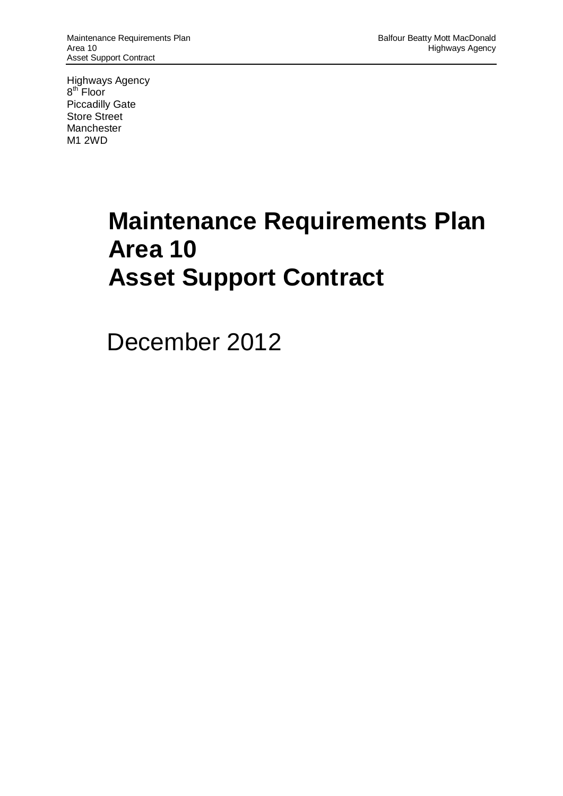Highways Agency 8<sup>th</sup> Floor Piccadilly Gate Store Street **Manchester** M1 2WD

# **Maintenance Requirements Plan Area 10 Asset Support Contract**

December 2012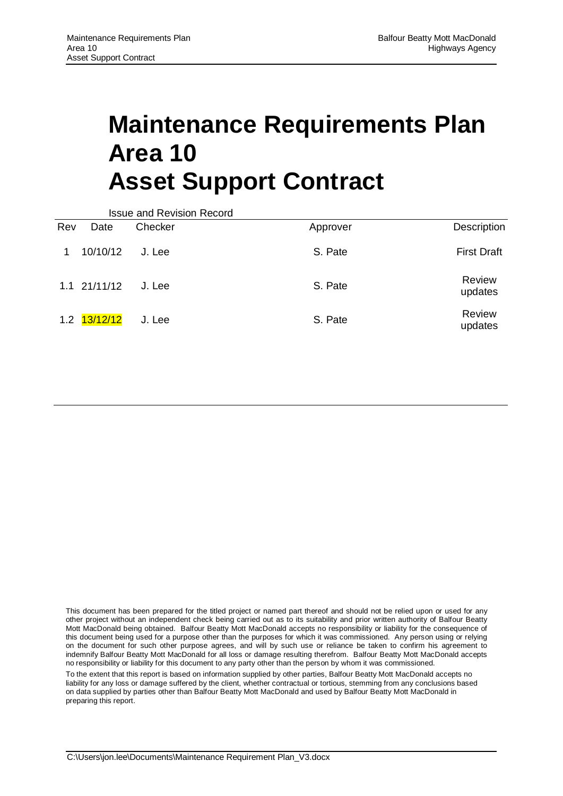# **Maintenance Requirements Plan Area 10 Asset Support Contract**

|     |                  | <b>Issue and Revision Record</b> |          |                    |
|-----|------------------|----------------------------------|----------|--------------------|
| Rev | Date             | Checker                          | Approver | Description        |
|     | 10/10/12         | J. Lee                           | S. Pate  | <b>First Draft</b> |
|     | $1.1 \t21/11/12$ | J. Lee                           | S. Pate  | Review<br>updates  |
|     | 1.2 13/12/12     | J. Lee                           | S. Pate  | Review<br>updates  |

This document has been prepared for the titled project or named part thereof and should not be relied upon or used for any other project without an independent check being carried out as to its suitability and prior written authority of Balfour Beatty Mott MacDonald being obtained. Balfour Beatty Mott MacDonald accepts no responsibility or liability for the consequence of this document being used for a purpose other than the purposes for which it was commissioned. Any person using or relying on the document for such other purpose agrees, and will by such use or reliance be taken to confirm his agreement to indemnify Balfour Beatty Mott MacDonald for all loss or damage resulting therefrom. Balfour Beatty Mott MacDonald accepts no responsibility or liability for this document to any party other than the person by whom it was commissioned.

To the extent that this report is based on information supplied by other parties, Balfour Beatty Mott MacDonald accepts no liability for any loss or damage suffered by the client, whether contractual or tortious, stemming from any conclusions based on data supplied by parties other than Balfour Beatty Mott MacDonald and used by Balfour Beatty Mott MacDonald in preparing this report.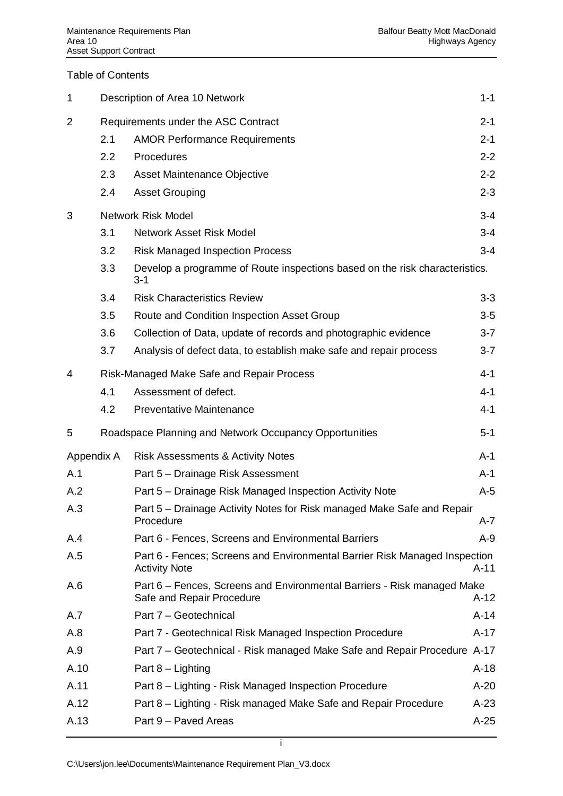#### Table of Contents

| 1              |     | Description of Area 10 Network                                                                       | $1 - 1$ |
|----------------|-----|------------------------------------------------------------------------------------------------------|---------|
| $\overline{2}$ |     | Requirements under the ASC Contract                                                                  | $2 - 1$ |
|                | 2.1 | <b>AMOR Performance Requirements</b>                                                                 | $2 - 1$ |
|                | 2.2 | Procedures                                                                                           | $2 - 2$ |
|                | 2.3 | Asset Maintenance Objective                                                                          | $2 - 2$ |
|                | 2.4 | <b>Asset Grouping</b>                                                                                | $2 - 3$ |
| 3              |     | <b>Network Risk Model</b>                                                                            | $3 - 4$ |
|                | 3.1 | <b>Network Asset Risk Model</b>                                                                      | $3 - 4$ |
|                | 3.2 | <b>Risk Managed Inspection Process</b>                                                               | $3 - 4$ |
|                | 3.3 | Develop a programme of Route inspections based on the risk characteristics.<br>$3 - 1$               |         |
|                | 3.4 | <b>Risk Characteristics Review</b>                                                                   | $3 - 3$ |
|                | 3.5 | Route and Condition Inspection Asset Group                                                           | $3-5$   |
|                | 3.6 | Collection of Data, update of records and photographic evidence                                      | $3 - 7$ |
|                | 3.7 | Analysis of defect data, to establish make safe and repair process                                   | $3 - 7$ |
| 4              |     | Risk-Managed Make Safe and Repair Process                                                            | $4 - 1$ |
|                | 4.1 | Assessment of defect.                                                                                | $4 - 1$ |
|                | 4.2 | <b>Preventative Maintenance</b>                                                                      | $4 - 1$ |
| 5              |     | Roadspace Planning and Network Occupancy Opportunities                                               | $5 - 1$ |
| Appendix A     |     | <b>Risk Assessments &amp; Activity Notes</b>                                                         | $A-1$   |
| A.1            |     | Part 5 - Drainage Risk Assessment                                                                    | $A-1$   |
| A.2            |     | Part 5 – Drainage Risk Managed Inspection Activity Note                                              | $A-5$   |
| A.3            |     | Part 5 – Drainage Activity Notes for Risk managed Make Safe and Repair<br>Procedure                  | $A - 7$ |
| A.4            |     | Part 6 - Fences, Screens and Environmental Barriers                                                  | $A-9$   |
| A.5            |     | Part 6 - Fences; Screens and Environmental Barrier Risk Managed Inspection<br><b>Activity Note</b>   | A-11    |
| A.6            |     | Part 6 - Fences, Screens and Environmental Barriers - Risk managed Make<br>Safe and Repair Procedure | $A-12$  |
| A.7            |     | Part 7 - Geotechnical                                                                                | $A-14$  |
| A.8            |     | Part 7 - Geotechnical Risk Managed Inspection Procedure                                              | $A-17$  |
| A.9            |     | Part 7 – Geotechnical - Risk managed Make Safe and Repair Procedure A-17                             |         |
| A.10           |     | Part 8 - Lighting                                                                                    | $A-18$  |
| A.11           |     | Part 8 - Lighting - Risk Managed Inspection Procedure                                                | $A-20$  |
| A.12           |     | Part 8 – Lighting - Risk managed Make Safe and Repair Procedure                                      | $A-23$  |
| A.13           |     | Part 9 - Paved Areas                                                                                 | $A-25$  |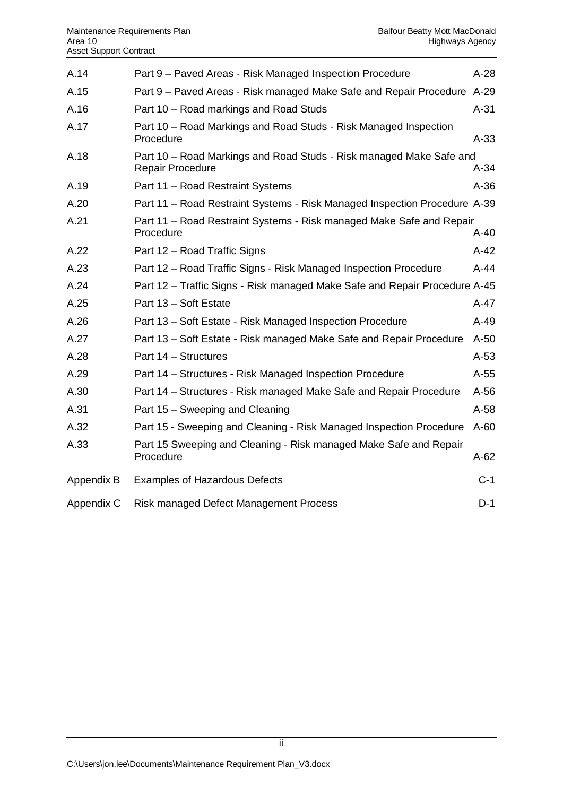| A.14       | Part 9 - Paved Areas - Risk Managed Inspection Procedure                                       | $A-28$ |
|------------|------------------------------------------------------------------------------------------------|--------|
| A.15       | Part 9 – Paved Areas - Risk managed Make Safe and Repair Procedure A-29                        |        |
| A.16       | Part 10 – Road markings and Road Studs                                                         | $A-31$ |
| A.17       | Part 10 – Road Markings and Road Studs - Risk Managed Inspection<br>Procedure                  | $A-33$ |
| A.18       | Part 10 – Road Markings and Road Studs - Risk managed Make Safe and<br><b>Repair Procedure</b> | $A-34$ |
| A.19       | Part 11 - Road Restraint Systems                                                               | $A-36$ |
| A.20       | Part 11 - Road Restraint Systems - Risk Managed Inspection Procedure A-39                      |        |
| A.21       | Part 11 – Road Restraint Systems - Risk managed Make Safe and Repair<br>Procedure              | $A-40$ |
| A.22       | Part 12 – Road Traffic Signs                                                                   | $A-42$ |
| A.23       | Part 12 – Road Traffic Signs - Risk Managed Inspection Procedure                               | $A-44$ |
| A.24       | Part 12 - Traffic Signs - Risk managed Make Safe and Repair Procedure A-45                     |        |
| A.25       | Part 13 - Soft Estate                                                                          | $A-47$ |
| A.26       | Part 13 - Soft Estate - Risk Managed Inspection Procedure                                      | $A-49$ |
| A.27       | Part 13 – Soft Estate - Risk managed Make Safe and Repair Procedure                            | $A-50$ |
| A.28       | Part 14 - Structures                                                                           | $A-53$ |
| A.29       | Part 14 – Structures - Risk Managed Inspection Procedure                                       | $A-55$ |
| A.30       | Part 14 - Structures - Risk managed Make Safe and Repair Procedure                             | $A-56$ |
| A.31       | Part 15 – Sweeping and Cleaning                                                                | $A-58$ |
| A.32       | Part 15 - Sweeping and Cleaning - Risk Managed Inspection Procedure                            | $A-60$ |
| A.33       | Part 15 Sweeping and Cleaning - Risk managed Make Safe and Repair<br>Procedure                 | $A-62$ |
| Appendix B | <b>Examples of Hazardous Defects</b>                                                           | $C-1$  |
| Appendix C | Risk managed Defect Management Process                                                         | $D-1$  |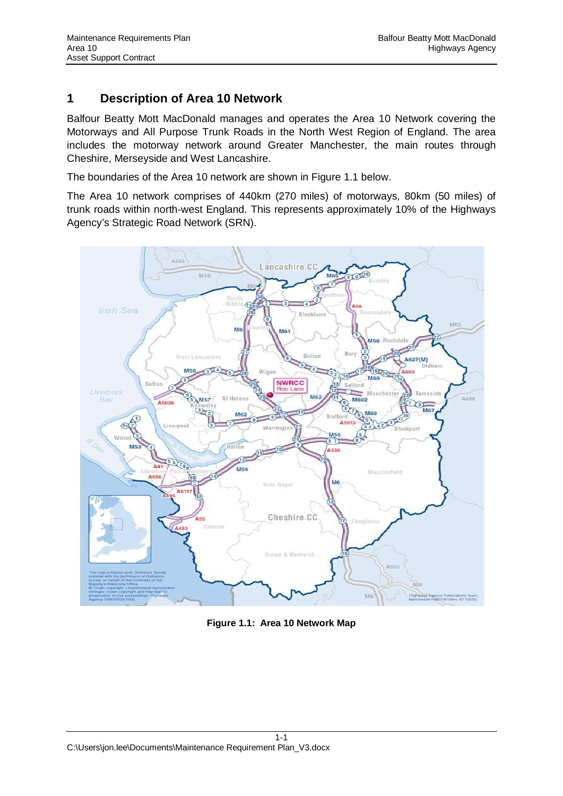## <span id="page-4-1"></span><span id="page-4-0"></span>**1 Description of Area 10 Network**

Balfour Beatty Mott MacDonald manages and operates the Area 10 Network covering the Motorways and All Purpose Trunk Roads in the North West Region of England. The area includes the motorway network around Greater Manchester, the main routes through Cheshire, Merseyside and West Lancashire.

The boundaries of the Area 10 network are shown in Figure 1.1 below.

The Area 10 network comprises of 440km (270 miles) of motorways, 80km (50 miles) of trunk roads within north-west England. This represents approximately 10% of the Highways Agency's Strategic Road Network (SRN).



**Figure 1.1: Area 10 Network Map**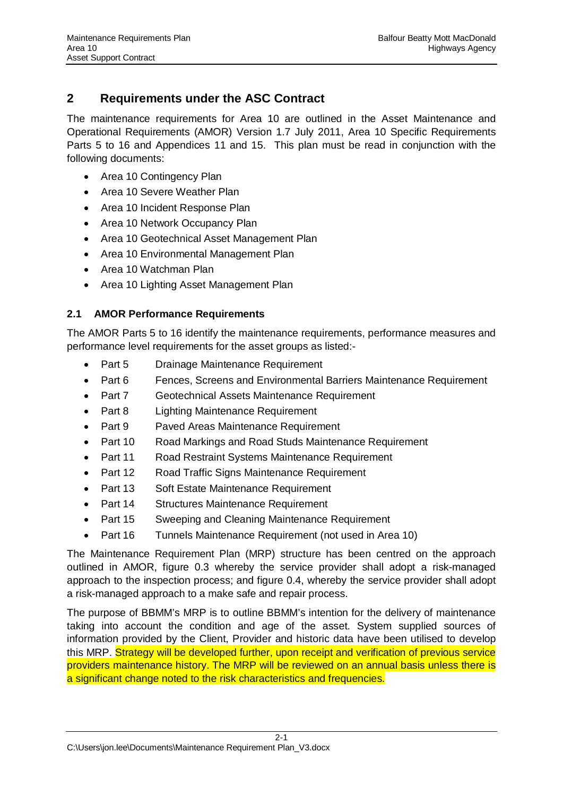# <span id="page-5-0"></span>**2 Requirements under the ASC Contract**

The maintenance requirements for Area 10 are outlined in the Asset Maintenance and Operational Requirements (AMOR) Version 1.7 July 2011, Area 10 Specific Requirements Parts 5 to 16 and Appendices 11 and 15. This plan must be read in conjunction with the following documents:

- Area 10 Contingency Plan
- Area 10 Severe Weather Plan
- Area 10 Incident Response Plan
- Area 10 Network Occupancy Plan
- Area 10 Geotechnical Asset Management Plan
- Area 10 Environmental Management Plan
- Area 10 Watchman Plan
- Area 10 Lighting Asset Management Plan

### <span id="page-5-1"></span>**2.1 AMOR Performance Requirements**

The AMOR Parts 5 to 16 identify the maintenance requirements, performance measures and performance level requirements for the asset groups as listed:-

- Part 5 Drainage Maintenance Requirement
- Part 6 Fences, Screens and Environmental Barriers Maintenance Requirement
- Part 7 Geotechnical Assets Maintenance Requirement
- Part 8 Lighting Maintenance Requirement
- Part 9 Paved Areas Maintenance Requirement
- Part 10 Road Markings and Road Studs Maintenance Requirement
- Part 11 Road Restraint Systems Maintenance Requirement
- Part 12 Road Traffic Signs Maintenance Requirement
- Part 13 Soft Estate Maintenance Requirement
- Part 14 Structures Maintenance Requirement
- Part 15 Sweeping and Cleaning Maintenance Requirement
- Part 16 Tunnels Maintenance Requirement (not used in Area 10)

The Maintenance Requirement Plan (MRP) structure has been centred on the approach outlined in AMOR, figure 0.3 whereby the service provider shall adopt a risk-managed approach to the inspection process; and figure 0.4, whereby the service provider shall adopt a risk-managed approach to a make safe and repair process.

The purpose of BBMM's MRP is to outline BBMM's intention for the delivery of maintenance taking into account the condition and age of the asset. System supplied sources of information provided by the Client, Provider and historic data have been utilised to develop this MRP. Strategy will be developed further, upon receipt and verification of previous service providers maintenance history. The MRP will be reviewed on an annual basis unless there is a significant change noted to the risk characteristics and frequencies.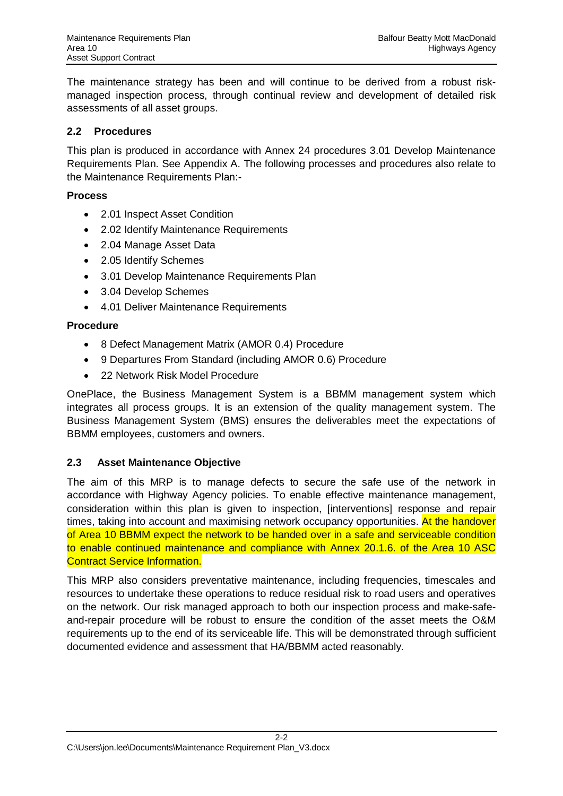The maintenance strategy has been and will continue to be derived from a robust riskmanaged inspection process, through continual review and development of detailed risk assessments of all asset groups.

#### <span id="page-6-0"></span>**2.2 Procedures**

This plan is produced in accordance with Annex 24 procedures 3.01 Develop Maintenance Requirements Plan. See Appendix A. The following processes and procedures also relate to the Maintenance Requirements Plan:-

#### **Process**

- 2.01 Inspect Asset Condition
- 2.02 Identify Maintenance Requirements
- 2.04 Manage Asset Data
- 2.05 Identify Schemes
- 3.01 Develop Maintenance Requirements Plan
- 3.04 Develop Schemes
- 4.01 Deliver Maintenance Requirements

#### **Procedure**

- 8 Defect Management Matrix (AMOR 0.4) Procedure
- 9 Departures From Standard (including AMOR 0.6) Procedure
- 22 Network Risk Model Procedure

OnePlace, the Business Management System is a BBMM management system which integrates all process groups. It is an extension of the quality management system. The Business Management System (BMS) ensures the deliverables meet the expectations of BBMM employees, customers and owners.

#### <span id="page-6-1"></span>**2.3 Asset Maintenance Objective**

The aim of this MRP is to manage defects to secure the safe use of the network in accordance with Highway Agency policies. To enable effective maintenance management, consideration within this plan is given to inspection, [interventions] response and repair times, taking into account and maximising network occupancy opportunities. At the handover of Area 10 BBMM expect the network to be handed over in a safe and serviceable condition to enable continued maintenance and compliance with Annex 20.1.6. of the Area 10 ASC Contract Service Information.

This MRP also considers preventative maintenance, including frequencies, timescales and resources to undertake these operations to reduce residual risk to road users and operatives on the network. Our risk managed approach to both our inspection process and make-safeand-repair procedure will be robust to ensure the condition of the asset meets the O&M requirements up to the end of its serviceable life. This will be demonstrated through sufficient documented evidence and assessment that HA/BBMM acted reasonably.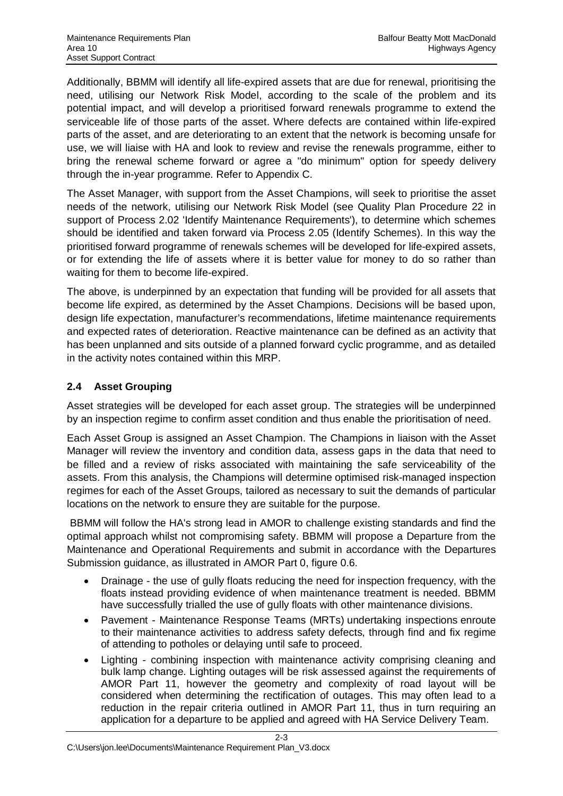Additionally, BBMM will identify all life-expired assets that are due for renewal, prioritising the need, utilising our Network Risk Model, according to the scale of the problem and its potential impact, and will develop a prioritised forward renewals programme to extend the serviceable life of those parts of the asset. Where defects are contained within life-expired parts of the asset, and are deteriorating to an extent that the network is becoming unsafe for use, we will liaise with HA and look to review and revise the renewals programme, either to bring the renewal scheme forward or agree a "do minimum" option for speedy delivery through the in-year programme. Refer to Appendix C.

The Asset Manager, with support from the Asset Champions, will seek to prioritise the asset needs of the network, utilising our Network Risk Model (see Quality Plan Procedure 22 in support of Process 2.02 'Identify Maintenance Requirements'), to determine which schemes should be identified and taken forward via Process 2.05 (Identify Schemes). In this way the prioritised forward programme of renewals schemes will be developed for life-expired assets, or for extending the life of assets where it is better value for money to do so rather than waiting for them to become life-expired.

The above, is underpinned by an expectation that funding will be provided for all assets that become life expired, as determined by the Asset Champions. Decisions will be based upon, design life expectation, manufacturer's recommendations, lifetime maintenance requirements and expected rates of deterioration. Reactive maintenance can be defined as an activity that has been unplanned and sits outside of a planned forward cyclic programme, and as detailed in the activity notes contained within this MRP.

### <span id="page-7-0"></span>**2.4 Asset Grouping**

Asset strategies will be developed for each asset group. The strategies will be underpinned by an inspection regime to confirm asset condition and thus enable the prioritisation of need.

Each Asset Group is assigned an Asset Champion. The Champions in liaison with the Asset Manager will review the inventory and condition data, assess gaps in the data that need to be filled and a review of risks associated with maintaining the safe serviceability of the assets. From this analysis, the Champions will determine optimised risk-managed inspection regimes for each of the Asset Groups, tailored as necessary to suit the demands of particular locations on the network to ensure they are suitable for the purpose.

 BBMM will follow the HA's strong lead in AMOR to challenge existing standards and find the optimal approach whilst not compromising safety. BBMM will propose a Departure from the Maintenance and Operational Requirements and submit in accordance with the Departures Submission guidance, as illustrated in AMOR Part 0, figure 0.6.

- Drainage the use of gully floats reducing the need for inspection frequency, with the floats instead providing evidence of when maintenance treatment is needed. BBMM have successfully trialled the use of gully floats with other maintenance divisions.
- Pavement Maintenance Response Teams (MRTs) undertaking inspections enroute to their maintenance activities to address safety defects, through find and fix regime of attending to potholes or delaying until safe to proceed.
- Lighting combining inspection with maintenance activity comprising cleaning and bulk lamp change. Lighting outages will be risk assessed against the requirements of AMOR Part 11, however the geometry and complexity of road layout will be considered when determining the rectification of outages. This may often lead to a reduction in the repair criteria outlined in AMOR Part 11, thus in turn requiring an application for a departure to be applied and agreed with HA Service Delivery Team.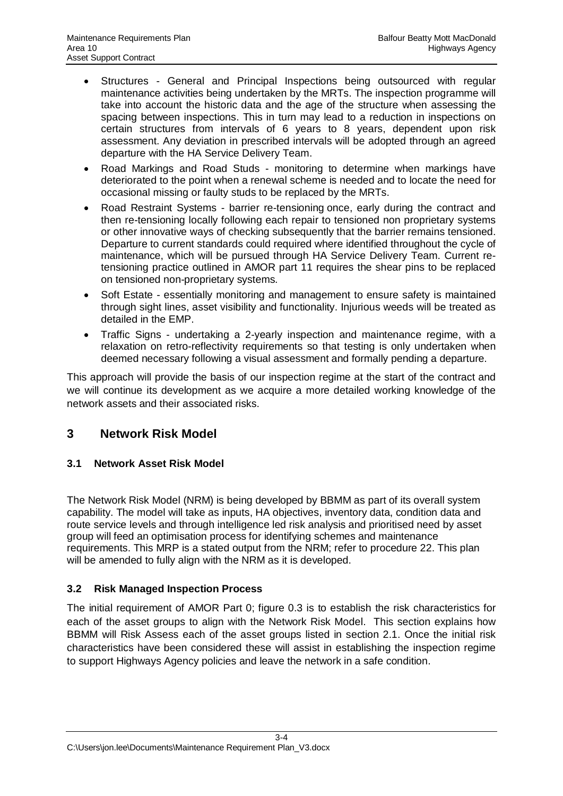- Structures General and Principal Inspections being outsourced with regular maintenance activities being undertaken by the MRTs. The inspection programme will take into account the historic data and the age of the structure when assessing the spacing between inspections. This in turn may lead to a reduction in inspections on certain structures from intervals of 6 years to 8 years, dependent upon risk assessment. Any deviation in prescribed intervals will be adopted through an agreed departure with the HA Service Delivery Team.
- Road Markings and Road Studs monitoring to determine when markings have deteriorated to the point when a renewal scheme is needed and to locate the need for occasional missing or faulty studs to be replaced by the MRTs.
- Road Restraint Systems barrier re-tensioning once, early during the contract and then re-tensioning locally following each repair to tensioned non proprietary systems or other innovative ways of checking subsequently that the barrier remains tensioned. Departure to current standards could required where identified throughout the cycle of maintenance, which will be pursued through HA Service Delivery Team. Current retensioning practice outlined in AMOR part 11 requires the shear pins to be replaced on tensioned non-proprietary systems.
- Soft Estate essentially monitoring and management to ensure safety is maintained through sight lines, asset visibility and functionality. Injurious weeds will be treated as detailed in the EMP.
- Traffic Signs undertaking a 2-yearly inspection and maintenance regime, with a relaxation on retro-reflectivity requirements so that testing is only undertaken when deemed necessary following a visual assessment and formally pending a departure.

This approach will provide the basis of our inspection regime at the start of the contract and we will continue its development as we acquire a more detailed working knowledge of the network assets and their associated risks.

# <span id="page-8-0"></span>**3 Network Risk Model**

### <span id="page-8-1"></span>**3.1 Network Asset Risk Model**

The Network Risk Model (NRM) is being developed by BBMM as part of its overall system capability. The model will take as inputs, HA objectives, inventory data, condition data and route service levels and through intelligence led risk analysis and prioritised need by asset group will feed an optimisation process for identifying schemes and maintenance requirements. This MRP is a stated output from the NRM; refer to procedure 22. This plan will be amended to fully align with the NRM as it is developed.

### <span id="page-8-2"></span>**3.2 Risk Managed Inspection Process**

The initial requirement of AMOR Part 0; figure 0.3 is to establish the risk characteristics for each of the asset groups to align with the Network Risk Model. This section explains how BBMM will Risk Assess each of the asset groups listed in section [2.1](#page-5-1). Once the initial risk characteristics have been considered these will assist in establishing the inspection regime to support Highways Agency policies and leave the network in a safe condition.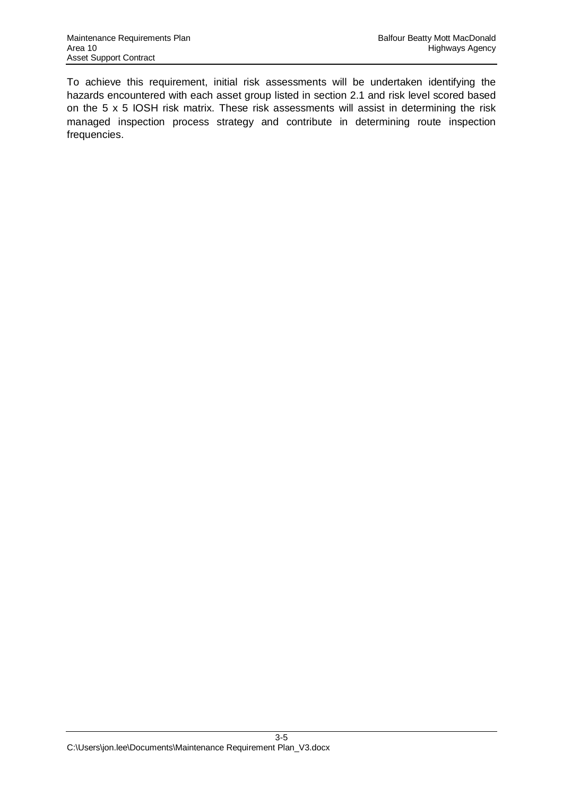To achieve this requirement, initial risk assessments will be undertaken identifying the hazards encountered with each asset group listed in section [2.1](#page-5-1) and risk level scored based on the 5 x 5 IOSH risk matrix. These risk assessments will assist in determining the risk managed inspection process strategy and contribute in determining route inspection frequencies.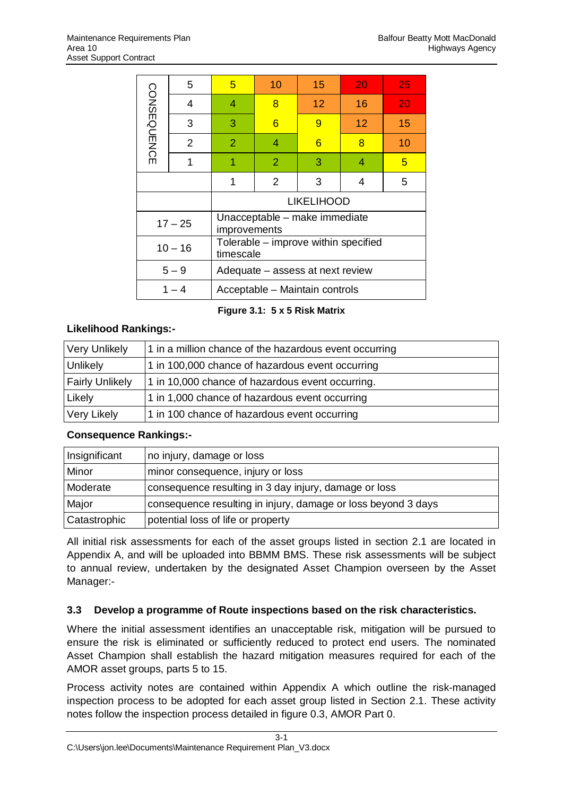|                                           | 5         | 5                | 10                               | 15 <sub>1</sub>   | 20                                   | 25 |  |  |  |  |  |
|-------------------------------------------|-----------|------------------|----------------------------------|-------------------|--------------------------------------|----|--|--|--|--|--|
|                                           | 4         | 4                | 8                                | 12 <sup>2</sup>   | 16                                   | 20 |  |  |  |  |  |
| <b>CONSEQUENCE</b>                        | 3         | 3                | 6                                | 9                 | 12                                   | 15 |  |  |  |  |  |
|                                           | 2         | 2                | 4                                | 6                 | 8                                    | 10 |  |  |  |  |  |
|                                           | 1         |                  | $\overline{2}$                   | 3                 | 4                                    | 5  |  |  |  |  |  |
|                                           |           | 2<br>3<br>1<br>4 |                                  |                   |                                      |    |  |  |  |  |  |
|                                           |           |                  |                                  | <b>LIKELIHOOD</b> |                                      |    |  |  |  |  |  |
|                                           | $17 - 25$ | improvements     | Unacceptable - make immediate    |                   |                                      |    |  |  |  |  |  |
|                                           | $10 - 16$ | timescale        |                                  |                   | Tolerable - improve within specified |    |  |  |  |  |  |
|                                           | $5 - 9$   |                  | Adequate - assess at next review |                   |                                      |    |  |  |  |  |  |
| $1 - 4$<br>Acceptable - Maintain controls |           |                  |                                  |                   |                                      |    |  |  |  |  |  |

**Figure 3.1: 5 x 5 Risk Matrix**

### **Likelihood Rankings:-**

| Very Unlikely          | 1 in a million chance of the hazardous event occurring |
|------------------------|--------------------------------------------------------|
| Unlikely               | 1 in 100,000 chance of hazardous event occurring       |
| <b>Fairly Unlikely</b> | 1 in 10,000 chance of hazardous event occurring.       |
| Likely                 | 1 in 1,000 chance of hazardous event occurring         |
| Very Likely            | 1 in 100 chance of hazardous event occurring           |

### **Consequence Rankings:-**

| Insignificant | Ino injury, damage or loss                                    |
|---------------|---------------------------------------------------------------|
| Minor         | minor consequence, injury or loss                             |
| Moderate      | consequence resulting in 3 day injury, damage or loss         |
| Major         | consequence resulting in injury, damage or loss beyond 3 days |
| Catastrophic  | potential loss of life or property                            |

All initial risk assessments for each of the asset groups listed in section 2.1 are located in Appendix A, and will be uploaded into BBMM BMS. These risk assessments will be subject to annual review, undertaken by the designated Asset Champion overseen by the Asset Manager:-

### <span id="page-10-0"></span>**3.3 Develop a programme of Route inspections based on the risk characteristics.**

Where the initial assessment identifies an unacceptable risk, mitigation will be pursued to ensure the risk is eliminated or sufficiently reduced to protect end users. The nominated Asset Champion shall establish the hazard mitigation measures required for each of the AMOR asset groups, parts 5 to 15.

Process activity notes are contained within Appendix A which outline the risk-managed inspection process to be adopted for each asset group listed in Section 2.1. These activity notes follow the inspection process detailed in figure 0.3, AMOR Part 0.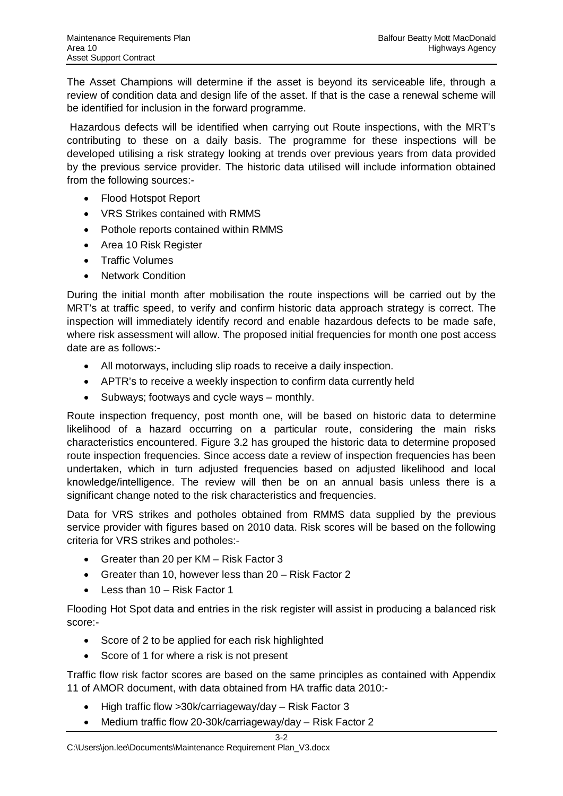The Asset Champions will determine if the asset is beyond its serviceable life, through a review of condition data and design life of the asset. If that is the case a renewal scheme will be identified for inclusion in the forward programme.

 Hazardous defects will be identified when carrying out Route inspections, with the MRT's contributing to these on a daily basis. The programme for these inspections will be developed utilising a risk strategy looking at trends over previous years from data provided by the previous service provider. The historic data utilised will include information obtained from the following sources:-

- Flood Hotspot Report
- VRS Strikes contained with RMMS
- Pothole reports contained within RMMS
- Area 10 Risk Register
- Traffic Volumes
- Network Condition

During the initial month after mobilisation the route inspections will be carried out by the MRT's at traffic speed, to verify and confirm historic data approach strategy is correct. The inspection will immediately identify record and enable hazardous defects to be made safe, where risk assessment will allow. The proposed initial frequencies for month one post access date are as follows:-

- All motorways, including slip roads to receive a daily inspection.
- APTR's to receive a weekly inspection to confirm data currently held
- $\bullet$  Subways; footways and cycle ways monthly.

Route inspection frequency, post month one, will be based on historic data to determine likelihood of a hazard occurring on a particular route, considering the main risks characteristics encountered. Figure 3.2 has grouped the historic data to determine proposed route inspection frequencies. Since access date a review of inspection frequencies has been undertaken, which in turn adjusted frequencies based on adjusted likelihood and local knowledge/intelligence. The review will then be on an annual basis unless there is a significant change noted to the risk characteristics and frequencies.

Data for VRS strikes and potholes obtained from RMMS data supplied by the previous service provider with figures based on 2010 data. Risk scores will be based on the following criteria for VRS strikes and potholes:-

- Greater than 20 per  $KM Risk Factor 3$
- Greater than 10, however less than  $20 -$  Risk Factor 2
- $\bullet$  Less than 10 Risk Factor 1

Flooding Hot Spot data and entries in the risk register will assist in producing a balanced risk score:-

- Score of 2 to be applied for each risk highlighted
- Score of 1 for where a risk is not present

Traffic flow risk factor scores are based on the same principles as contained with Appendix 11 of AMOR document, with data obtained from HA traffic data 2010:-

- $\bullet$  High traffic flow >30k/carriageway/day Risk Factor 3
- Medium traffic flow 20-30k/carriageway/day Risk Factor 2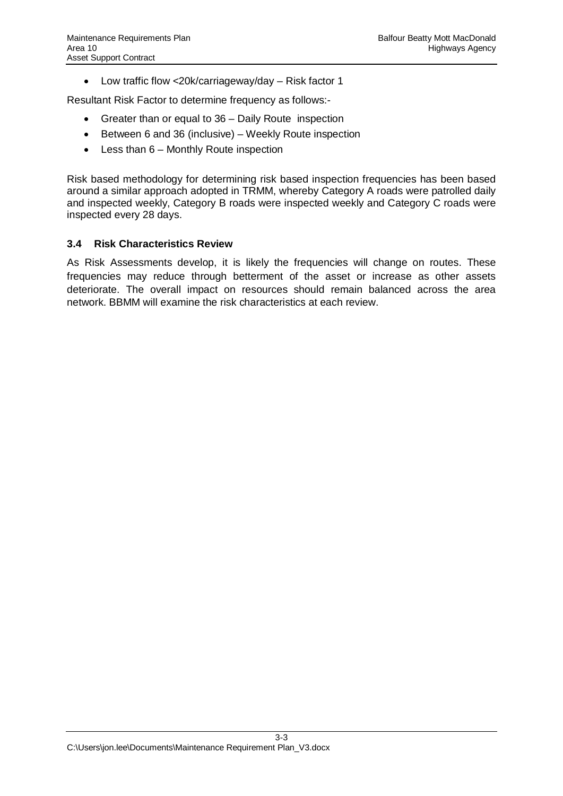• Low traffic flow <20k/carriageway/day – Risk factor 1

Resultant Risk Factor to determine frequency as follows:-

- $\bullet$  Greater than or equal to 36 Daily Route inspection
- $\bullet$  Between 6 and 36 (inclusive) Weekly Route inspection
- $\bullet$  Less than 6 Monthly Route inspection

Risk based methodology for determining risk based inspection frequencies has been based around a similar approach adopted in TRMM, whereby Category A roads were patrolled daily and inspected weekly, Category B roads were inspected weekly and Category C roads were inspected every 28 days.

#### <span id="page-12-0"></span>**3.4 Risk Characteristics Review**

As Risk Assessments develop, it is likely the frequencies will change on routes. These frequencies may reduce through betterment of the asset or increase as other assets deteriorate. The overall impact on resources should remain balanced across the area network. BBMM will examine the risk characteristics at each review.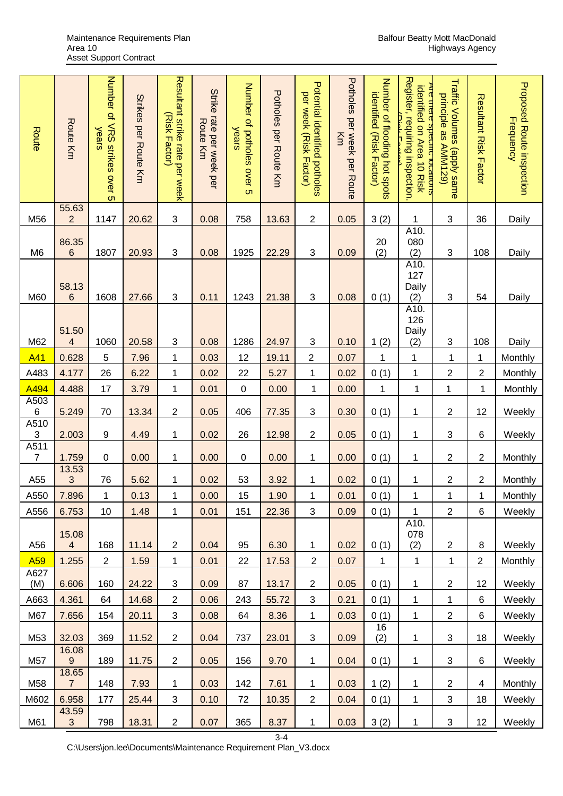| Route                     | <b>Route Km</b>                    | Number of VRS strikes over 5<br>years | Strikes per Route Km | Resultant strike rate per week<br>(Risk Hador) | Strike rate per week per<br><b>Route Km</b> | Number of potholes over 5<br>years | Potroles per Route KH | Potential identified potholes<br>per week (Risk Factor) | Potholes per week per Route<br>Κm | Number of flooding hot spots<br>identified (Risk Factor) | Register, requiring inspection.<br><u>Are there specific rocations</u><br>identified on Area 10 Risk<br>ملاءامنها | Traffic Volumes (apply same<br>principle as AMM129) | Resultant Kisk Factor   | <b>Proposed Route inspection</b><br><b>Frequency</b> |
|---------------------------|------------------------------------|---------------------------------------|----------------------|------------------------------------------------|---------------------------------------------|------------------------------------|-----------------------|---------------------------------------------------------|-----------------------------------|----------------------------------------------------------|-------------------------------------------------------------------------------------------------------------------|-----------------------------------------------------|-------------------------|------------------------------------------------------|
| M56                       | 55.63<br>$\overline{2}$            | 1147                                  | 20.62                | $\ensuremath{\mathsf{3}}$                      | 0.08                                        | 758                                | 13.63                 | $\overline{\mathbf{c}}$                                 | 0.05                              | 3(2)                                                     | 1                                                                                                                 | 3                                                   | 36                      | Daily                                                |
| M <sub>6</sub>            | 86.35<br>$\,6\,$                   | 1807                                  | 20.93                | $\ensuremath{\mathsf{3}}$                      | 0.08                                        | 1925                               | 22.29                 | $\ensuremath{\mathsf{3}}$                               | 0.09                              | 20<br>(2)                                                | A10.<br>080<br>(2)                                                                                                | 3                                                   | 108                     | Daily                                                |
| M60                       | 58.13<br>6                         | 1608                                  | 27.66                | $\ensuremath{\mathsf{3}}$                      | 0.11                                        | 1243                               | 21.38                 | 3                                                       | 0.08                              | 0(1)                                                     | A10.<br>127<br>Daily<br>(2)                                                                                       | 3                                                   | 54                      | Daily                                                |
| M62                       | 51.50<br>$\overline{\mathbf{4}}$   | 1060                                  | 20.58                | 3                                              | 0.08                                        | 1286                               | 24.97                 | 3                                                       | 0.10                              | 1(2)                                                     | A10.<br>126<br>Daily<br>(2)                                                                                       | 3                                                   | 108                     | Daily                                                |
| A41                       | 0.628                              | 5                                     | 7.96                 | $\mathbf 1$                                    | 0.03                                        | 12                                 | 19.11                 | $\overline{c}$                                          | 0.07                              | $\mathbf 1$                                              | 1                                                                                                                 | 1                                                   | $\mathbf{1}$            | Monthly                                              |
| A483                      | 4.177                              | 26                                    | 6.22                 | $\mathbf{1}$                                   | 0.02                                        | 22                                 | 5.27                  | $\mathbf 1$                                             | 0.02                              | 0(1)                                                     | $\mathbf{1}$                                                                                                      | $\overline{2}$                                      | $\overline{c}$          | Monthly                                              |
| A494                      | 4.488                              | 17                                    | 3.79                 | $\mathbf 1$                                    | 0.01                                        | $\pmb{0}$                          | 0.00                  | 1                                                       | 0.00                              | 1                                                        | $\mathbf 1$                                                                                                       | $\mathbf 1$                                         | 1                       | Monthly                                              |
| A503<br>$\,6$<br>A510     | 5.249                              | 70                                    | 13.34                | $\overline{c}$                                 | 0.05                                        | 406                                | 77.35                 | 3                                                       | 0.30                              | 0(1)                                                     | $\mathbf 1$                                                                                                       | 2                                                   | 12                      | Weekly                                               |
| $\ensuremath{\mathsf{3}}$ | 2.003                              | $\boldsymbol{9}$                      | 4.49                 | 1                                              | 0.02                                        | 26                                 | 12.98                 | $\mathbf{2}$                                            | 0.05                              | 0(1)                                                     | $\mathbf 1$                                                                                                       | 3                                                   | $\,6$                   | Weekly                                               |
| A511<br>$\overline{7}$    | 1.759                              | $\mathbf 0$                           | 0.00                 | 1                                              | 0.00                                        | $\pmb{0}$                          | 0.00                  | 1                                                       | 0.00                              | 0(1)                                                     | $\mathbf 1$                                                                                                       | 2                                                   | $\overline{\mathbf{c}}$ | Monthly                                              |
| A55                       | 13.53<br>$\ensuremath{\mathsf{3}}$ | 76                                    | 5.62                 | 1                                              | 0.02                                        | 53                                 | 3.92                  | 1                                                       | 0.02                              | 0(1)                                                     | 1                                                                                                                 | 2                                                   | $\overline{\mathbf{c}}$ | Monthly                                              |
| A550                      | 7.896                              | 1                                     | 0.13                 | 1                                              | 0.00                                        | 15                                 | 1.90                  | 1                                                       | 0.01                              | 0(1)                                                     | 1                                                                                                                 | 1                                                   | 1                       | <b>Monthly</b>                                       |
| A556                      | 6.753                              | 10                                    | 1.48                 | $\mathbf{1}$                                   | 0.01                                        | 151                                | 22.36                 | 3                                                       | 0.09                              | 0(1)                                                     | $\mathbf{1}$                                                                                                      | $\overline{2}$                                      | 6                       | Weekly                                               |
| A56                       | 15.08<br>$\overline{4}$            | 168                                   | 11.14                | $\overline{2}$                                 | 0.04                                        | 95                                 | 6.30                  | 1                                                       | 0.02                              | 0(1)                                                     | A10.<br>078<br>(2)                                                                                                | $\overline{2}$                                      | $\bf 8$                 | Weekly                                               |
| A <sub>59</sub>           | 1.255                              | $\overline{2}$                        | 1.59                 | $\mathbf{1}$                                   | 0.01                                        | 22                                 | 17.53                 | $\overline{2}$                                          | 0.07                              | $\mathbf{1}$                                             | $\mathbf{1}$                                                                                                      | $\mathbf 1$                                         | $\overline{2}$          | Monthly                                              |
| A627<br>(M)               | 6.606                              | 160                                   | 24.22                | 3                                              | 0.09                                        | 87                                 | 13.17                 | $\overline{2}$                                          | 0.05                              | 0(1)                                                     | 1                                                                                                                 | $\overline{c}$                                      | 12                      | Weekly                                               |
| A663                      | 4.361                              | 64                                    | 14.68                | $\overline{2}$                                 | 0.06                                        | 243                                | 55.72                 | 3                                                       | 0.21                              | 0(1)                                                     | 1                                                                                                                 | $\mathbf 1$                                         | 6                       | Weekly                                               |
| M67                       | 7.656                              | 154                                   | 20.11                | 3                                              | 0.08                                        | 64                                 | 8.36                  | 1                                                       | 0.03                              | 0(1)                                                     | 1                                                                                                                 | $\overline{c}$                                      | $\,6$                   | Weekly                                               |
| M53                       | 32.03                              | 369                                   | 11.52                | $\overline{2}$                                 | 0.04                                        | 737                                | 23.01                 | $\mathfrak{S}$                                          | 0.09                              | 16<br>(2)                                                | 1                                                                                                                 | 3                                                   | 18                      | Weekly                                               |
| M57                       | 16.08<br>$\boldsymbol{9}$          | 189                                   | 11.75                | $\mathbf{2}$                                   | 0.05                                        | 156                                | 9.70                  | 1                                                       | 0.04                              | 0(1)                                                     | 1                                                                                                                 | 3                                                   | 6                       | Weekly                                               |
| M58                       | 18.65<br>$\overline{7}$            | 148                                   | 7.93                 | 1                                              | 0.03                                        | 142                                | 7.61                  | 1                                                       | 0.03                              | 1(2)                                                     | $\mathbf 1$                                                                                                       | $\overline{2}$                                      | 4                       | Monthly                                              |
| M602                      | 6.958                              | 177                                   | 25.44                | 3                                              | 0.10                                        | 72                                 | 10.35                 | $\overline{2}$                                          | 0.04                              | 0(1)                                                     | $\mathbf{1}$                                                                                                      | 3                                                   | 18                      | Weekly                                               |
| M61                       | 43.59<br>$\mathfrak{S}$            | 798                                   | 18.31                | $\mathbf{2}$                                   | 0.07                                        | 365                                | 8.37                  | $\mathbf{1}$                                            | 0.03                              | 3(2)                                                     | $\mathbf 1$                                                                                                       | $\ensuremath{\mathsf{3}}$                           | 12                      | Weekly                                               |

3-4

C:\Users\jon.lee\Documents\Maintenance Requirement Plan\_V3.docx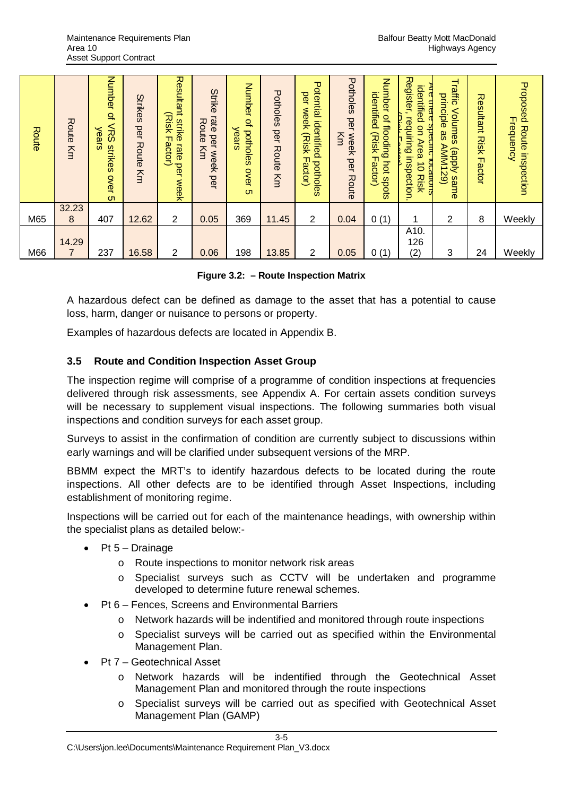| Route | Route<br>Κm             | Number<br>$\mathbf{Q}_n$<br><b>NRS</b><br>years<br>strikes<br><b>OVer</b><br><b>ហា</b> | <b>Strikes</b><br>per<br>Route<br>Km | Resultant<br>(Risk<br>strike<br>ᆩ<br>actor)<br>rate<br>per<br><b>Week</b> | Strike<br>rate<br>Route<br>per<br>Km<br><b>Week</b><br>per | Number<br>$Q_n$<br>potholes<br>ears<br>Over<br>$\sigma$ | Potholes<br>per<br>Route<br>Km | Potential<br>per<br>week<br>identified<br>(Risk<br>m.<br>potholes<br>actor) | Potholes<br>per<br>Km<br><b>Week</b><br>per<br>Route | Number<br>identified<br>Q,<br>flooding<br>(Risk<br>╖<br>pot<br>actor<br>spots | <b>Register</b><br>identified<br>urere<br>requiring<br>$\overline{S}$<br><b>P</b><br>Area<br>inspection<br><b>Docation</b><br>$\vec{0}$<br><b>Risk</b> | Traffic<br>principle<br>Volumes<br>8S<br>AMM129)<br><b>Krdde</b> )<br>same | Resultant<br><b>Risk</b><br>Factor | Proposed<br><b>Frequency</b><br>Route inspection |
|-------|-------------------------|----------------------------------------------------------------------------------------|--------------------------------------|---------------------------------------------------------------------------|------------------------------------------------------------|---------------------------------------------------------|--------------------------------|-----------------------------------------------------------------------------|------------------------------------------------------|-------------------------------------------------------------------------------|--------------------------------------------------------------------------------------------------------------------------------------------------------|----------------------------------------------------------------------------|------------------------------------|--------------------------------------------------|
| M65   | 32.23<br>8              | 407                                                                                    | 12.62                                | $\overline{2}$                                                            | 0.05                                                       | 369                                                     | 11.45                          | $\overline{2}$                                                              | 0.04                                                 | 0(1)                                                                          | 1                                                                                                                                                      | 2                                                                          | 8                                  | Weekly                                           |
|       |                         |                                                                                        |                                      |                                                                           |                                                            |                                                         |                                |                                                                             |                                                      |                                                                               | A10.                                                                                                                                                   |                                                                            |                                    |                                                  |
| M66   | 14.29<br>$\overline{7}$ | 237                                                                                    | 16.58                                | 2                                                                         | 0.06                                                       | 198                                                     | 13.85                          | $\overline{2}$                                                              | 0.05                                                 | 0(1)                                                                          | 126<br>(2)                                                                                                                                             | 3                                                                          | 24                                 | Weekly                                           |

#### **Figure 3.2: – Route Inspection Matrix**

A hazardous defect can be defined as damage to the asset that has a potential to cause loss, harm, danger or nuisance to persons or property.

Examples of hazardous defects are located in Appendix B.

#### <span id="page-14-0"></span>**3.5 Route and Condition Inspection Asset Group**

The inspection regime will comprise of a programme of condition inspections at frequencies delivered through risk assessments, see Appendix A. For certain assets condition surveys will be necessary to supplement visual inspections. The following summaries both visual inspections and condition surveys for each asset group.

Surveys to assist in the confirmation of condition are currently subject to discussions within early warnings and will be clarified under subsequent versions of the MRP.

BBMM expect the MRT's to identify hazardous defects to be located during the route inspections. All other defects are to be identified through Asset Inspections, including establishment of monitoring regime.

Inspections will be carried out for each of the maintenance headings, with ownership within the specialist plans as detailed below:-

- $\bullet$  Pt 5 Drainage
	- o Route inspections to monitor network risk areas
	- o Specialist surveys such as CCTV will be undertaken and programme developed to determine future renewal schemes.
- Pt 6 Fences, Screens and Environmental Barriers
	- o Network hazards will be indentified and monitored through route inspections
	- o Specialist surveys will be carried out as specified within the Environmental Management Plan.
- Pt 7 Geotechnical Asset
	- o Network hazards will be indentified through the Geotechnical Asset Management Plan and monitored through the route inspections
	- o Specialist surveys will be carried out as specified with Geotechnical Asset Management Plan (GAMP)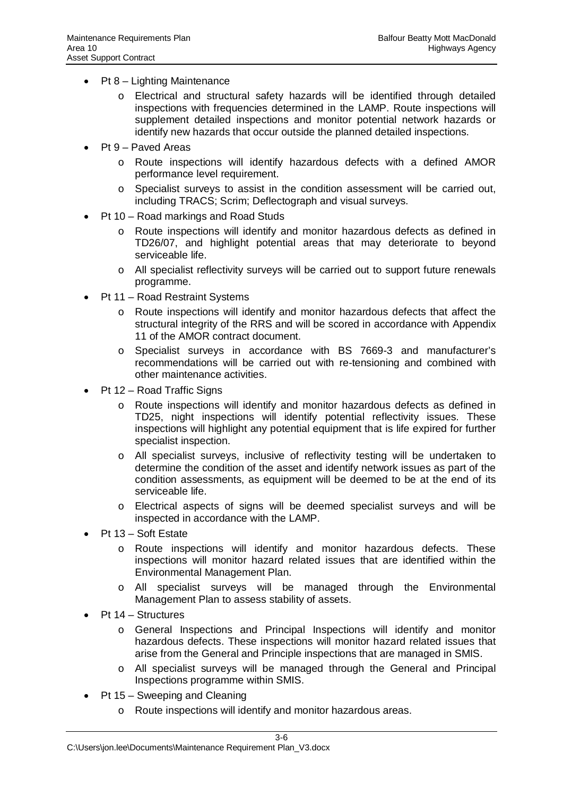- $\bullet$  Pt 8 Lighting Maintenance
	- o Electrical and structural safety hazards will be identified through detailed inspections with frequencies determined in the LAMP. Route inspections will supplement detailed inspections and monitor potential network hazards or identify new hazards that occur outside the planned detailed inspections.
- $\bullet$  Pt 9 Paved Areas
	- o Route inspections will identify hazardous defects with a defined AMOR performance level requirement.
	- $\circ$  Specialist surveys to assist in the condition assessment will be carried out. including TRACS; Scrim; Deflectograph and visual surveys.
- Pt 10 Road markings and Road Studs
	- o Route inspections will identify and monitor hazardous defects as defined in TD26/07, and highlight potential areas that may deteriorate to beyond serviceable life.
	- o All specialist reflectivity surveys will be carried out to support future renewals programme.
- Pt 11 Road Restraint Systems
	- o Route inspections will identify and monitor hazardous defects that affect the structural integrity of the RRS and will be scored in accordance with Appendix 11 of the AMOR contract document.
	- o Specialist surveys in accordance with BS 7669-3 and manufacturer's recommendations will be carried out with re-tensioning and combined with other maintenance activities.
- Pt 12 Road Traffic Signs
	- o Route inspections will identify and monitor hazardous defects as defined in TD25, night inspections will identify potential reflectivity issues. These inspections will highlight any potential equipment that is life expired for further specialist inspection.
	- o All specialist surveys, inclusive of reflectivity testing will be undertaken to determine the condition of the asset and identify network issues as part of the condition assessments, as equipment will be deemed to be at the end of its serviceable life.
	- o Electrical aspects of signs will be deemed specialist surveys and will be inspected in accordance with the LAMP.
- Pt 13 Soft Estate
	- o Route inspections will identify and monitor hazardous defects. These inspections will monitor hazard related issues that are identified within the Environmental Management Plan.
	- o All specialist surveys will be managed through the Environmental Management Plan to assess stability of assets.
- $\bullet$  Pt 14 Structures
	- o General Inspections and Principal Inspections will identify and monitor hazardous defects. These inspections will monitor hazard related issues that arise from the General and Principle inspections that are managed in SMIS.
	- o All specialist surveys will be managed through the General and Principal Inspections programme within SMIS.
- $\bullet$  Pt 15 Sweeping and Cleaning
	- o Route inspections will identify and monitor hazardous areas.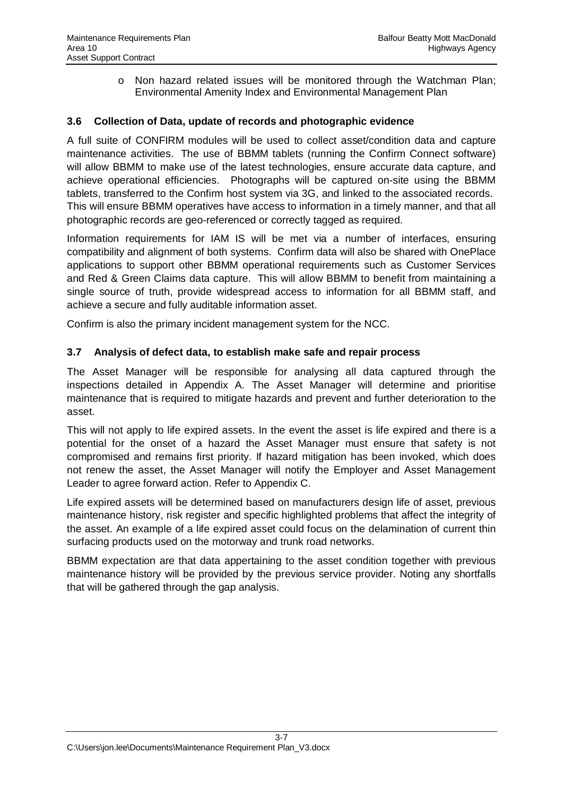$\circ$  Non hazard related issues will be monitored through the Watchman Plan; Environmental Amenity Index and Environmental Management Plan

#### <span id="page-16-0"></span>**3.6 Collection of Data, update of records and photographic evidence**

A full suite of CONFIRM modules will be used to collect asset/condition data and capture maintenance activities. The use of BBMM tablets (running the Confirm Connect software) will allow BBMM to make use of the latest technologies, ensure accurate data capture, and achieve operational efficiencies. Photographs will be captured on-site using the BBMM tablets, transferred to the Confirm host system via 3G, and linked to the associated records. This will ensure BBMM operatives have access to information in a timely manner, and that all photographic records are geo-referenced or correctly tagged as required.

Information requirements for IAM IS will be met via a number of interfaces, ensuring compatibility and alignment of both systems. Confirm data will also be shared with OnePlace applications to support other BBMM operational requirements such as Customer Services and Red & Green Claims data capture. This will allow BBMM to benefit from maintaining a single source of truth, provide widespread access to information for all BBMM staff, and achieve a secure and fully auditable information asset.

Confirm is also the primary incident management system for the NCC.

#### <span id="page-16-1"></span>**3.7 Analysis of defect data, to establish make safe and repair process**

The Asset Manager will be responsible for analysing all data captured through the inspections detailed in Appendix A. The Asset Manager will determine and prioritise maintenance that is required to mitigate hazards and prevent and further deterioration to the asset.

This will not apply to life expired assets. In the event the asset is life expired and there is a potential for the onset of a hazard the Asset Manager must ensure that safety is not compromised and remains first priority. If hazard mitigation has been invoked, which does not renew the asset, the Asset Manager will notify the Employer and Asset Management Leader to agree forward action. Refer to Appendix C.

Life expired assets will be determined based on manufacturers design life of asset, previous maintenance history, risk register and specific highlighted problems that affect the integrity of the asset. An example of a life expired asset could focus on the delamination of current thin surfacing products used on the motorway and trunk road networks.

BBMM expectation are that data appertaining to the asset condition together with previous maintenance history will be provided by the previous service provider. Noting any shortfalls that will be gathered through the gap analysis.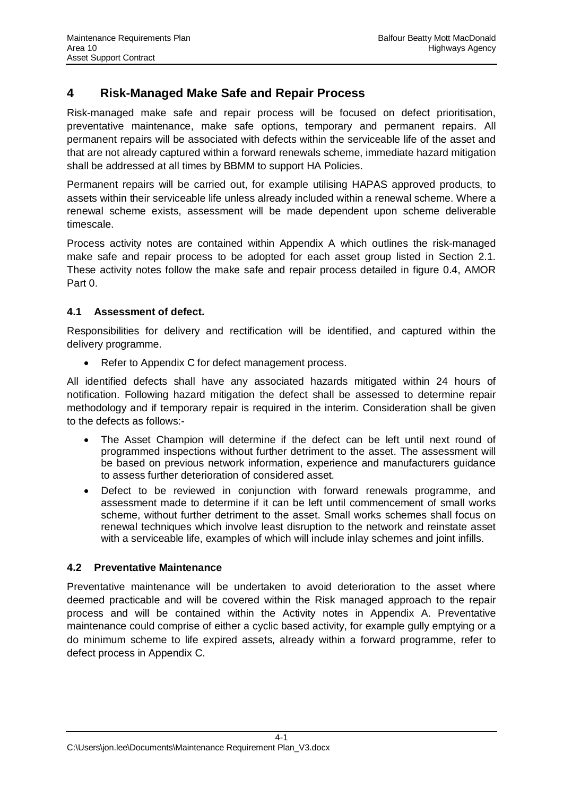# <span id="page-17-0"></span>**4 Risk-Managed Make Safe and Repair Process**

Risk-managed make safe and repair process will be focused on defect prioritisation, preventative maintenance, make safe options, temporary and permanent repairs. All permanent repairs will be associated with defects within the serviceable life of the asset and that are not already captured within a forward renewals scheme, immediate hazard mitigation shall be addressed at all times by BBMM to support HA Policies.

Permanent repairs will be carried out, for example utilising HAPAS approved products, to assets within their serviceable life unless already included within a renewal scheme. Where a renewal scheme exists, assessment will be made dependent upon scheme deliverable timescale.

Process activity notes are contained within Appendix A which outlines the risk-managed make safe and repair process to be adopted for each asset group listed in Section 2.1. These activity notes follow the make safe and repair process detailed in figure 0.4, AMOR Part 0.

### <span id="page-17-1"></span>**4.1 Assessment of defect.**

Responsibilities for delivery and rectification will be identified, and captured within the delivery programme.

• Refer to Appendix C for defect management process.

All identified defects shall have any associated hazards mitigated within 24 hours of notification. Following hazard mitigation the defect shall be assessed to determine repair methodology and if temporary repair is required in the interim. Consideration shall be given to the defects as follows:-

- The Asset Champion will determine if the defect can be left until next round of programmed inspections without further detriment to the asset. The assessment will be based on previous network information, experience and manufacturers guidance to assess further deterioration of considered asset.
- Defect to be reviewed in conjunction with forward renewals programme, and assessment made to determine if it can be left until commencement of small works scheme, without further detriment to the asset. Small works schemes shall focus on renewal techniques which involve least disruption to the network and reinstate asset with a serviceable life, examples of which will include inlay schemes and joint infills.

### <span id="page-17-2"></span>**4.2 Preventative Maintenance**

Preventative maintenance will be undertaken to avoid deterioration to the asset where deemed practicable and will be covered within the Risk managed approach to the repair process and will be contained within the Activity notes in Appendix A. Preventative maintenance could comprise of either a cyclic based activity, for example gully emptying or a do minimum scheme to life expired assets, already within a forward programme, refer to defect process in Appendix C.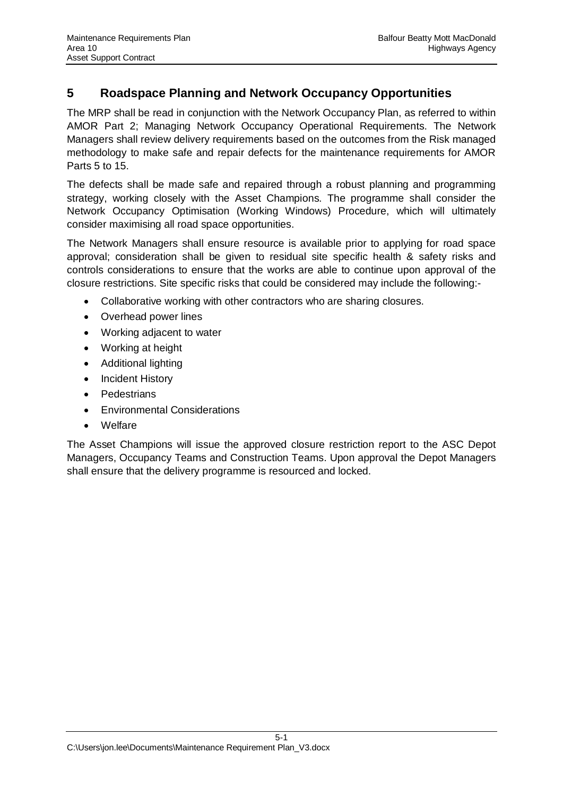# <span id="page-18-0"></span>**5 Roadspace Planning and Network Occupancy Opportunities**

The MRP shall be read in conjunction with the Network Occupancy Plan, as referred to within AMOR Part 2; Managing Network Occupancy Operational Requirements. The Network Managers shall review delivery requirements based on the outcomes from the Risk managed methodology to make safe and repair defects for the maintenance requirements for AMOR Parts 5 to 15.

The defects shall be made safe and repaired through a robust planning and programming strategy, working closely with the Asset Champions. The programme shall consider the Network Occupancy Optimisation (Working Windows) Procedure, which will ultimately consider maximising all road space opportunities.

The Network Managers shall ensure resource is available prior to applying for road space approval; consideration shall be given to residual site specific health & safety risks and controls considerations to ensure that the works are able to continue upon approval of the closure restrictions. Site specific risks that could be considered may include the following:-

- Collaborative working with other contractors who are sharing closures.
- Overhead power lines
- Working adjacent to water
- Working at height
- Additional lighting
- Incident History
- Pedestrians
- **•** Environmental Considerations
- **Welfare**

The Asset Champions will issue the approved closure restriction report to the ASC Depot Managers, Occupancy Teams and Construction Teams. Upon approval the Depot Managers shall ensure that the delivery programme is resourced and locked.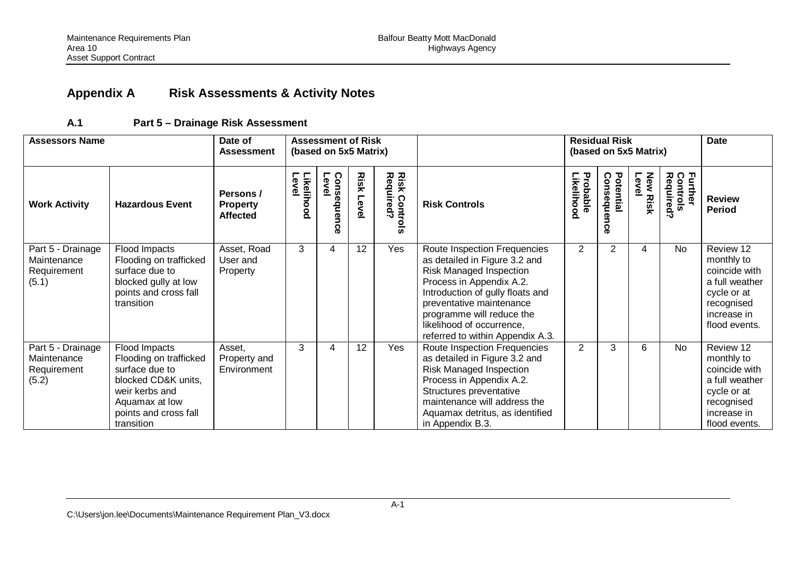# <span id="page-19-0"></span>**Appendix A Risk Assessments & Activity Notes**

#### <span id="page-19-1"></span>**A.1 Part 5 – Drainage Risk Assessment**

| <b>Assessors Name</b>                                    |                                                                                                                                                             | Date of<br><b>Assessment</b>                    |                            | <b>Assessment of Risk</b><br>(based on 5x5 Matrix) |                  |                                   |                                                                                                                                                                                                                                                                                    |                              | <b>Residual Risk</b><br>(based on 5x5 Matrix) |                                    | <b>Date</b>                      |                                                                                                                         |
|----------------------------------------------------------|-------------------------------------------------------------------------------------------------------------------------------------------------------------|-------------------------------------------------|----------------------------|----------------------------------------------------|------------------|-----------------------------------|------------------------------------------------------------------------------------------------------------------------------------------------------------------------------------------------------------------------------------------------------------------------------------|------------------------------|-----------------------------------------------|------------------------------------|----------------------------------|-------------------------------------------------------------------------------------------------------------------------|
| <b>Work Activity</b>                                     | <b>Hazardous Event</b>                                                                                                                                      | Persons /<br><b>Property</b><br><b>Affected</b> | Level<br><b>Likelihood</b> | Consequen<br>Level<br>ດ<br>Õ                       | <b>Risk Leve</b> | <b>Risk Controls</b><br>Required? | <b>Risk Controls</b>                                                                                                                                                                                                                                                               | Probable<br><b>ikelihood</b> | Potential<br>Consequence                      | <b>New</b><br>Level<br><b>Risk</b> | Further<br>Controls<br>Required? | <b>Review</b><br><b>Period</b>                                                                                          |
| Part 5 - Drainage<br>Maintenance<br>Requirement<br>(5.1) | Flood Impacts<br>Flooding on trafficked<br>surface due to<br>blocked gully at low<br>points and cross fall<br>transition                                    | Asset, Road<br>User and<br>Property             | 3                          | 4                                                  | 12               | Yes                               | Route Inspection Frequencies<br>as detailed in Figure 3.2 and<br>Risk Managed Inspection<br>Process in Appendix A.2.<br>Introduction of gully floats and<br>preventative maintenance<br>programme will reduce the<br>likelihood of occurrence,<br>referred to within Appendix A.3. | 2                            | $\overline{2}$                                | 4                                  | <b>No</b>                        | Review 12<br>monthly to<br>coincide with<br>a full weather<br>cycle or at<br>recognised<br>increase in<br>flood events. |
| Part 5 - Drainage<br>Maintenance<br>Requirement<br>(5.2) | Flood Impacts<br>Flooding on trafficked<br>surface due to<br>blocked CD&K units,<br>weir kerbs and<br>Aquamax at low<br>points and cross fall<br>transition | Asset,<br>Property and<br>Environment           | 3                          | 4                                                  | 12               | Yes                               | Route Inspection Frequencies<br>as detailed in Figure 3.2 and<br>Risk Managed Inspection<br>Process in Appendix A.2.<br>Structures preventative<br>maintenance will address the<br>Aquamax detritus, as identified<br>in Appendix B.3.                                             | $\overline{2}$               | 3                                             | 6                                  | <b>No</b>                        | Review 12<br>monthly to<br>coincide with<br>a full weather<br>cycle or at<br>recognised<br>increase in<br>flood events. |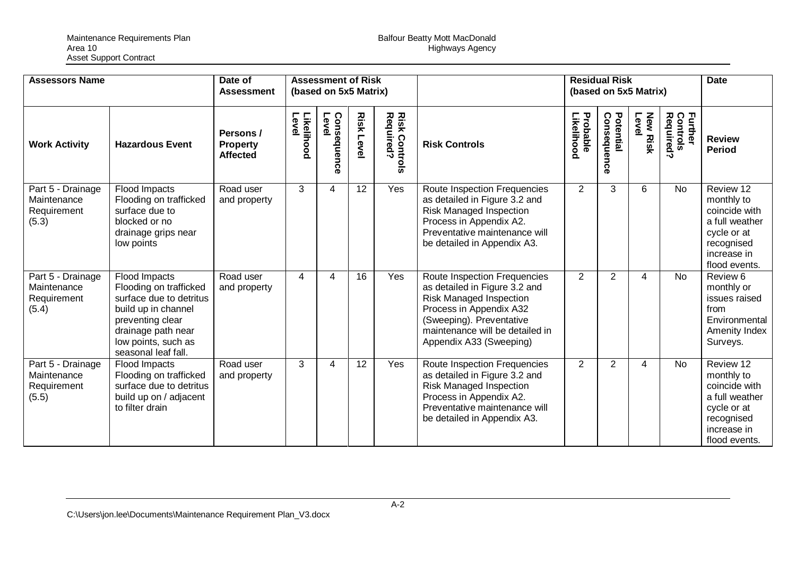| <b>Assessors Name</b>                                    |                                                                                                                                                                                   | Date of<br><b>Assessment</b>                    |                     | <b>Assessment of Risk</b><br>(based on 5x5 Matrix) |                   |                                   |                                                                                                                                                                                                                      |                                   | <b>Residual Risk</b><br>(based on 5x5 Matrix) |                          |                                  | <b>Date</b>                                                                                                             |
|----------------------------------------------------------|-----------------------------------------------------------------------------------------------------------------------------------------------------------------------------------|-------------------------------------------------|---------------------|----------------------------------------------------|-------------------|-----------------------------------|----------------------------------------------------------------------------------------------------------------------------------------------------------------------------------------------------------------------|-----------------------------------|-----------------------------------------------|--------------------------|----------------------------------|-------------------------------------------------------------------------------------------------------------------------|
| <b>Work Activity</b>                                     | <b>Hazardous Event</b>                                                                                                                                                            | Persons /<br><b>Property</b><br><b>Affected</b> | Likelihood<br>Level | Consequence<br>Level                               | <b>Risk Level</b> | <b>Risk Controls</b><br>Required? | <b>Risk Controls</b>                                                                                                                                                                                                 | Probable<br>.<br><b>ikelihood</b> | Potential<br>Consequence                      | <b>New Risk</b><br>Level | Further<br>Controls<br>Required? | <b>Review</b><br><b>Period</b>                                                                                          |
| Part 5 - Drainage<br>Maintenance<br>Requirement<br>(5.3) | <b>Flood Impacts</b><br>Flooding on trafficked<br>surface due to<br>blocked or no<br>drainage grips near<br>low points                                                            | Road user<br>and property                       | 3                   | 4                                                  | 12                | Yes                               | Route Inspection Frequencies<br>as detailed in Figure 3.2 and<br><b>Risk Managed Inspection</b><br>Process in Appendix A2.<br>Preventative maintenance will<br>be detailed in Appendix A3.                           | 2                                 | 3                                             | 6                        | <b>No</b>                        | Review 12<br>monthly to<br>coincide with<br>a full weather<br>cycle or at<br>recognised<br>increase in<br>flood events. |
| Part 5 - Drainage<br>Maintenance<br>Requirement<br>(5.4) | Flood Impacts<br>Flooding on trafficked<br>surface due to detritus<br>build up in channel<br>preventing clear<br>drainage path near<br>low points, such as<br>seasonal leaf fall. | Road user<br>and property                       | 4                   | 4                                                  | 16                | Yes                               | Route Inspection Frequencies<br>as detailed in Figure 3.2 and<br><b>Risk Managed Inspection</b><br>Process in Appendix A32<br>(Sweeping). Preventative<br>maintenance will be detailed in<br>Appendix A33 (Sweeping) | $\overline{2}$                    | 2                                             | 4                        | <b>No</b>                        | Review 6<br>monthly or<br>issues raised<br>from<br>Environmental<br>Amenity Index<br>Surveys.                           |
| Part 5 - Drainage<br>Maintenance<br>Requirement<br>(5.5) | Flood Impacts<br>Flooding on trafficked<br>surface due to detritus<br>build up on / adjacent<br>to filter drain                                                                   | Road user<br>and property                       | 3                   | 4                                                  | $12 \overline{ }$ | Yes                               | Route Inspection Frequencies<br>as detailed in Figure 3.2 and<br><b>Risk Managed Inspection</b><br>Process in Appendix A2.<br>Preventative maintenance will<br>be detailed in Appendix A3.                           | 2                                 | 2                                             | 4                        | <b>No</b>                        | Review 12<br>monthly to<br>coincide with<br>a full weather<br>cycle or at<br>recognised<br>increase in<br>flood events. |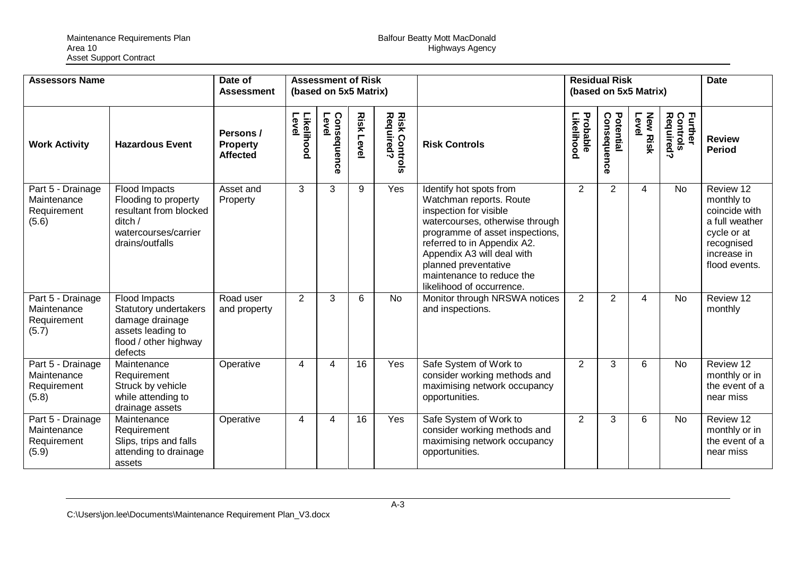| <b>Assessors Name</b>                                    |                                                                                                                           | Date of<br><b>Assessment</b>                    |                     | <b>Assessment of Risk</b><br>(based on 5x5 Matrix) |                   |                                    |                                                                                                                                                                                                                                                                                                   |                        | <b>Residual Risk</b><br>(based on 5x5 Matrix) |                          |                                  | <b>Date</b>                                                                                                             |
|----------------------------------------------------------|---------------------------------------------------------------------------------------------------------------------------|-------------------------------------------------|---------------------|----------------------------------------------------|-------------------|------------------------------------|---------------------------------------------------------------------------------------------------------------------------------------------------------------------------------------------------------------------------------------------------------------------------------------------------|------------------------|-----------------------------------------------|--------------------------|----------------------------------|-------------------------------------------------------------------------------------------------------------------------|
| <b>Work Activity</b>                                     | <b>Hazardous Event</b>                                                                                                    | Persons /<br><b>Property</b><br><b>Affected</b> | Likelihood<br>Level | Level<br>Consequenc<br>m                           | <b>Risk Level</b> | <b>Risk Controls<br/>Required?</b> | <b>Risk Controls</b>                                                                                                                                                                                                                                                                              | Probable<br>Likelihood | Potential<br>Consequence                      | Level<br><b>New Risk</b> | Further<br>Controls<br>Required? | <b>Review</b><br><b>Period</b>                                                                                          |
| Part 5 - Drainage<br>Maintenance<br>Requirement<br>(5.6) | Flood Impacts<br>Flooding to property<br>resultant from blocked<br>ditch /<br>watercourses/carrier<br>drains/outfalls     | Asset and<br>Property                           | 3                   | 3                                                  | 9                 | Yes                                | Identify hot spots from<br>Watchman reports. Route<br>inspection for visible<br>watercourses, otherwise through<br>programme of asset inspections,<br>referred to in Appendix A2.<br>Appendix A3 will deal with<br>planned preventative<br>maintenance to reduce the<br>likelihood of occurrence. | $\overline{2}$         | $\overline{2}$                                | 4                        | <b>No</b>                        | Review 12<br>monthly to<br>coincide with<br>a full weather<br>cycle or at<br>recognised<br>increase in<br>flood events. |
| Part 5 - Drainage<br>Maintenance<br>Requirement<br>(5.7) | Flood Impacts<br><b>Statutory undertakers</b><br>damage drainage<br>assets leading to<br>flood / other highway<br>defects | Road user<br>and property                       | 2                   | 3                                                  | 6                 | <b>No</b>                          | Monitor through NRSWA notices<br>and inspections.                                                                                                                                                                                                                                                 | 2                      | $\overline{2}$                                | 4                        | <b>No</b>                        | Review 12<br>monthly                                                                                                    |
| Part 5 - Drainage<br>Maintenance<br>Requirement<br>(5.8) | Maintenance<br>Requirement<br>Struck by vehicle<br>while attending to<br>drainage assets                                  | Operative                                       | 4                   | 4                                                  | 16                | Yes                                | Safe System of Work to<br>consider working methods and<br>maximising network occupancy<br>opportunities.                                                                                                                                                                                          | 2                      | 3                                             | 6                        | <b>No</b>                        | Review 12<br>monthly or in<br>the event of a<br>near miss                                                               |
| Part 5 - Drainage<br>Maintenance<br>Requirement<br>(5.9) | Maintenance<br>Requirement<br>Slips, trips and falls<br>attending to drainage<br>assets                                   | Operative                                       | 4                   | 4                                                  | 16                | Yes                                | Safe System of Work to<br>consider working methods and<br>maximising network occupancy<br>opportunities.                                                                                                                                                                                          | 2                      | 3                                             | 6                        | <b>No</b>                        | Review 12<br>monthly or in<br>the event of a<br>near miss                                                               |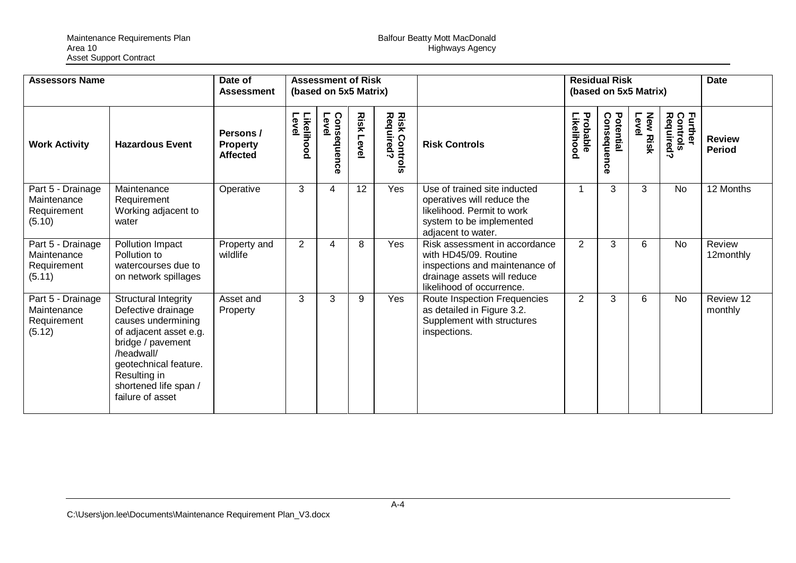| <b>Assessors Name</b>                                     |                                                                                                                                                                                                                            | Date of<br><b>Assessment</b>                    | <b>Assessment of Risk</b><br>(based on 5x5 Matrix) |                         |              |                                   |                                                                                                                                                      | <b>Residual Risk</b><br>(based on 5x5 Matrix) |                          |                          |                                                    | <b>Date</b>                    |
|-----------------------------------------------------------|----------------------------------------------------------------------------------------------------------------------------------------------------------------------------------------------------------------------------|-------------------------------------------------|----------------------------------------------------|-------------------------|--------------|-----------------------------------|------------------------------------------------------------------------------------------------------------------------------------------------------|-----------------------------------------------|--------------------------|--------------------------|----------------------------------------------------|--------------------------------|
| <b>Work Activity</b>                                      | <b>Hazardous Event</b>                                                                                                                                                                                                     | Persons /<br><b>Property</b><br><b>Affected</b> | Likelihood<br>Level                                | Consequer<br>Level<br>ດ | Risk<br>Leve | <b>Risk Controls</b><br>Required? | <b>Risk Controls</b>                                                                                                                                 | Probable<br>Likelihood                        | Potential<br>Consequence | <b>New Risk</b><br>Level | <b>Further</b><br>Control<br>Controls<br>Required? | <b>Review</b><br><b>Period</b> |
| Part 5 - Drainage<br>Maintenance<br>Requirement<br>(5.10) | Maintenance<br>Requirement<br>Working adjacent to<br>water                                                                                                                                                                 | Operative                                       | 3                                                  | 4                       | 12           | Yes                               | Use of trained site inducted<br>operatives will reduce the<br>likelihood. Permit to work<br>system to be implemented<br>adjacent to water.           | 1                                             | 3                        | 3                        | <b>No</b>                                          | 12 Months                      |
| Part 5 - Drainage<br>Maintenance<br>Requirement<br>(5.11) | Pollution Impact<br>Pollution to<br>watercourses due to<br>on network spillages                                                                                                                                            | Property and<br>wildlife                        | $\overline{2}$                                     | 4                       | 8            | <b>Yes</b>                        | Risk assessment in accordance<br>with HD45/09. Routine<br>inspections and maintenance of<br>drainage assets will reduce<br>likelihood of occurrence. | $\overline{2}$                                | 3                        | 6                        | <b>No</b>                                          | Review<br>12monthly            |
| Part 5 - Drainage<br>Maintenance<br>Requirement<br>(5.12) | <b>Structural Integrity</b><br>Defective drainage<br>causes undermining<br>of adjacent asset e.g.<br>bridge / pavement<br>/headwall/<br>geotechnical feature.<br>Resulting in<br>shortened life span /<br>failure of asset | Asset and<br>Property                           | 3                                                  | 3                       | 9            | <b>Yes</b>                        | Route Inspection Frequencies<br>as detailed in Figure 3.2.<br>Supplement with structures<br>inspections.                                             | $\overline{2}$                                | 3                        | 6                        | <b>No</b>                                          | Review 12<br>monthly           |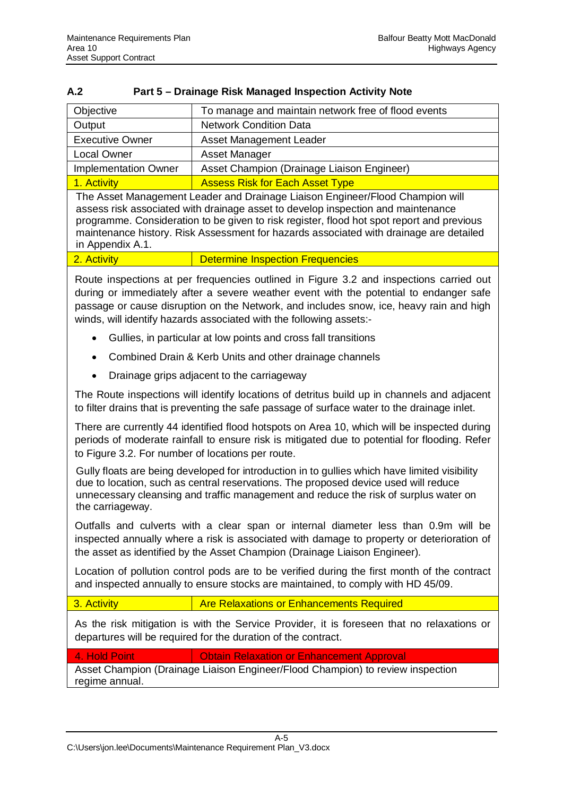#### <span id="page-23-0"></span>**A.2 Part 5 – Drainage Risk Managed Inspection Activity Note**

| To manage and maintain network free of flood events |
|-----------------------------------------------------|
| <b>Network Condition Data</b>                       |
| Asset Management Leader                             |
| <b>Asset Manager</b>                                |
| Asset Champion (Drainage Liaison Engineer)          |
| <b>Assess Risk for Each Asset Type</b>              |
|                                                     |

The Asset Management Leader and Drainage Liaison Engineer/Flood Champion will assess risk associated with drainage asset to develop inspection and maintenance programme. Consideration to be given to risk register, flood hot spot report and previous maintenance history. Risk Assessment for hazards associated with drainage are detailed in Appendix A.1.

Route inspections at per frequencies outlined in Figure 3.2 and inspections carried out during or immediately after a severe weather event with the potential to endanger safe passage or cause disruption on the Network, and includes snow, ice, heavy rain and high winds, will identify hazards associated with the following assets:-

- Gullies, in particular at low points and cross fall transitions
- Combined Drain & Kerb Units and other drainage channels
- Drainage grips adjacent to the carriageway

The Route inspections will identify locations of detritus build up in channels and adjacent to filter drains that is preventing the safe passage of surface water to the drainage inlet.

There are currently 44 identified flood hotspots on Area 10, which will be inspected during periods of moderate rainfall to ensure risk is mitigated due to potential for flooding. Refer to Figure 3.2. For number of locations per route.

Gully floats are being developed for introduction in to gullies which have limited visibility due to location, such as central reservations. The proposed device used will reduce unnecessary cleansing and traffic management and reduce the risk of surplus water on the carriageway.

Outfalls and culverts with a clear span or internal diameter less than 0.9m will be inspected annually where a risk is associated with damage to property or deterioration of the asset as identified by the Asset Champion (Drainage Liaison Engineer).

Location of pollution control pods are to be verified during the first month of the contract and inspected annually to ensure stocks are maintained, to comply with HD 45/09.

3. Activity **Are Relaxations or Enhancements Required** 

As the risk mitigation is with the Service Provider, it is foreseen that no relaxations or departures will be required for the duration of the contract.

4. Hold Point **Contain Belaxation or Enhancement Approval** 

Asset Champion (Drainage Liaison Engineer/Flood Champion) to review inspection regime annual.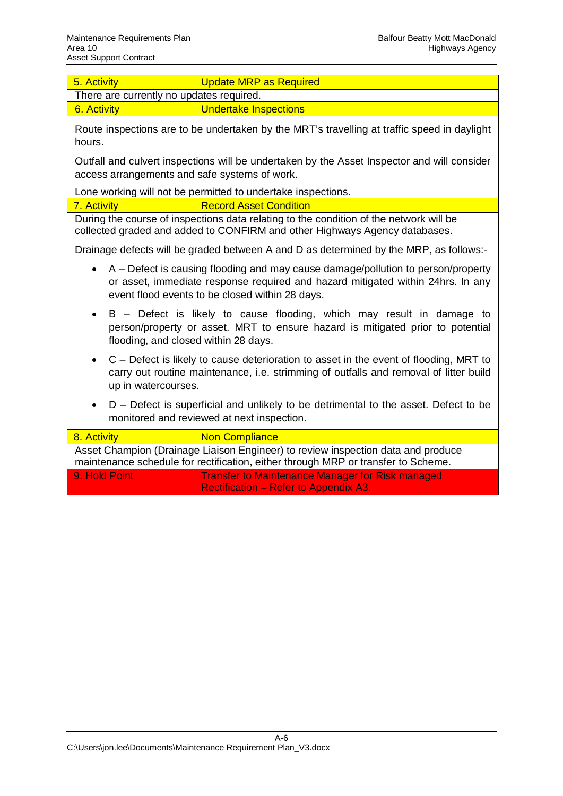| Area 10<br>Asset Support Contract                 | <b>Highways Agency</b>                                                                                                                                                                                                 |
|---------------------------------------------------|------------------------------------------------------------------------------------------------------------------------------------------------------------------------------------------------------------------------|
| 5. Activity                                       | <b>Update MRP as Required</b>                                                                                                                                                                                          |
| There are currently no updates required.          |                                                                                                                                                                                                                        |
| 6. Activity                                       | <b>Undertake Inspections</b>                                                                                                                                                                                           |
| hours.                                            | Route inspections are to be undertaken by the MRT's travelling at traffic speed in daylight                                                                                                                            |
| access arrangements and safe systems of work.     | Outfall and culvert inspections will be undertaken by the Asset Inspector and will consider                                                                                                                            |
|                                                   | Lone working will not be permitted to undertake inspections.                                                                                                                                                           |
| 7. Activity                                       | <b>Record Asset Condition</b>                                                                                                                                                                                          |
|                                                   | During the course of inspections data relating to the condition of the network will be<br>collected graded and added to CONFIRM and other Highways Agency databases.                                                   |
|                                                   | Drainage defects will be graded between A and D as determined by the MRP, as follows:-                                                                                                                                 |
| $\bullet$                                         | A – Defect is causing flooding and may cause damage/pollution to person/property<br>or asset, immediate response required and hazard mitigated within 24hrs. In any<br>event flood events to be closed within 28 days. |
| $\bullet$<br>flooding, and closed within 28 days. | B – Defect is likely to cause flooding, which may result in damage to<br>person/property or asset. MRT to ensure hazard is mitigated prior to potential                                                                |
| $\bullet$<br>up in watercourses.                  | C – Defect is likely to cause deterioration to asset in the event of flooding, MRT to<br>carry out routine maintenance, i.e. strimming of outfalls and removal of litter build                                         |
| $\bullet$                                         | D – Defect is superficial and unlikely to be detrimental to the asset. Defect to be<br>monitored and reviewed at next inspection.                                                                                      |
| $\mathbf{R}$<br><b>Activity</b>                   | Non Compliance                                                                                                                                                                                                         |

| 8. Activity      | <b>Non Compliance</b>                                                                                                                                                 |  |  |  |  |  |
|------------------|-----------------------------------------------------------------------------------------------------------------------------------------------------------------------|--|--|--|--|--|
|                  | Asset Champion (Drainage Liaison Engineer) to review inspection data and produce<br>maintenance schedule for rectification, either through MRP or transfer to Scheme. |  |  |  |  |  |
| 19. Hold Point ! | <b>Transfer to Maintenance Manager for Risk managed</b><br><b>Rectification – Refer to Appendix A3.</b>                                                               |  |  |  |  |  |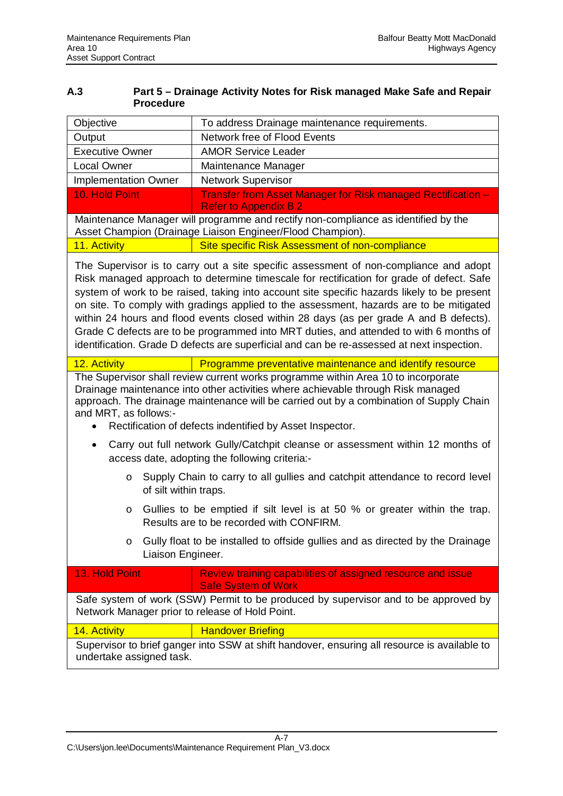<span id="page-25-0"></span>

| A.3 | Part 5 – Drainage Activity Notes for Risk managed Make Safe and Repair |
|-----|------------------------------------------------------------------------|
|     | <b>Procedure</b>                                                       |

| Objective                                                                                                                                                                                                                                                                                                                                                                                                                                | To address Drainage maintenance requirements.                                                                                                                                                                                                                                                                                                                                                                                                                                                                                                                                                                                                                 |  |  |  |  |  |  |  |
|------------------------------------------------------------------------------------------------------------------------------------------------------------------------------------------------------------------------------------------------------------------------------------------------------------------------------------------------------------------------------------------------------------------------------------------|---------------------------------------------------------------------------------------------------------------------------------------------------------------------------------------------------------------------------------------------------------------------------------------------------------------------------------------------------------------------------------------------------------------------------------------------------------------------------------------------------------------------------------------------------------------------------------------------------------------------------------------------------------------|--|--|--|--|--|--|--|
| Output                                                                                                                                                                                                                                                                                                                                                                                                                                   | Network free of Flood Events                                                                                                                                                                                                                                                                                                                                                                                                                                                                                                                                                                                                                                  |  |  |  |  |  |  |  |
| <b>Executive Owner</b>                                                                                                                                                                                                                                                                                                                                                                                                                   | <b>AMOR Service Leader</b>                                                                                                                                                                                                                                                                                                                                                                                                                                                                                                                                                                                                                                    |  |  |  |  |  |  |  |
| <b>Local Owner</b>                                                                                                                                                                                                                                                                                                                                                                                                                       | Maintenance Manager                                                                                                                                                                                                                                                                                                                                                                                                                                                                                                                                                                                                                                           |  |  |  |  |  |  |  |
| <b>Implementation Owner</b>                                                                                                                                                                                                                                                                                                                                                                                                              | <b>Network Supervisor</b>                                                                                                                                                                                                                                                                                                                                                                                                                                                                                                                                                                                                                                     |  |  |  |  |  |  |  |
| 10. Hold Point                                                                                                                                                                                                                                                                                                                                                                                                                           | Transfer from Asset Manager for Risk managed Rectification -<br><b>Refer to Appendix B.2</b>                                                                                                                                                                                                                                                                                                                                                                                                                                                                                                                                                                  |  |  |  |  |  |  |  |
|                                                                                                                                                                                                                                                                                                                                                                                                                                          | Maintenance Manager will programme and rectify non-compliance as identified by the<br>Asset Champion (Drainage Liaison Engineer/Flood Champion).                                                                                                                                                                                                                                                                                                                                                                                                                                                                                                              |  |  |  |  |  |  |  |
| 11. Activity                                                                                                                                                                                                                                                                                                                                                                                                                             | Site specific Risk Assessment of non-compliance                                                                                                                                                                                                                                                                                                                                                                                                                                                                                                                                                                                                               |  |  |  |  |  |  |  |
|                                                                                                                                                                                                                                                                                                                                                                                                                                          | The Supervisor is to carry out a site specific assessment of non-compliance and adopt<br>Risk managed approach to determine timescale for rectification for grade of defect. Safe<br>system of work to be raised, taking into account site specific hazards likely to be present<br>on site. To comply with gradings applied to the assessment, hazards are to be mitigated<br>within 24 hours and flood events closed within 28 days (as per grade A and B defects).<br>Grade C defects are to be programmed into MRT duties, and attended to with 6 months of<br>identification. Grade D defects are superficial and can be re-assessed at next inspection. |  |  |  |  |  |  |  |
| 12. Activity                                                                                                                                                                                                                                                                                                                                                                                                                             | Programme preventative maintenance and identify resource                                                                                                                                                                                                                                                                                                                                                                                                                                                                                                                                                                                                      |  |  |  |  |  |  |  |
| The Supervisor shall review current works programme within Area 10 to incorporate<br>Drainage maintenance into other activities where achievable through Risk managed<br>approach. The drainage maintenance will be carried out by a combination of Supply Chain<br>and MRT, as follows:-<br>Rectification of defects indentified by Asset Inspector.<br>Carry out full network Gully/Catchpit cleanse or assessment within 12 months of |                                                                                                                                                                                                                                                                                                                                                                                                                                                                                                                                                                                                                                                               |  |  |  |  |  |  |  |
|                                                                                                                                                                                                                                                                                                                                                                                                                                          | access date, adopting the following criteria:-                                                                                                                                                                                                                                                                                                                                                                                                                                                                                                                                                                                                                |  |  |  |  |  |  |  |
| Supply Chain to carry to all gullies and catchpit attendance to record level<br>O<br>of silt within traps.                                                                                                                                                                                                                                                                                                                               |                                                                                                                                                                                                                                                                                                                                                                                                                                                                                                                                                                                                                                                               |  |  |  |  |  |  |  |
| Gullies to be emptied if silt level is at 50 % or greater within the trap.<br>O<br>Results are to be recorded with CONFIRM.                                                                                                                                                                                                                                                                                                              |                                                                                                                                                                                                                                                                                                                                                                                                                                                                                                                                                                                                                                                               |  |  |  |  |  |  |  |
| Gully float to be installed to offside gullies and as directed by the Drainage<br>O<br>Liaison Engineer.                                                                                                                                                                                                                                                                                                                                 |                                                                                                                                                                                                                                                                                                                                                                                                                                                                                                                                                                                                                                                               |  |  |  |  |  |  |  |
| 13. Hold Point                                                                                                                                                                                                                                                                                                                                                                                                                           | Review training capabilities of assigned resource and issue<br><b>Safe System of Work</b>                                                                                                                                                                                                                                                                                                                                                                                                                                                                                                                                                                     |  |  |  |  |  |  |  |
| Network Manager prior to release of Hold Point.                                                                                                                                                                                                                                                                                                                                                                                          | Safe system of work (SSW) Permit to be produced by supervisor and to be approved by                                                                                                                                                                                                                                                                                                                                                                                                                                                                                                                                                                           |  |  |  |  |  |  |  |
| 14. Activity                                                                                                                                                                                                                                                                                                                                                                                                                             | <b>Handover Briefing</b>                                                                                                                                                                                                                                                                                                                                                                                                                                                                                                                                                                                                                                      |  |  |  |  |  |  |  |
| Supervisor to brief ganger into SSW at shift handover, ensuring all resource is available to<br>undertake assigned task.                                                                                                                                                                                                                                                                                                                 |                                                                                                                                                                                                                                                                                                                                                                                                                                                                                                                                                                                                                                                               |  |  |  |  |  |  |  |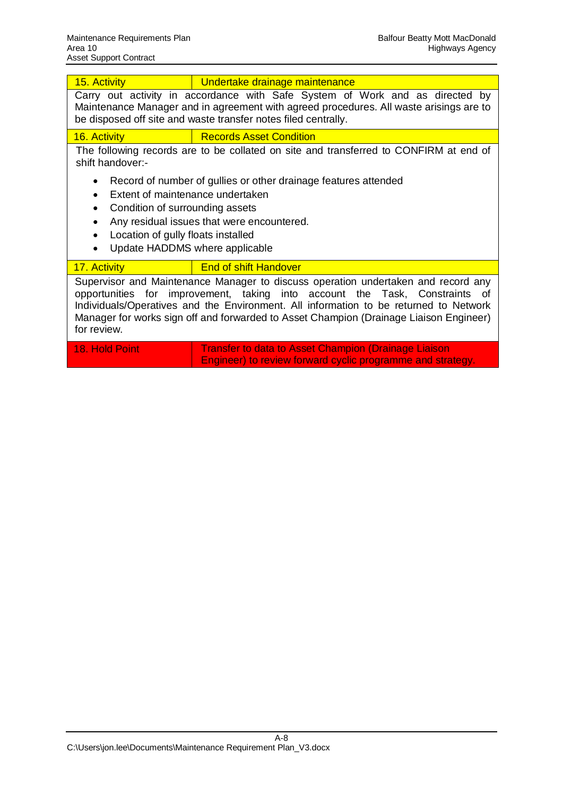| 15. Activity                                                                                                                                                                                                                                                           | Undertake drainage maintenance                                                                                                                                                                                                                                                                                                                      |  |  |  |  |  |  |  |
|------------------------------------------------------------------------------------------------------------------------------------------------------------------------------------------------------------------------------------------------------------------------|-----------------------------------------------------------------------------------------------------------------------------------------------------------------------------------------------------------------------------------------------------------------------------------------------------------------------------------------------------|--|--|--|--|--|--|--|
|                                                                                                                                                                                                                                                                        | Carry out activity in accordance with Safe System of Work and as directed by<br>Maintenance Manager and in agreement with agreed procedures. All waste arisings are to<br>be disposed off site and waste transfer notes filed centrally.                                                                                                            |  |  |  |  |  |  |  |
| 16. Activity                                                                                                                                                                                                                                                           | <b>Records Asset Condition</b>                                                                                                                                                                                                                                                                                                                      |  |  |  |  |  |  |  |
| The following records are to be collated on site and transferred to CONFIRM at end of<br>shift handover:-                                                                                                                                                              |                                                                                                                                                                                                                                                                                                                                                     |  |  |  |  |  |  |  |
| Record of number of gullies or other drainage features attended<br>Extent of maintenance undertaken<br>Condition of surrounding assets<br>٠<br>Any residual issues that were encountered.<br>٠<br>Location of gully floats installed<br>Update HADDMS where applicable |                                                                                                                                                                                                                                                                                                                                                     |  |  |  |  |  |  |  |
| 17. Activity                                                                                                                                                                                                                                                           | <b>End of shift Handover</b>                                                                                                                                                                                                                                                                                                                        |  |  |  |  |  |  |  |
| for review.                                                                                                                                                                                                                                                            | Supervisor and Maintenance Manager to discuss operation undertaken and record any<br>opportunities for improvement, taking into account the Task, Constraints of<br>Individuals/Operatives and the Environment. All information to be returned to Network<br>Manager for works sign off and forwarded to Asset Champion (Drainage Liaison Engineer) |  |  |  |  |  |  |  |
| 18. Hold Point                                                                                                                                                                                                                                                         | <b>Transfer to data to Asset Champion (Drainage Liaison</b>                                                                                                                                                                                                                                                                                         |  |  |  |  |  |  |  |

Engineer) to review forward cyclic programme and strategy.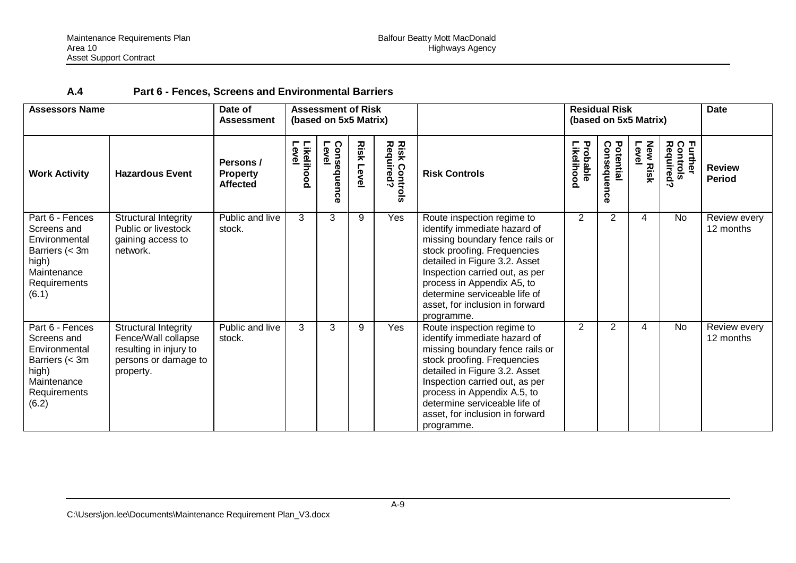| <b>Assessors Name</b><br>Date of<br><b>Assessment</b>                                                              |                                                                                                                   | <b>Assessment of Risk</b><br>(based on 5x5 Matrix) |                    |                        |                   |                                   | <b>Residual Risk</b><br>(based on 5x5 Matrix)                                                                                                                                                                                                                                                                    |                        |                              |                          | <b>Date</b>                      |                                |
|--------------------------------------------------------------------------------------------------------------------|-------------------------------------------------------------------------------------------------------------------|----------------------------------------------------|--------------------|------------------------|-------------------|-----------------------------------|------------------------------------------------------------------------------------------------------------------------------------------------------------------------------------------------------------------------------------------------------------------------------------------------------------------|------------------------|------------------------------|--------------------------|----------------------------------|--------------------------------|
| <b>Work Activity</b>                                                                                               | <b>Hazardous Event</b>                                                                                            | Persons /<br><b>Property</b><br><b>Affected</b>    | Likelihood<br>evel | Conseque<br>Level<br>ō | <b>Risk Level</b> | <b>Risk Controls</b><br>Required? | <b>Risk Controls</b>                                                                                                                                                                                                                                                                                             | Likelihood<br>Probable | Potential<br>Consequenc<br>Õ | <b>New Risk</b><br>Level | Further<br>Controls<br>Required? | <b>Review</b><br><b>Period</b> |
| Part 6 - Fences<br>Screens and<br>Environmental<br>Barriers (< 3m<br>high)<br>Maintenance<br>Requirements<br>(6.1) | Structural Integrity<br>Public or livestock<br>gaining access to<br>network.                                      | Public and live<br>stock.                          | 3                  | 3                      | 9                 | Yes                               | Route inspection regime to<br>identify immediate hazard of<br>missing boundary fence rails or<br>stock proofing. Frequencies<br>detailed in Figure 3.2. Asset<br>Inspection carried out, as per<br>process in Appendix A5, to<br>determine serviceable life of<br>asset, for inclusion in forward<br>programme.  | 2                      | $\overline{2}$               | 4                        | No                               | Review every<br>12 months      |
| Part 6 - Fences<br>Screens and<br>Environmental<br>Barriers (< 3m<br>high)<br>Maintenance<br>Requirements<br>(6.2) | <b>Structural Integrity</b><br>Fence/Wall collapse<br>resulting in injury to<br>persons or damage to<br>property. | Public and live<br>stock.                          | 3                  | 3                      | 9                 | Yes                               | Route inspection regime to<br>identify immediate hazard of<br>missing boundary fence rails or<br>stock proofing. Frequencies<br>detailed in Figure 3.2. Asset<br>Inspection carried out, as per<br>process in Appendix A.5, to<br>determine serviceable life of<br>asset, for inclusion in forward<br>programme. | 2                      | $\overline{2}$               | 4                        | No                               | Review every<br>12 months      |

## <span id="page-27-0"></span>**A.4 Part 6 - Fences, Screens and Environmental Barriers**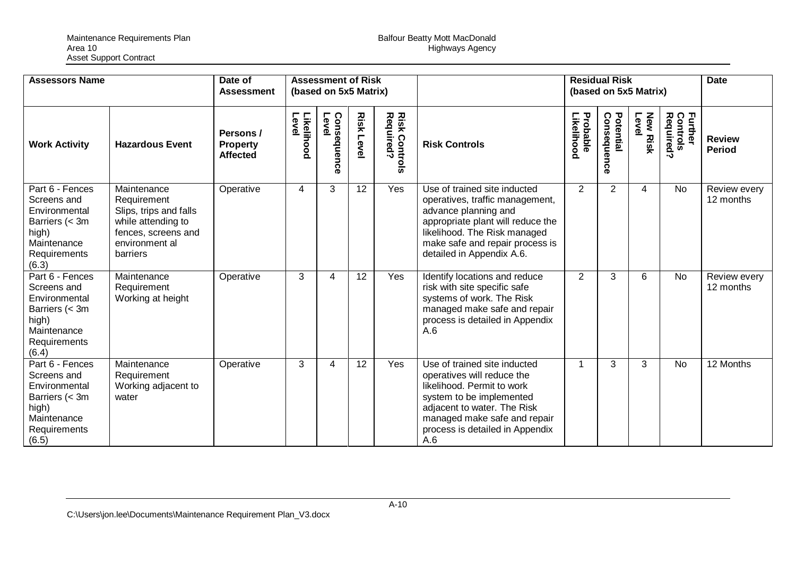| <b>Assessors Name</b>                                                                                              |                                                                                                                                 | Date of<br><b>Assessment</b>                    |                     | <b>Assessment of Risk</b><br>(based on 5x5 Matrix) |                   |                                    |                                                                                                                                                                                                                               |                        | <b>Residual Risk</b><br>(based on 5x5 Matrix) |                         |                                                    | <b>Date</b>                    |
|--------------------------------------------------------------------------------------------------------------------|---------------------------------------------------------------------------------------------------------------------------------|-------------------------------------------------|---------------------|----------------------------------------------------|-------------------|------------------------------------|-------------------------------------------------------------------------------------------------------------------------------------------------------------------------------------------------------------------------------|------------------------|-----------------------------------------------|-------------------------|----------------------------------------------------|--------------------------------|
| <b>Work Activity</b>                                                                                               | <b>Hazardous Event</b>                                                                                                          | Persons /<br><b>Property</b><br><b>Affected</b> | Level<br>Likelihood | Consequence<br>Level                               | <b>Risk Level</b> | <b>Risk Controls<br/>Required?</b> | <b>Risk Controls</b>                                                                                                                                                                                                          | Probable<br>Likelihood | Potential<br>Consequence                      | <b>New Risk</b><br>Leve | Controls<br>Required?<br><b>Further</b><br>Control | <b>Review</b><br><b>Period</b> |
| Part 6 - Fences<br>Screens and<br>Environmental<br>Barriers (< 3m<br>high)<br>Maintenance<br>Requirements<br>(6.3) | Maintenance<br>Requirement<br>Slips, trips and falls<br>while attending to<br>fences, screens and<br>environment al<br>barriers | Operative                                       | 4                   | 3                                                  | 12                | Yes                                | Use of trained site inducted<br>operatives, traffic management,<br>advance planning and<br>appropriate plant will reduce the<br>likelihood. The Risk managed<br>make safe and repair process is<br>detailed in Appendix A.6.  | 2                      | 2                                             | 4                       | <b>No</b>                                          | Review every<br>12 months      |
| Part 6 - Fences<br>Screens and<br>Environmental<br>Barriers (< 3m<br>high)<br>Maintenance<br>Requirements<br>(6.4) | Maintenance<br>Requirement<br>Working at height                                                                                 | Operative                                       | 3                   | 4                                                  | 12                | Yes                                | Identify locations and reduce<br>risk with site specific safe<br>systems of work. The Risk<br>managed make safe and repair<br>process is detailed in Appendix<br>A.6                                                          | $\overline{2}$         | 3                                             | 6                       | <b>No</b>                                          | Review every<br>12 months      |
| Part 6 - Fences<br>Screens and<br>Environmental<br>Barriers (< 3m<br>high)<br>Maintenance<br>Requirements<br>(6.5) | Maintenance<br>Requirement<br>Working adjacent to<br>water                                                                      | Operative                                       | 3                   | 4                                                  | 12                | <b>Yes</b>                         | Use of trained site inducted<br>operatives will reduce the<br>likelihood. Permit to work<br>system to be implemented<br>adjacent to water. The Risk<br>managed make safe and repair<br>process is detailed in Appendix<br>A.6 | $\overline{1}$         | 3                                             | 3                       | <b>No</b>                                          | 12 Months                      |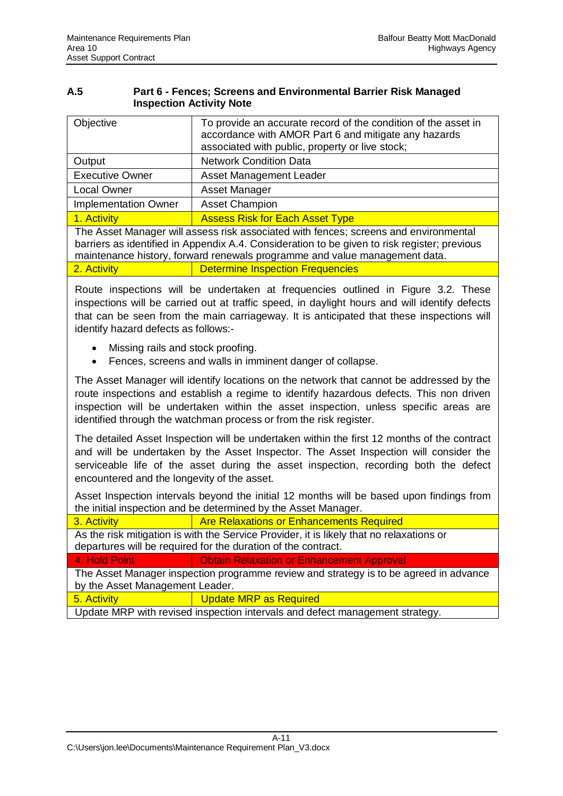<span id="page-29-0"></span>

| A.5 | Part 6 - Fences; Screens and Environmental Barrier Risk Managed |
|-----|-----------------------------------------------------------------|
|     | <b>Inspection Activity Note</b>                                 |

| Objective                   | To provide an accurate record of the condition of the asset in<br>accordance with AMOR Part 6 and mitigate any hazards<br>associated with public, property or live stock; |
|-----------------------------|---------------------------------------------------------------------------------------------------------------------------------------------------------------------------|
| Output                      | <b>Network Condition Data</b>                                                                                                                                             |
| <b>Executive Owner</b>      | Asset Management Leader                                                                                                                                                   |
| <b>Local Owner</b>          | <b>Asset Manager</b>                                                                                                                                                      |
| <b>Implementation Owner</b> | <b>Asset Champion</b>                                                                                                                                                     |
| 1. Activity                 | <b>Assess Risk for Each Asset Type</b>                                                                                                                                    |
|                             | The Asset Manager will assess risk associated with fences; screens and environmental                                                                                      |

barriers as identified in Appendix A.4. Consideration to be given to risk register; previous maintenance history, forward renewals programme and value management data.

2. Activity **Determine Inspection Frequencies** 

Route inspections will be undertaken at frequencies outlined in Figure 3.2. These inspections will be carried out at traffic speed, in daylight hours and will identify defects that can be seen from the main carriageway. It is anticipated that these inspections will identify hazard defects as follows:-

- Missing rails and stock proofing.
- Fences, screens and walls in imminent danger of collapse.

The Asset Manager will identify locations on the network that cannot be addressed by the route inspections and establish a regime to identify hazardous defects. This non driven inspection will be undertaken within the asset inspection, unless specific areas are identified through the watchman process or from the risk register.

The detailed Asset Inspection will be undertaken within the first 12 months of the contract and will be undertaken by the Asset Inspector. The Asset Inspection will consider the serviceable life of the asset during the asset inspection, recording both the defect encountered and the longevity of the asset.

Asset Inspection intervals beyond the initial 12 months will be based upon findings from the initial inspection and be determined by the Asset Manager.

3. Activity **Are Relaxations or Enhancements Required** 

As the risk mitigation is with the Service Provider, it is likely that no relaxations or departures will be required for the duration of the contract.

4. Hold Point **Contain Colombia Point Approval** 

The Asset Manager inspection programme review and strategy is to be agreed in advance by the Asset Management Leader.

5. Activity **Update MRP** as Required

Update MRP with revised inspection intervals and defect management strategy.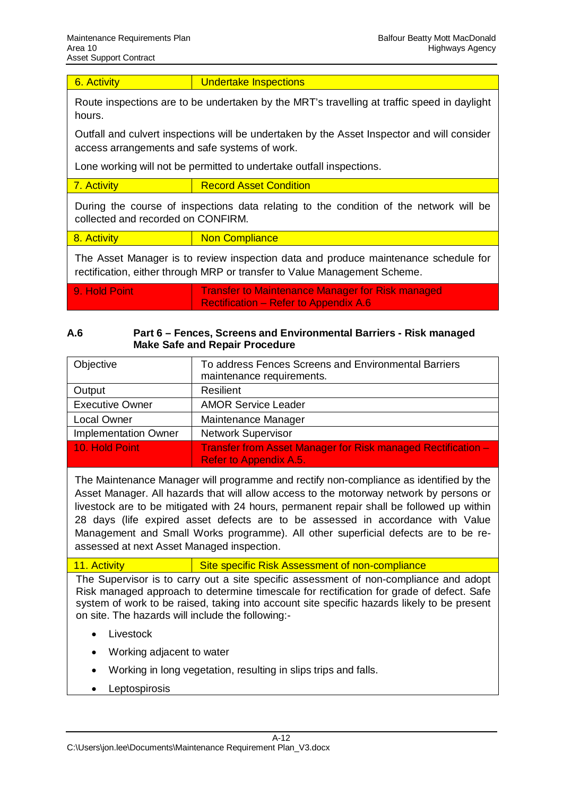6. Activity **Conservation Undertake Inspections** 

Route inspections are to be undertaken by the MRT's travelling at traffic speed in daylight hours.

Outfall and culvert inspections will be undertaken by the Asset Inspector and will consider access arrangements and safe systems of work.

Lone working will not be permitted to undertake outfall inspections.

| <b>Record Asset Condition</b> |
|-------------------------------|
|                               |

During the course of inspections data relating to the condition of the network will be collected and recorded on CONFIRM.

| 8. Activity | <b>Non Compliance</b> |
|-------------|-----------------------|
|             |                       |

The Asset Manager is to review inspection data and produce maintenance schedule for rectification, either through MRP or transfer to Value Management Scheme.

9. Hold Point **Transfer to Maintenance Manager for Risk managed** Rectification – Refer to Appendix A.6

#### <span id="page-30-0"></span>**A.6 Part 6 – Fences, Screens and Environmental Barriers - Risk managed Make Safe and Repair Procedure**

| Objective                   | To address Fences Screens and Environmental Barriers<br>maintenance requirements.                    |
|-----------------------------|------------------------------------------------------------------------------------------------------|
| Output                      | Resilient                                                                                            |
| <b>Executive Owner</b>      | <b>AMOR Service Leader</b>                                                                           |
| <b>Local Owner</b>          | Maintenance Manager                                                                                  |
| <b>Implementation Owner</b> | <b>Network Supervisor</b>                                                                            |
| 10. Hold Point              | <b>Transfer from Asset Manager for Risk managed Rectification -</b><br><b>Refer to Appendix A.5.</b> |

The Maintenance Manager will programme and rectify non-compliance as identified by the Asset Manager. All hazards that will allow access to the motorway network by persons or livestock are to be mitigated with 24 hours, permanent repair shall be followed up within 28 days (life expired asset defects are to be assessed in accordance with Value Management and Small Works programme). All other superficial defects are to be reassessed at next Asset Managed inspection.

11. Activity Site specific Risk Assessment of non-compliance

The Supervisor is to carry out a site specific assessment of non-compliance and adopt Risk managed approach to determine timescale for rectification for grade of defect. Safe system of work to be raised, taking into account site specific hazards likely to be present on site. The hazards will include the following:-

- Livestock
- x Working adjacent to water
- Working in long vegetation, resulting in slips trips and falls.
- Leptospirosis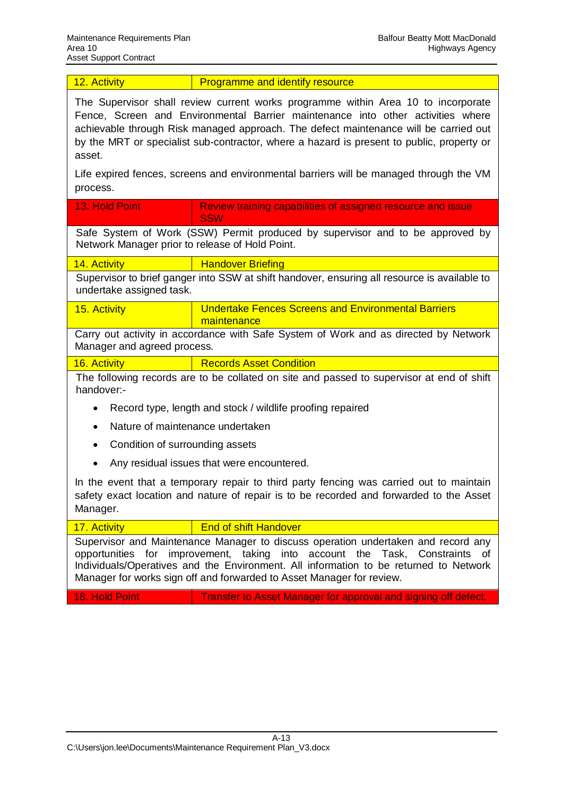| 12. Activity |  |  |
|--------------|--|--|
|              |  |  |

Programme and identify resource

The Supervisor shall review current works programme within Area 10 to incorporate Fence, Screen and Environmental Barrier maintenance into other activities where achievable through Risk managed approach. The defect maintenance will be carried out by the MRT or specialist sub-contractor, where a hazard is present to public, property or asset.

Life expired fences, screens and environmental barriers will be managed through the VM process.

| 13. Hold Point                                                                                                                                                                                                                                                                                                                           | Review training capabilities of assigned resource and issue<br><b>SSW</b>                 |  |  |  |  |  |  |  |
|------------------------------------------------------------------------------------------------------------------------------------------------------------------------------------------------------------------------------------------------------------------------------------------------------------------------------------------|-------------------------------------------------------------------------------------------|--|--|--|--|--|--|--|
| Safe System of Work (SSW) Permit produced by supervisor and to be approved by<br>Network Manager prior to release of Hold Point.                                                                                                                                                                                                         |                                                                                           |  |  |  |  |  |  |  |
| 14. Activity                                                                                                                                                                                                                                                                                                                             | <b>Handover Briefing</b>                                                                  |  |  |  |  |  |  |  |
| Supervisor to brief ganger into SSW at shift handover, ensuring all resource is available to<br>undertake assigned task.                                                                                                                                                                                                                 |                                                                                           |  |  |  |  |  |  |  |
| 15. Activity                                                                                                                                                                                                                                                                                                                             | <b>Undertake Fences Screens and Environmental Barriers</b><br>maintenance                 |  |  |  |  |  |  |  |
| Manager and agreed process.                                                                                                                                                                                                                                                                                                              | Carry out activity in accordance with Safe System of Work and as directed by Network      |  |  |  |  |  |  |  |
| 16. Activity                                                                                                                                                                                                                                                                                                                             | <b>Records Asset Condition</b>                                                            |  |  |  |  |  |  |  |
| handover:-                                                                                                                                                                                                                                                                                                                               | The following records are to be collated on site and passed to supervisor at end of shift |  |  |  |  |  |  |  |
|                                                                                                                                                                                                                                                                                                                                          | Record type, length and stock / wildlife proofing repaired                                |  |  |  |  |  |  |  |
| Nature of maintenance undertaken                                                                                                                                                                                                                                                                                                         |                                                                                           |  |  |  |  |  |  |  |
| Condition of surrounding assets                                                                                                                                                                                                                                                                                                          |                                                                                           |  |  |  |  |  |  |  |
|                                                                                                                                                                                                                                                                                                                                          | Any residual issues that were encountered.                                                |  |  |  |  |  |  |  |
| In the event that a temporary repair to third party fencing was carried out to maintain<br>safety exact location and nature of repair is to be recorded and forwarded to the Asset<br>Manager.                                                                                                                                           |                                                                                           |  |  |  |  |  |  |  |
| 17. Activity                                                                                                                                                                                                                                                                                                                             | <b>End of shift Handover</b>                                                              |  |  |  |  |  |  |  |
| Supervisor and Maintenance Manager to discuss operation undertaken and record any<br>opportunities for improvement, taking into<br>account the Task, Constraints<br>of<br>Individuals/Operatives and the Environment. All information to be returned to Network<br>Manager for works sign off and forwarded to Asset Manager for review. |                                                                                           |  |  |  |  |  |  |  |

18. Hold Point **Transfer to Asset Manager for approval and signing off defect.**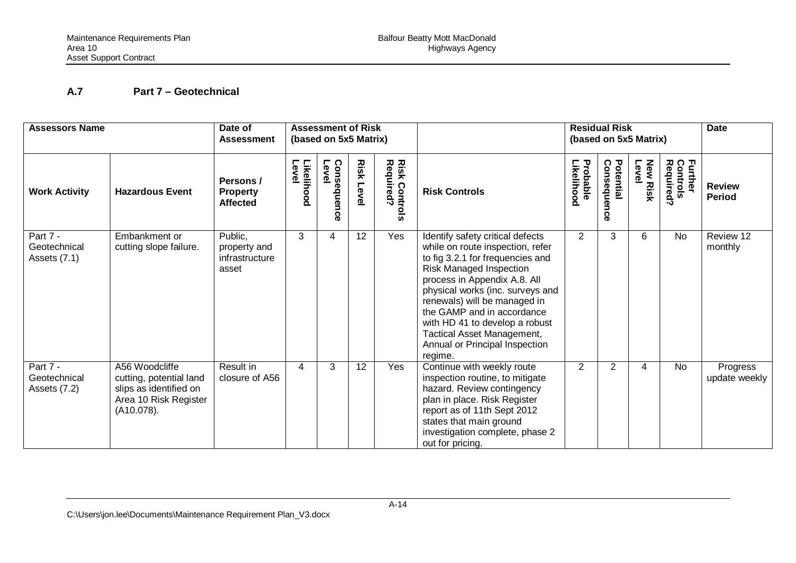## <span id="page-32-0"></span>**A.7 Part 7 – Geotechnical**

| <b>Assessors Name</b>                      |                                                                                                            | Date of<br><b>Assessment of Risk</b><br>(based on 5x5 Matrix)<br>Assessment |                       |                         |                  | <b>Residual Risk</b><br>(based on 5x5 Matrix) |                                                                                                                                                                                                                                                                                                                                                                                    |                        | <b>Date</b>              |                          |                                  |                                |
|--------------------------------------------|------------------------------------------------------------------------------------------------------------|-----------------------------------------------------------------------------|-----------------------|-------------------------|------------------|-----------------------------------------------|------------------------------------------------------------------------------------------------------------------------------------------------------------------------------------------------------------------------------------------------------------------------------------------------------------------------------------------------------------------------------------|------------------------|--------------------------|--------------------------|----------------------------------|--------------------------------|
| <b>Work Activity</b>                       | <b>Hazardous Event</b>                                                                                     | Persons /<br><b>Property</b><br><b>Affected</b>                             | Likelihood<br>Level   | Consequen<br>Level<br>ດ | <b>Risk Leve</b> | <b>Risk Controls</b><br>Required?             | <b>Risk Controls</b>                                                                                                                                                                                                                                                                                                                                                               | Probable<br>-ikelihood | Potential<br>Consequence | <b>New Risk</b><br>Level | Further<br>Controls<br>Required? | <b>Review</b><br><b>Period</b> |
| Part 7 -<br>Geotechnical<br>Assets $(7.1)$ | Embankment or<br>cutting slope failure.                                                                    | Public,<br>property and<br>infrastructure<br>asset                          | 3                     | 4                       | 12               | Yes                                           | Identify safety critical defects<br>while on route inspection, refer<br>to fig 3.2.1 for frequencies and<br>Risk Managed Inspection<br>process in Appendix A.8. All<br>physical works (inc. surveys and<br>renewals) will be managed in<br>the GAMP and in accordance<br>with HD 41 to develop a robust<br>Tactical Asset Management,<br>Annual or Principal Inspection<br>regime. | 2                      | 3                        | 6                        | No                               | Review 12<br>monthly           |
| Part 7 -<br>Geotechnical<br>Assets (7.2)   | A56 Woodcliffe<br>cutting, potential land<br>slips as identified on<br>Area 10 Risk Register<br>(A10.078). | Result in<br>closure of A56                                                 | $\boldsymbol{\Delta}$ | 3                       | 12               | Yes                                           | Continue with weekly route<br>inspection routine, to mitigate<br>hazard. Review contingency<br>plan in place. Risk Register<br>report as of 11th Sept 2012<br>states that main ground<br>investigation complete, phase 2<br>out for pricing.                                                                                                                                       | $\overline{2}$         | $\overline{2}$           | 4                        | <b>No</b>                        | Progress<br>update weekly      |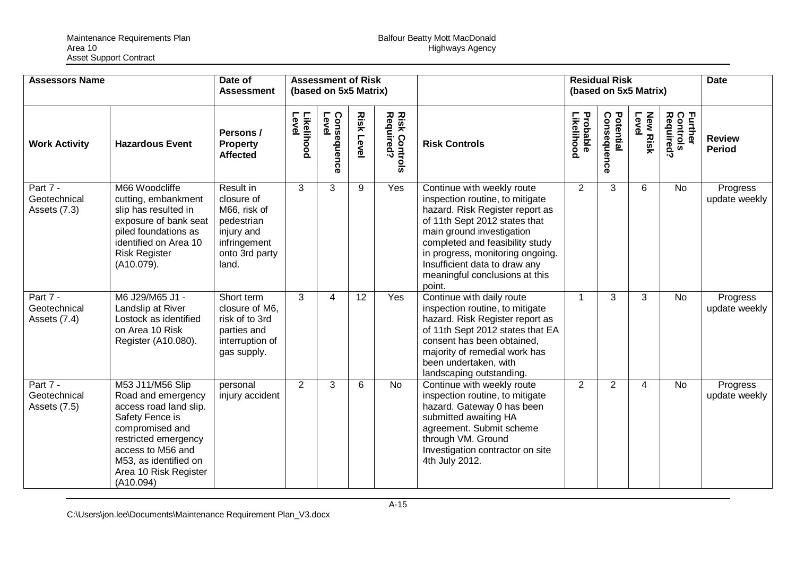| <b>Assessors Name</b>                    |                                                                                                                                                                                                                    | Date of<br><b>Assessment</b>                                                                                   | <b>Assessment of Risk</b><br>(based on 5x5 Matrix) |                      |                  |                                    | <b>Residual Risk</b><br>(based on 5x5 Matrix)                                                                                                                                                                                                                                                                      |                        |                          | <b>Date</b>       |                                         |                                |
|------------------------------------------|--------------------------------------------------------------------------------------------------------------------------------------------------------------------------------------------------------------------|----------------------------------------------------------------------------------------------------------------|----------------------------------------------------|----------------------|------------------|------------------------------------|--------------------------------------------------------------------------------------------------------------------------------------------------------------------------------------------------------------------------------------------------------------------------------------------------------------------|------------------------|--------------------------|-------------------|-----------------------------------------|--------------------------------|
| <b>Work Activity</b>                     | <b>Hazardous Event</b>                                                                                                                                                                                             | Persons /<br><b>Property</b><br><b>Affected</b>                                                                | Likelihood<br>Level                                | Consequence<br>Level | <b>Risk Leve</b> | <b>Risk Controls<br/>Required?</b> | <b>Risk Controls</b>                                                                                                                                                                                                                                                                                               | Likelihood<br>Probable | Potential<br>Consequence | New Risk<br>Level | Required?<br><b>Further</b><br>Controls | <b>Review</b><br><b>Period</b> |
| Part 7 -<br>Geotechnical<br>Assets (7.3) | M66 Woodcliffe<br>cutting, embankment<br>slip has resulted in<br>exposure of bank seat<br>piled foundations as<br>identified on Area 10<br><b>Risk Register</b><br>(A10.079).                                      | Result in<br>closure of<br>M66, risk of<br>pedestrian<br>injury and<br>infringement<br>onto 3rd party<br>land. | 3                                                  | 3                    | 9                | Yes                                | Continue with weekly route<br>inspection routine, to mitigate<br>hazard. Risk Register report as<br>of 11th Sept 2012 states that<br>main ground investigation<br>completed and feasibility study<br>in progress, monitoring ongoing.<br>Insufficient data to draw any<br>meaningful conclusions at this<br>point. | 2                      | 3                        | 6                 | <b>No</b>                               | Progress<br>update weekly      |
| Part 7 -<br>Geotechnical<br>Assets (7.4) | M6 J29/M65 J1 -<br>Landslip at River<br>Lostock as identified<br>on Area 10 Risk<br>Register (A10.080).                                                                                                            | Short term<br>closure of M6.<br>risk of to 3rd<br>parties and<br>interruption of<br>gas supply.                | 3                                                  | 4                    | 12               | Yes                                | Continue with daily route<br>inspection routine, to mitigate<br>hazard. Risk Register report as<br>of 11th Sept 2012 states that EA<br>consent has been obtained,<br>majority of remedial work has<br>been undertaken, with<br>landscaping outstanding.                                                            | 1                      | 3                        | 3                 | <b>No</b>                               | Progress<br>update weekly      |
| Part 7 -<br>Geotechnical<br>Assets (7.5) | M53 J11/M56 Slip<br>Road and emergency<br>access road land slip.<br>Safety Fence is<br>compromised and<br>restricted emergency<br>access to M56 and<br>M53, as identified on<br>Area 10 Risk Register<br>(A10.094) | personal<br>injury accident                                                                                    | 2                                                  | 3                    | 6                | <b>No</b>                          | Continue with weekly route<br>inspection routine, to mitigate<br>hazard. Gateway 0 has been<br>submitted awaiting HA<br>agreement. Submit scheme<br>through VM. Ground<br>Investigation contractor on site<br>4th July 2012.                                                                                       | $\overline{2}$         | 2                        | 4                 | <b>No</b>                               | Progress<br>update weekly      |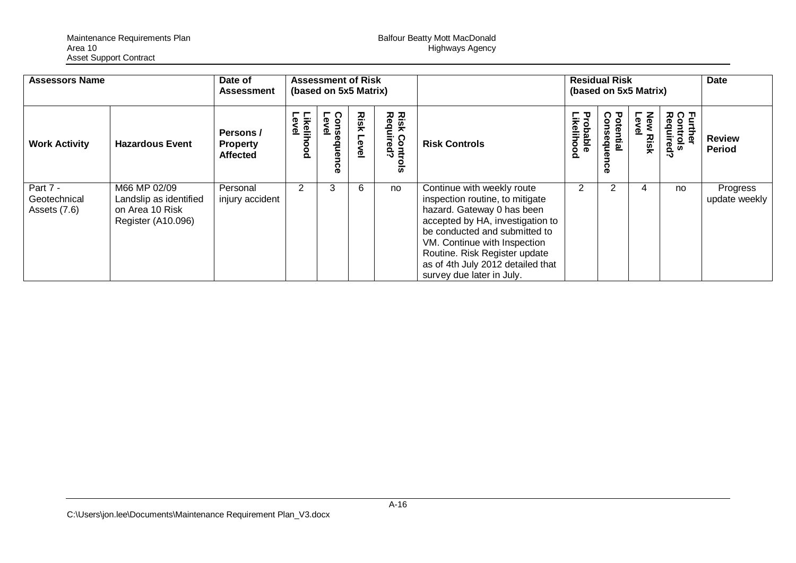Maintenance Requirements Plan Balfour Beatty Mott MacDonald Area 10 Highways Agency Asset Support Contract

| <b>Assessors Name</b>                    | Date of<br><b>Assessment</b>                                                    |                                                 | <b>Assessment of Risk</b><br>(based on 5x5 Matrix) |                                 |              |                                                                |                                                                                                                                                                                                                                                                                                     | <b>Residual Risk</b>           | (based on 5x5 Matrix)      |                            | Date                            |                                |
|------------------------------------------|---------------------------------------------------------------------------------|-------------------------------------------------|----------------------------------------------------|---------------------------------|--------------|----------------------------------------------------------------|-----------------------------------------------------------------------------------------------------------------------------------------------------------------------------------------------------------------------------------------------------------------------------------------------------|--------------------------------|----------------------------|----------------------------|---------------------------------|--------------------------------|
| <b>Work Activity</b>                     | <b>Hazardous Event</b>                                                          | Persons /<br><b>Property</b><br><b>Affected</b> | Likelihood<br>Level                                | Lev<br>O.<br>nseque<br> <br> al | Risk<br>Leve | <b>Risk Com<br/>Required</b><br>د٠<br>$\bar{\bar{\mathbf{w}}}$ | <b>Risk Controls</b>                                                                                                                                                                                                                                                                                | <b>Probable<br/>Likelihood</b> | Consequ<br>Potentia<br>င္ပ | New<br>Leve<br><b>Risk</b> | Further<br>Controls<br>Required | <b>Review</b><br><b>Period</b> |
| Part 7 -<br>Geotechnical<br>Assets (7.6) | M66 MP 02/09<br>Landslip as identified<br>on Area 10 Risk<br>Register (A10.096) | Personal<br>injury accident                     | $\mathbf{2}^{\circ}$                               | 3                               | 6            | no                                                             | Continue with weekly route<br>inspection routine, to mitigate<br>hazard. Gateway 0 has been<br>accepted by HA, investigation to<br>be conducted and submitted to<br>VM. Continue with Inspection<br>Routine. Risk Register update<br>as of 4th July 2012 detailed that<br>survey due later in July. | 2                              |                            | 4                          | no                              | Progress<br>update weekly      |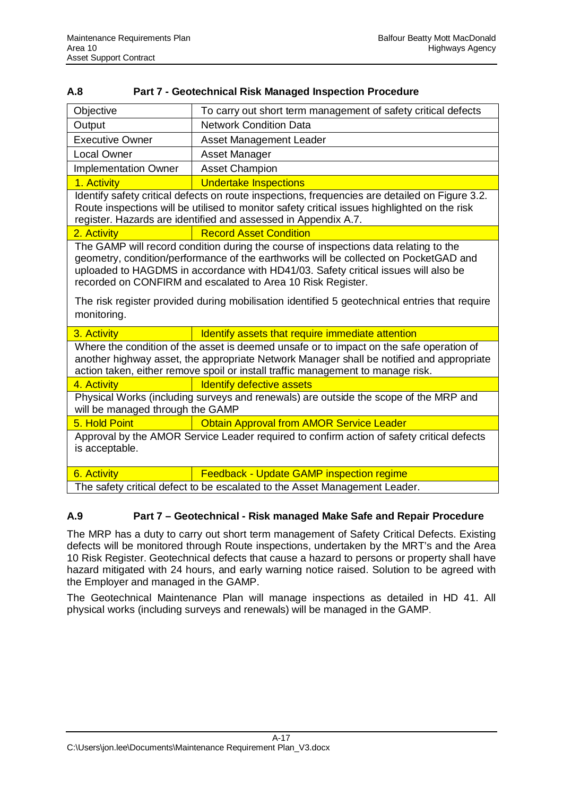<span id="page-35-0"></span>

| A.8 |                                                                |
|-----|----------------------------------------------------------------|
|     | <b>Part 7 - Geotechnical Risk Managed Inspection Procedure</b> |

| Objective                                                                                                                                                                                                                                                                                                                                                                                                                                         | To carry out short term management of safety critical defects                                                                                                                                                                                                    |  |  |  |  |  |  |
|---------------------------------------------------------------------------------------------------------------------------------------------------------------------------------------------------------------------------------------------------------------------------------------------------------------------------------------------------------------------------------------------------------------------------------------------------|------------------------------------------------------------------------------------------------------------------------------------------------------------------------------------------------------------------------------------------------------------------|--|--|--|--|--|--|
| Output                                                                                                                                                                                                                                                                                                                                                                                                                                            | <b>Network Condition Data</b>                                                                                                                                                                                                                                    |  |  |  |  |  |  |
| <b>Executive Owner</b>                                                                                                                                                                                                                                                                                                                                                                                                                            | Asset Management Leader                                                                                                                                                                                                                                          |  |  |  |  |  |  |
| <b>Local Owner</b>                                                                                                                                                                                                                                                                                                                                                                                                                                | Asset Manager                                                                                                                                                                                                                                                    |  |  |  |  |  |  |
| <b>Implementation Owner</b>                                                                                                                                                                                                                                                                                                                                                                                                                       | <b>Asset Champion</b>                                                                                                                                                                                                                                            |  |  |  |  |  |  |
| 1. Activity                                                                                                                                                                                                                                                                                                                                                                                                                                       | <b>Undertake Inspections</b>                                                                                                                                                                                                                                     |  |  |  |  |  |  |
|                                                                                                                                                                                                                                                                                                                                                                                                                                                   | Identify safety critical defects on route inspections, frequencies are detailed on Figure 3.2.<br>Route inspections will be utilised to monitor safety critical issues highlighted on the risk<br>register. Hazards are identified and assessed in Appendix A.7. |  |  |  |  |  |  |
| 2. Activity                                                                                                                                                                                                                                                                                                                                                                                                                                       | <b>Record Asset Condition</b>                                                                                                                                                                                                                                    |  |  |  |  |  |  |
| The GAMP will record condition during the course of inspections data relating to the<br>geometry, condition/performance of the earthworks will be collected on PocketGAD and<br>uploaded to HAGDMS in accordance with HD41/03. Safety critical issues will also be<br>recorded on CONFIRM and escalated to Area 10 Risk Register.<br>The risk register provided during mobilisation identified 5 geotechnical entries that require<br>monitoring. |                                                                                                                                                                                                                                                                  |  |  |  |  |  |  |
| 3. Activity                                                                                                                                                                                                                                                                                                                                                                                                                                       | Identify assets that require immediate attention                                                                                                                                                                                                                 |  |  |  |  |  |  |
| Where the condition of the asset is deemed unsafe or to impact on the safe operation of<br>another highway asset, the appropriate Network Manager shall be notified and appropriate<br>action taken, either remove spoil or install traffic management to manage risk.                                                                                                                                                                            |                                                                                                                                                                                                                                                                  |  |  |  |  |  |  |
| 4. Activity                                                                                                                                                                                                                                                                                                                                                                                                                                       | <b>Identify defective assets</b>                                                                                                                                                                                                                                 |  |  |  |  |  |  |
| Physical Works (including surveys and renewals) are outside the scope of the MRP and<br>will be managed through the GAMP                                                                                                                                                                                                                                                                                                                          |                                                                                                                                                                                                                                                                  |  |  |  |  |  |  |
| 5. Hold Point                                                                                                                                                                                                                                                                                                                                                                                                                                     | <b>Obtain Approval from AMOR Service Leader</b>                                                                                                                                                                                                                  |  |  |  |  |  |  |
| Approval by the AMOR Service Leader required to confirm action of safety critical defects<br>is acceptable.                                                                                                                                                                                                                                                                                                                                       |                                                                                                                                                                                                                                                                  |  |  |  |  |  |  |
| 6. Activity                                                                                                                                                                                                                                                                                                                                                                                                                                       | <b>Feedback - Update GAMP inspection regime</b>                                                                                                                                                                                                                  |  |  |  |  |  |  |
|                                                                                                                                                                                                                                                                                                                                                                                                                                                   | The safety critical defect to be escalated to the Asset Management Leader.                                                                                                                                                                                       |  |  |  |  |  |  |

#### <span id="page-35-1"></span>**A.9 Part 7 – Geotechnical - Risk managed Make Safe and Repair Procedure**

The MRP has a duty to carry out short term management of Safety Critical Defects. Existing defects will be monitored through Route inspections, undertaken by the MRT's and the Area 10 Risk Register. Geotechnical defects that cause a hazard to persons or property shall have hazard mitigated with 24 hours, and early warning notice raised. Solution to be agreed with the Employer and managed in the GAMP.

The Geotechnical Maintenance Plan will manage inspections as detailed in HD 41. All physical works (including surveys and renewals) will be managed in the GAMP.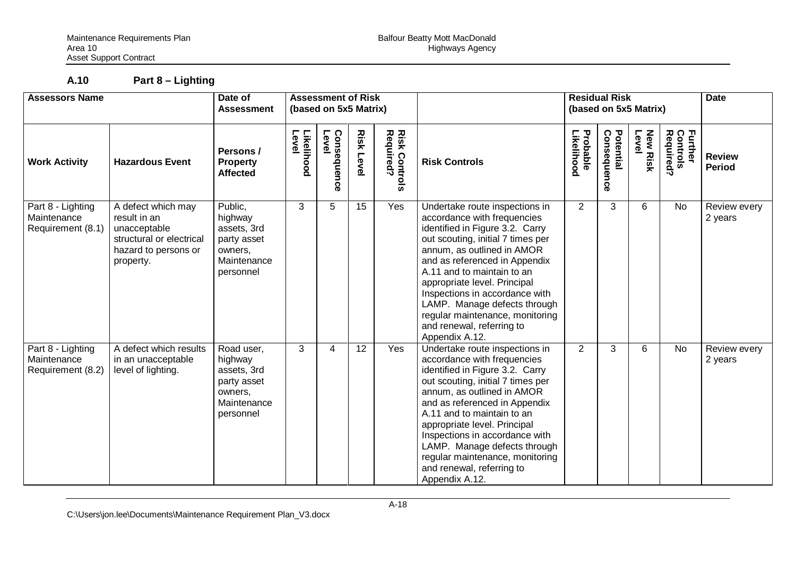**A.10 Part 8 – Lighting**

| <b>Assessors Name</b>                                 |                                                                                                                     | Date of<br><b>Assessment</b>                                                               | <b>Assessment of Risk</b><br>(based on 5x5 Matrix) |                               |                 |                                   |                                                                                                                                                                                                                                                                                                                                                                                                                        | <b>Residual Risk</b><br>(based on 5x5 Matrix) |                          | <b>Date</b>              |                                  |                                |
|-------------------------------------------------------|---------------------------------------------------------------------------------------------------------------------|--------------------------------------------------------------------------------------------|----------------------------------------------------|-------------------------------|-----------------|-----------------------------------|------------------------------------------------------------------------------------------------------------------------------------------------------------------------------------------------------------------------------------------------------------------------------------------------------------------------------------------------------------------------------------------------------------------------|-----------------------------------------------|--------------------------|--------------------------|----------------------------------|--------------------------------|
| <b>Work Activity</b>                                  | <b>Hazardous Event</b>                                                                                              | Persons /<br><b>Property</b><br><b>Affected</b>                                            | Likelihood<br>Level                                | Level<br><b>Conseque</b><br>š | Risk<br>Level   | <b>Risk Controls</b><br>Required? | <b>Risk Controls</b>                                                                                                                                                                                                                                                                                                                                                                                                   | Probable<br>Likelihood                        | Consequence<br>Potential | <b>New Risk</b><br>Level | Further<br>Controls<br>Required? | <b>Review</b><br><b>Period</b> |
| Part 8 - Lighting<br>Maintenance<br>Requirement (8.1) | A defect which may<br>result in an<br>unacceptable<br>structural or electrical<br>hazard to persons or<br>property. | Public,<br>highway<br>assets, 3rd<br>party asset<br>owners,<br>Maintenance<br>personnel    | 3                                                  | 5                             | 15              | Yes                               | Undertake route inspections in<br>accordance with frequencies<br>identified in Figure 3.2. Carry<br>out scouting, initial 7 times per<br>annum, as outlined in AMOR<br>and as referenced in Appendix<br>A.11 and to maintain to an<br>appropriate level. Principal<br>Inspections in accordance with<br>LAMP. Manage defects through<br>regular maintenance, monitoring<br>and renewal, referring to<br>Appendix A.12. | $\overline{2}$                                | 3                        | 6                        | <b>No</b>                        | Review every<br>2 years        |
| Part 8 - Lighting<br>Maintenance<br>Requirement (8.2) | A defect which results<br>in an unacceptable<br>level of lighting.                                                  | Road user,<br>highway<br>assets, 3rd<br>party asset<br>owners,<br>Maintenance<br>personnel | 3                                                  | 4                             | $\overline{12}$ | Yes                               | Undertake route inspections in<br>accordance with frequencies<br>identified in Figure 3.2. Carry<br>out scouting, initial 7 times per<br>annum, as outlined in AMOR<br>and as referenced in Appendix<br>A.11 and to maintain to an<br>appropriate level. Principal<br>Inspections in accordance with<br>LAMP. Manage defects through<br>regular maintenance, monitoring<br>and renewal, referring to<br>Appendix A.12. | $\overline{2}$                                | 3                        | 6                        | <b>No</b>                        | Review every<br>2 years        |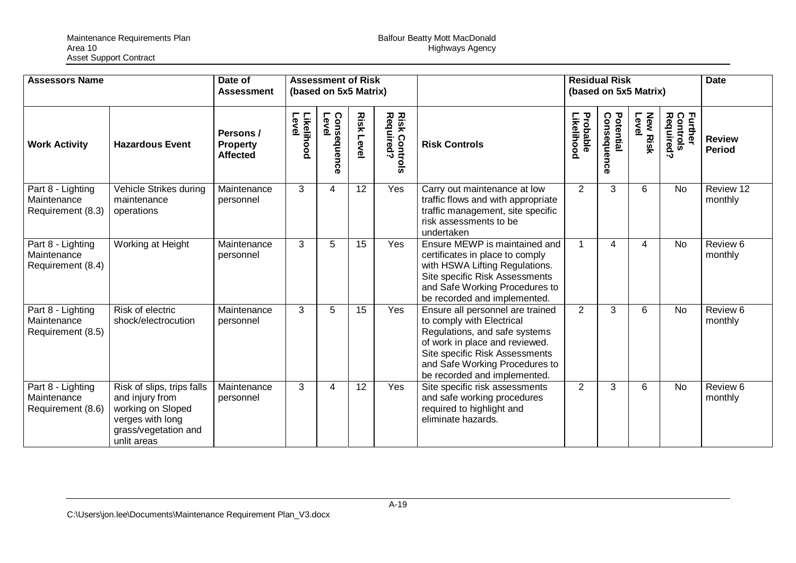| <b>Assessors Name</b><br><b>Assessment of Risk</b><br>Date of<br>(based on 5x5 Matrix)<br><b>Assessment</b> |                                                                                                                               |                                                 | <b>Residual Risk</b><br>(based on 5x5 Matrix) |                          |                   | <b>Date</b>                        |                                                                                                                                                                                                                                      |                        |                          |                          |                                                    |                                |
|-------------------------------------------------------------------------------------------------------------|-------------------------------------------------------------------------------------------------------------------------------|-------------------------------------------------|-----------------------------------------------|--------------------------|-------------------|------------------------------------|--------------------------------------------------------------------------------------------------------------------------------------------------------------------------------------------------------------------------------------|------------------------|--------------------------|--------------------------|----------------------------------------------------|--------------------------------|
| <b>Work Activity</b>                                                                                        | <b>Hazardous Event</b>                                                                                                        | Persons /<br><b>Property</b><br><b>Affected</b> | Level<br>Likelihood                           | Consequenc<br>Level<br>Õ | <b>Risk Level</b> | <b>Risk Controls<br/>Required?</b> | <b>Risk Controls</b>                                                                                                                                                                                                                 | Probable<br>Likelihood | Potential<br>Consequence | <b>New Risk</b><br>Level | <b>Further</b><br>Control<br>Controls<br>Required? | <b>Review</b><br><b>Period</b> |
| Part 8 - Lighting<br>Maintenance<br>Requirement (8.3)                                                       | Vehicle Strikes during<br>maintenance<br>operations                                                                           | Maintenance<br>personnel                        | 3                                             | 4                        | 12                | Yes                                | Carry out maintenance at low<br>traffic flows and with appropriate<br>traffic management, site specific<br>risk assessments to be<br>undertaken                                                                                      | 2                      | 3                        | 6                        | <b>No</b>                                          | Review 12<br>monthly           |
| Part 8 - Lighting<br>Maintenance<br>Requirement (8.4)                                                       | Working at Height                                                                                                             | Maintenance<br>personnel                        | 3                                             | 5                        | 15                | <b>Yes</b>                         | Ensure MEWP is maintained and<br>certificates in place to comply<br>with HSWA Lifting Regulations.<br>Site specific Risk Assessments<br>and Safe Working Procedures to<br>be recorded and implemented.                               | 1                      | $\overline{\mathcal{A}}$ | 4                        | No                                                 | Review 6<br>monthly            |
| Part 8 - Lighting<br>Maintenance<br>Requirement (8.5)                                                       | Risk of electric<br>shock/electrocution                                                                                       | Maintenance<br>personnel                        | 3                                             | 5                        | 15                | Yes                                | Ensure all personnel are trained<br>to comply with Electrical<br>Regulations, and safe systems<br>of work in place and reviewed.<br>Site specific Risk Assessments<br>and Safe Working Procedures to<br>be recorded and implemented. | $\overline{2}$         | 3                        | 6                        | <b>No</b>                                          | Review 6<br>monthly            |
| Part 8 - Lighting<br>Maintenance<br>Requirement (8.6)                                                       | Risk of slips, trips falls<br>and injury from<br>working on Sloped<br>verges with long<br>grass/vegetation and<br>unlit areas | Maintenance<br>personnel                        | 3                                             | 4                        | 12                | Yes                                | Site specific risk assessments<br>and safe working procedures<br>required to highlight and<br>eliminate hazards.                                                                                                                     | $\overline{2}$         | 3                        | 6                        | <b>No</b>                                          | Review 6<br>monthly            |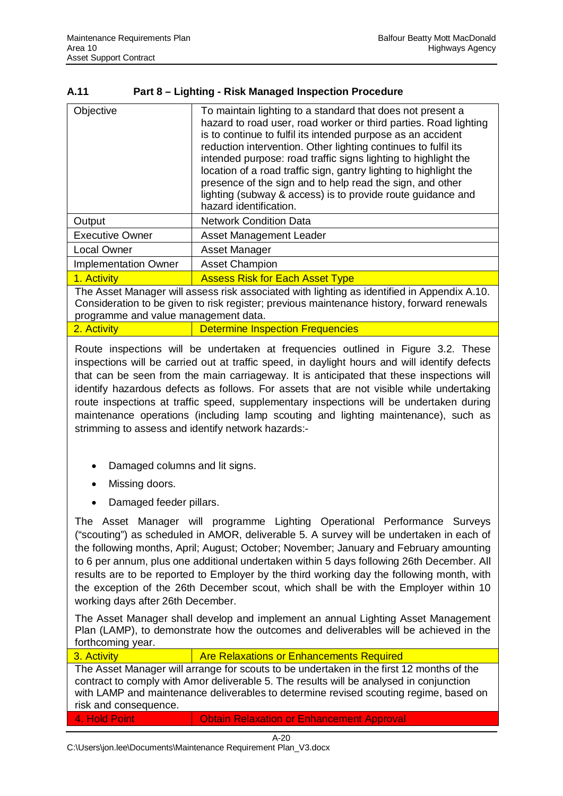## **A.11 Part 8 – Lighting - Risk Managed Inspection Procedure**

| Objective                            | To maintain lighting to a standard that does not present a<br>hazard to road user, road worker or third parties. Road lighting<br>is to continue to fulfil its intended purpose as an accident<br>reduction intervention. Other lighting continues to fulfil its<br>intended purpose: road traffic signs lighting to highlight the<br>location of a road traffic sign, gantry lighting to highlight the<br>presence of the sign and to help read the sign, and other<br>lighting (subway & access) is to provide route guidance and<br>hazard identification. |  |  |  |  |  |
|--------------------------------------|---------------------------------------------------------------------------------------------------------------------------------------------------------------------------------------------------------------------------------------------------------------------------------------------------------------------------------------------------------------------------------------------------------------------------------------------------------------------------------------------------------------------------------------------------------------|--|--|--|--|--|
| Output                               | <b>Network Condition Data</b>                                                                                                                                                                                                                                                                                                                                                                                                                                                                                                                                 |  |  |  |  |  |
| <b>Executive Owner</b>               | Asset Management Leader                                                                                                                                                                                                                                                                                                                                                                                                                                                                                                                                       |  |  |  |  |  |
| <b>Local Owner</b>                   | Asset Manager                                                                                                                                                                                                                                                                                                                                                                                                                                                                                                                                                 |  |  |  |  |  |
| <b>Implementation Owner</b>          | <b>Asset Champion</b>                                                                                                                                                                                                                                                                                                                                                                                                                                                                                                                                         |  |  |  |  |  |
| 1. Activity                          | <b>Assess Risk for Each Asset Type</b>                                                                                                                                                                                                                                                                                                                                                                                                                                                                                                                        |  |  |  |  |  |
| programme and value management data. | The Asset Manager will assess risk associated with lighting as identified in Appendix A.10.<br>Consideration to be given to risk register; previous maintenance history, forward renewals                                                                                                                                                                                                                                                                                                                                                                     |  |  |  |  |  |
| 2. Activity                          | <b>Determine Inspection Frequencies</b>                                                                                                                                                                                                                                                                                                                                                                                                                                                                                                                       |  |  |  |  |  |

Route inspections will be undertaken at frequencies outlined in Figure 3.2. These inspections will be carried out at traffic speed, in daylight hours and will identify defects that can be seen from the main carriageway. It is anticipated that these inspections will identify hazardous defects as follows. For assets that are not visible while undertaking route inspections at traffic speed, supplementary inspections will be undertaken during maintenance operations (including lamp scouting and lighting maintenance), such as strimming to assess and identify network hazards:-

- Damaged columns and lit signs.
- Missing doors.
- Damaged feeder pillars.

The Asset Manager will programme Lighting Operational Performance Surveys ("scouting") as scheduled in AMOR, deliverable 5. A survey will be undertaken in each of the following months, April; August; October; November; January and February amounting to 6 per annum, plus one additional undertaken within 5 days following 26th December. All results are to be reported to Employer by the third working day the following month, with the exception of the 26th December scout, which shall be with the Employer within 10 working days after 26th December.

The Asset Manager shall develop and implement an annual Lighting Asset Management Plan (LAMP), to demonstrate how the outcomes and deliverables will be achieved in the forthcoming year.

3. Activity **Are Relaxations or Enhancements Required** The Asset Manager will arrange for scouts to be undertaken in the first 12 months of the contract to comply with Amor deliverable 5. The results will be analysed in conjunction with LAMP and maintenance deliverables to determine revised scouting regime, based on risk and consequence.

4. Hold Point **Contain Relaxation or Enhancement Approval**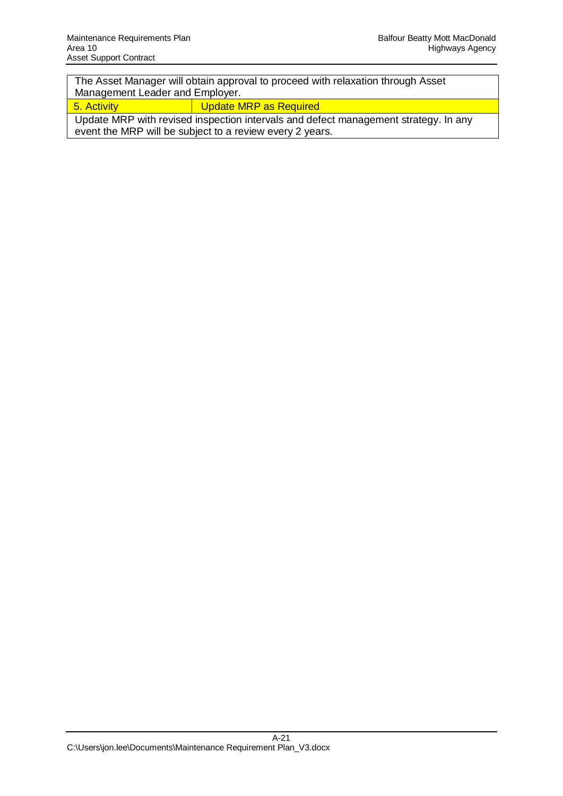The Asset Manager will obtain approval to proceed with relaxation through Asset Management Leader and Employer.

5. Activity **Update MRP** as Required

Update MRP with revised inspection intervals and defect management strategy. In any event the MRP will be subject to a review every 2 years.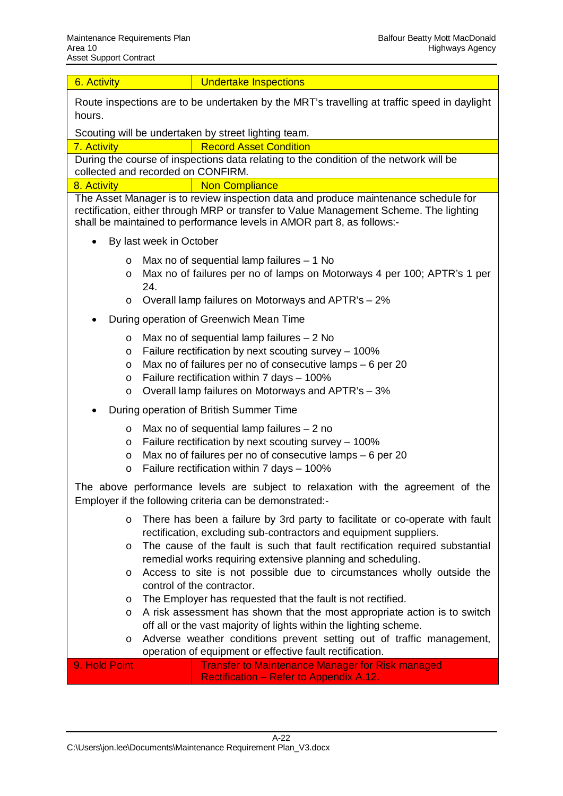| 6. Activity                                                                                                                                                                                                                                             | <b>Undertake Inspections</b>                                                                                                                                                                                                                                                                                                                                                                                                                                                                                                                                                                                                                                                                                                                                    |  |  |  |  |  |  |  |  |
|---------------------------------------------------------------------------------------------------------------------------------------------------------------------------------------------------------------------------------------------------------|-----------------------------------------------------------------------------------------------------------------------------------------------------------------------------------------------------------------------------------------------------------------------------------------------------------------------------------------------------------------------------------------------------------------------------------------------------------------------------------------------------------------------------------------------------------------------------------------------------------------------------------------------------------------------------------------------------------------------------------------------------------------|--|--|--|--|--|--|--|--|
| hours.                                                                                                                                                                                                                                                  | Route inspections are to be undertaken by the MRT's travelling at traffic speed in daylight                                                                                                                                                                                                                                                                                                                                                                                                                                                                                                                                                                                                                                                                     |  |  |  |  |  |  |  |  |
| Scouting will be undertaken by street lighting team.                                                                                                                                                                                                    |                                                                                                                                                                                                                                                                                                                                                                                                                                                                                                                                                                                                                                                                                                                                                                 |  |  |  |  |  |  |  |  |
| 7. Activity                                                                                                                                                                                                                                             | <b>Record Asset Condition</b>                                                                                                                                                                                                                                                                                                                                                                                                                                                                                                                                                                                                                                                                                                                                   |  |  |  |  |  |  |  |  |
| During the course of inspections data relating to the condition of the network will be<br>collected and recorded on CONFIRM.                                                                                                                            |                                                                                                                                                                                                                                                                                                                                                                                                                                                                                                                                                                                                                                                                                                                                                                 |  |  |  |  |  |  |  |  |
| 8. Activity                                                                                                                                                                                                                                             | <b>Non Compliance</b>                                                                                                                                                                                                                                                                                                                                                                                                                                                                                                                                                                                                                                                                                                                                           |  |  |  |  |  |  |  |  |
| The Asset Manager is to review inspection data and produce maintenance schedule for<br>rectification, either through MRP or transfer to Value Management Scheme. The lighting<br>shall be maintained to performance levels in AMOR part 8, as follows:- |                                                                                                                                                                                                                                                                                                                                                                                                                                                                                                                                                                                                                                                                                                                                                                 |  |  |  |  |  |  |  |  |
| By last week in October<br>$\bullet$                                                                                                                                                                                                                    |                                                                                                                                                                                                                                                                                                                                                                                                                                                                                                                                                                                                                                                                                                                                                                 |  |  |  |  |  |  |  |  |
| Max no of sequential lamp failures $-1$ No<br>$\circ$<br>Max no of failures per no of lamps on Motorways 4 per 100; APTR's 1 per<br>O<br>24.<br>Overall lamp failures on Motorways and APTR's - 2%<br>$\circ$                                           |                                                                                                                                                                                                                                                                                                                                                                                                                                                                                                                                                                                                                                                                                                                                                                 |  |  |  |  |  |  |  |  |
| During operation of Greenwich Mean Time                                                                                                                                                                                                                 |                                                                                                                                                                                                                                                                                                                                                                                                                                                                                                                                                                                                                                                                                                                                                                 |  |  |  |  |  |  |  |  |
| $\circ$<br>O<br>O<br>$\circ$<br>O                                                                                                                                                                                                                       | Max no of sequential lamp failures $-2$ No<br>Failure rectification by next scouting survey - 100%<br>Max no of failures per no of consecutive lamps - 6 per 20<br>Failure rectification within 7 days - 100%<br>Overall lamp failures on Motorways and APTR's - 3%                                                                                                                                                                                                                                                                                                                                                                                                                                                                                             |  |  |  |  |  |  |  |  |
|                                                                                                                                                                                                                                                         | During operation of British Summer Time                                                                                                                                                                                                                                                                                                                                                                                                                                                                                                                                                                                                                                                                                                                         |  |  |  |  |  |  |  |  |
| $\circ$<br>O<br>$\circ$<br>O                                                                                                                                                                                                                            | Max no of sequential lamp failures $-2$ no<br>Failure rectification by next scouting survey - 100%<br>Max no of failures per no of consecutive lamps - 6 per 20<br>Failure rectification within 7 days - 100%                                                                                                                                                                                                                                                                                                                                                                                                                                                                                                                                                   |  |  |  |  |  |  |  |  |
|                                                                                                                                                                                                                                                         | The above performance levels are subject to relaxation with the agreement of the<br>Employer if the following criteria can be demonstrated:-                                                                                                                                                                                                                                                                                                                                                                                                                                                                                                                                                                                                                    |  |  |  |  |  |  |  |  |
| $\circ$<br>$\circ$<br>O<br>O<br>O<br>O                                                                                                                                                                                                                  | There has been a failure by 3rd party to facilitate or co-operate with fault<br>rectification, excluding sub-contractors and equipment suppliers.<br>The cause of the fault is such that fault rectification required substantial<br>remedial works requiring extensive planning and scheduling.<br>Access to site is not possible due to circumstances wholly outside the<br>control of the contractor.<br>The Employer has requested that the fault is not rectified.<br>A risk assessment has shown that the most appropriate action is to switch<br>off all or the vast majority of lights within the lighting scheme.<br>Adverse weather conditions prevent setting out of traffic management,<br>operation of equipment or effective fault rectification. |  |  |  |  |  |  |  |  |
| 9. Hold Point                                                                                                                                                                                                                                           | <b>Transfer to Maintenance Manager for Risk managed</b><br><b>Rectification - Refer to Appendix A.12.</b>                                                                                                                                                                                                                                                                                                                                                                                                                                                                                                                                                                                                                                                       |  |  |  |  |  |  |  |  |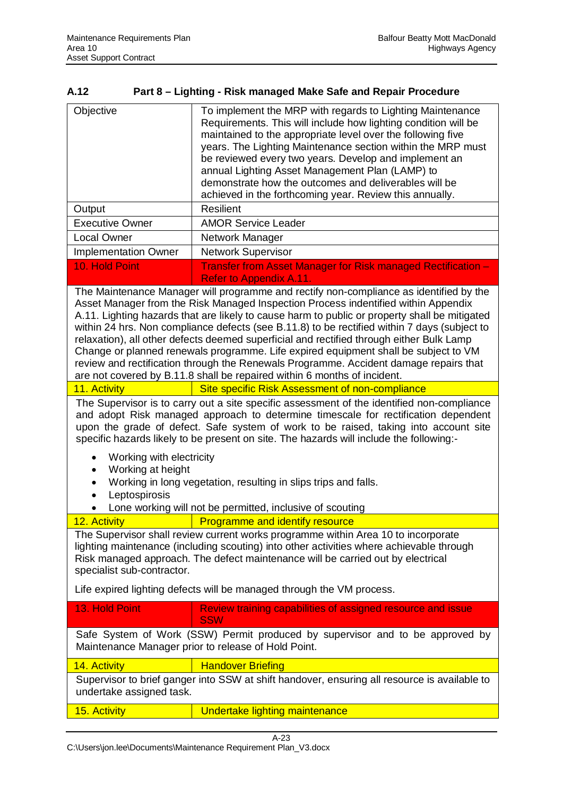| A.12 | Part 8 – Lighting - Risk managed Make Safe and Repair Procedure |
|------|-----------------------------------------------------------------|
|      |                                                                 |

| Objective                                                                                                                                                                                                                                                                                                                                                                                                                                                                                                                                                                                                                                                                                                                             | To implement the MRP with regards to Lighting Maintenance<br>Requirements. This will include how lighting condition will be<br>maintained to the appropriate level over the following five<br>years. The Lighting Maintenance section within the MRP must<br>be reviewed every two years. Develop and implement an<br>annual Lighting Asset Management Plan (LAMP) to<br>demonstrate how the outcomes and deliverables will be<br>achieved in the forthcoming year. Review this annually. |  |  |  |  |  |  |  |
|---------------------------------------------------------------------------------------------------------------------------------------------------------------------------------------------------------------------------------------------------------------------------------------------------------------------------------------------------------------------------------------------------------------------------------------------------------------------------------------------------------------------------------------------------------------------------------------------------------------------------------------------------------------------------------------------------------------------------------------|-------------------------------------------------------------------------------------------------------------------------------------------------------------------------------------------------------------------------------------------------------------------------------------------------------------------------------------------------------------------------------------------------------------------------------------------------------------------------------------------|--|--|--|--|--|--|--|
| Output                                                                                                                                                                                                                                                                                                                                                                                                                                                                                                                                                                                                                                                                                                                                | <b>Resilient</b>                                                                                                                                                                                                                                                                                                                                                                                                                                                                          |  |  |  |  |  |  |  |
| <b>Executive Owner</b>                                                                                                                                                                                                                                                                                                                                                                                                                                                                                                                                                                                                                                                                                                                | <b>AMOR Service Leader</b>                                                                                                                                                                                                                                                                                                                                                                                                                                                                |  |  |  |  |  |  |  |
| <b>Local Owner</b>                                                                                                                                                                                                                                                                                                                                                                                                                                                                                                                                                                                                                                                                                                                    | Network Manager                                                                                                                                                                                                                                                                                                                                                                                                                                                                           |  |  |  |  |  |  |  |
| <b>Implementation Owner</b>                                                                                                                                                                                                                                                                                                                                                                                                                                                                                                                                                                                                                                                                                                           | <b>Network Supervisor</b>                                                                                                                                                                                                                                                                                                                                                                                                                                                                 |  |  |  |  |  |  |  |
| 10. Hold Point                                                                                                                                                                                                                                                                                                                                                                                                                                                                                                                                                                                                                                                                                                                        | Transfer from Asset Manager for Risk managed Rectification -<br><b>Refer to Appendix A.11.</b>                                                                                                                                                                                                                                                                                                                                                                                            |  |  |  |  |  |  |  |
| The Maintenance Manager will programme and rectify non-compliance as identified by the<br>Asset Manager from the Risk Managed Inspection Process indentified within Appendix<br>A.11. Lighting hazards that are likely to cause harm to public or property shall be mitigated<br>within 24 hrs. Non compliance defects (see B.11.8) to be rectified within 7 days (subject to<br>relaxation), all other defects deemed superficial and rectified through either Bulk Lamp<br>Change or planned renewals programme. Life expired equipment shall be subject to VM<br>review and rectification through the Renewals Programme. Accident damage repairs that<br>are not covered by B.11.8 shall be repaired within 6 months of incident. |                                                                                                                                                                                                                                                                                                                                                                                                                                                                                           |  |  |  |  |  |  |  |
| 11. Activity                                                                                                                                                                                                                                                                                                                                                                                                                                                                                                                                                                                                                                                                                                                          | Site specific Risk Assessment of non-compliance                                                                                                                                                                                                                                                                                                                                                                                                                                           |  |  |  |  |  |  |  |
| The Supervisor is to carry out a site specific assessment of the identified non-compliance<br>and adopt Risk managed approach to determine timescale for rectification dependent<br>upon the grade of defect. Safe system of work to be raised, taking into account site<br>specific hazards likely to be present on site. The hazards will include the following:-                                                                                                                                                                                                                                                                                                                                                                   |                                                                                                                                                                                                                                                                                                                                                                                                                                                                                           |  |  |  |  |  |  |  |
| Working with electricity<br>Working at height<br>Leptospirosis                                                                                                                                                                                                                                                                                                                                                                                                                                                                                                                                                                                                                                                                        | Working in long vegetation, resulting in slips trips and falls.<br>Lone working will not be permitted, inclusive of scouting                                                                                                                                                                                                                                                                                                                                                              |  |  |  |  |  |  |  |
| 12. Activity                                                                                                                                                                                                                                                                                                                                                                                                                                                                                                                                                                                                                                                                                                                          | <b>Programme and identify resource</b>                                                                                                                                                                                                                                                                                                                                                                                                                                                    |  |  |  |  |  |  |  |
| specialist sub-contractor.                                                                                                                                                                                                                                                                                                                                                                                                                                                                                                                                                                                                                                                                                                            | The Supervisor shall review current works programme within Area 10 to incorporate<br>lighting maintenance (including scouting) into other activities where achievable through<br>Risk managed approach. The defect maintenance will be carried out by electrical                                                                                                                                                                                                                          |  |  |  |  |  |  |  |
|                                                                                                                                                                                                                                                                                                                                                                                                                                                                                                                                                                                                                                                                                                                                       | Life expired lighting defects will be managed through the VM process.                                                                                                                                                                                                                                                                                                                                                                                                                     |  |  |  |  |  |  |  |
| 13. Hold Point                                                                                                                                                                                                                                                                                                                                                                                                                                                                                                                                                                                                                                                                                                                        | Review training capabilities of assigned resource and issue<br><b>SSW</b>                                                                                                                                                                                                                                                                                                                                                                                                                 |  |  |  |  |  |  |  |
|                                                                                                                                                                                                                                                                                                                                                                                                                                                                                                                                                                                                                                                                                                                                       | Safe System of Work (SSW) Permit produced by supervisor and to be approved by<br>Maintenance Manager prior to release of Hold Point.                                                                                                                                                                                                                                                                                                                                                      |  |  |  |  |  |  |  |
| 14. Activity                                                                                                                                                                                                                                                                                                                                                                                                                                                                                                                                                                                                                                                                                                                          | <b>Handover Briefing</b>                                                                                                                                                                                                                                                                                                                                                                                                                                                                  |  |  |  |  |  |  |  |
| undertake assigned task.                                                                                                                                                                                                                                                                                                                                                                                                                                                                                                                                                                                                                                                                                                              | Supervisor to brief ganger into SSW at shift handover, ensuring all resource is available to                                                                                                                                                                                                                                                                                                                                                                                              |  |  |  |  |  |  |  |
| 15. Activity                                                                                                                                                                                                                                                                                                                                                                                                                                                                                                                                                                                                                                                                                                                          | Undertake lighting maintenance                                                                                                                                                                                                                                                                                                                                                                                                                                                            |  |  |  |  |  |  |  |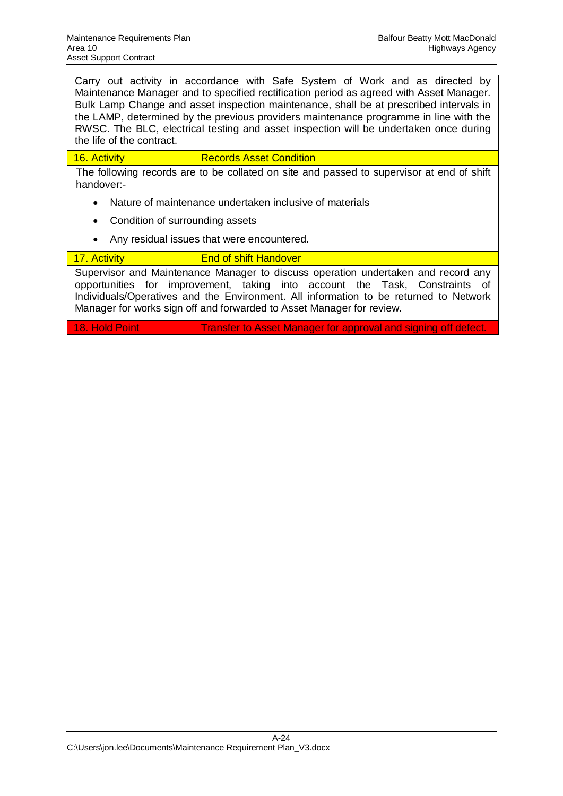Carry out activity in accordance with Safe System of Work and as directed by Maintenance Manager and to specified rectification period as agreed with Asset Manager. Bulk Lamp Change and asset inspection maintenance, shall be at prescribed intervals in the LAMP, determined by the previous providers maintenance programme in line with the RWSC. The BLC, electrical testing and asset inspection will be undertaken once during the life of the contract.

16. Activity Records Asset Condition

The following records are to be collated on site and passed to supervisor at end of shift handover:-

- Nature of maintenance undertaken inclusive of materials
- Condition of surrounding assets
- Any residual issues that were encountered.

## 17. Activity **End of shift Handover**

Supervisor and Maintenance Manager to discuss operation undertaken and record any opportunities for improvement, taking into account the Task, Constraints of Individuals/Operatives and the Environment. All information to be returned to Network Manager for works sign off and forwarded to Asset Manager for review.

18. Hold Point **Transfer to Asset Manager for approval and signing off defect.**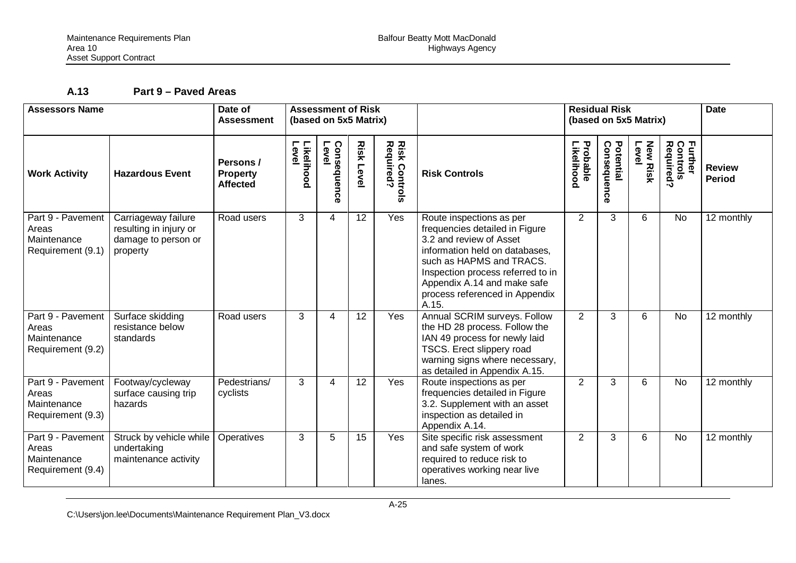# **A.13 Part 9 – Paved Areas**

| <b>Assessors Name</b>                                          |                                                                                  | Date of<br><b>Assessment of Risk</b><br>(based on 5x5 Matrix)<br><b>Assessment</b> |                     |                     | <b>Residual Risk</b><br>(based on 5x5 Matrix) |                                   |                                                                                                                                                                                                                                                                    | <b>Date</b>            |                          |                         |                                  |                                |
|----------------------------------------------------------------|----------------------------------------------------------------------------------|------------------------------------------------------------------------------------|---------------------|---------------------|-----------------------------------------------|-----------------------------------|--------------------------------------------------------------------------------------------------------------------------------------------------------------------------------------------------------------------------------------------------------------------|------------------------|--------------------------|-------------------------|----------------------------------|--------------------------------|
| <b>Work Activity</b>                                           | <b>Hazardous Event</b>                                                           | Persons/<br><b>Property</b><br><b>Affected</b>                                     | Level<br>Likelihood | Level<br>Consequenc | <b>Risk Leve</b>                              | <b>Risk Controls</b><br>Required? | <b>Risk Controls</b>                                                                                                                                                                                                                                               | Likelihood<br>Probable | Potential<br>Consequence | <b>New Risk</b><br>Leve | Further<br>Controls<br>Required? | <b>Review</b><br><b>Period</b> |
| Part 9 - Pavement<br>Areas<br>Maintenance<br>Requirement (9.1) | Carriageway failure<br>resulting in injury or<br>damage to person or<br>property | Road users                                                                         | 3                   | 4                   | 12                                            | Yes                               | Route inspections as per<br>frequencies detailed in Figure<br>3.2 and review of Asset<br>information held on databases.<br>such as HAPMS and TRACS.<br>Inspection process referred to in<br>Appendix A.14 and make safe<br>process referenced in Appendix<br>A.15. | $\overline{2}$         | 3                        | 6                       | <b>No</b>                        | 12 monthly                     |
| Part 9 - Pavement<br>Areas<br>Maintenance<br>Requirement (9.2) | Surface skidding<br>resistance below<br>standards                                | Road users                                                                         | 3                   | 4                   | $\overline{12}$                               | Yes                               | Annual SCRIM surveys. Follow<br>the HD 28 process. Follow the<br>IAN 49 process for newly laid<br>TSCS. Erect slippery road<br>warning signs where necessary,<br>as detailed in Appendix A.15.                                                                     | $\overline{2}$         | 3                        | 6                       | <b>No</b>                        | 12 monthly                     |
| Part 9 - Pavement<br>Areas<br>Maintenance<br>Requirement (9.3) | Footway/cycleway<br>surface causing trip<br>hazards                              | Pedestrians/<br>cyclists                                                           | 3                   | 4                   | 12                                            | Yes                               | Route inspections as per<br>frequencies detailed in Figure<br>3.2. Supplement with an asset<br>inspection as detailed in<br>Appendix A.14.                                                                                                                         | $\overline{2}$         | 3                        | 6                       | <b>No</b>                        | 12 monthly                     |
| Part 9 - Pavement<br>Areas<br>Maintenance<br>Requirement (9.4) | Struck by vehicle while<br>undertaking<br>maintenance activity                   | Operatives                                                                         | 3                   | 5                   | 15                                            | Yes                               | Site specific risk assessment<br>and safe system of work<br>required to reduce risk to<br>operatives working near live<br>lanes.                                                                                                                                   | $\overline{2}$         | 3                        | 6                       | <b>No</b>                        | 12 monthly                     |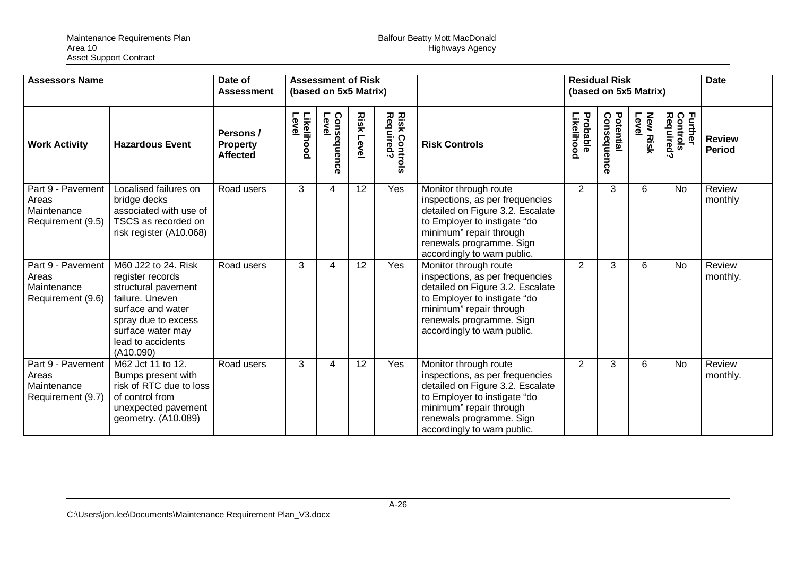| <b>Assessors Name</b>                                          |                                                                                                                                                                                      | Date of<br><b>Assessment</b>                    | <b>Assessment of Risk</b><br>(based on 5x5 Matrix) |                            |                     |                                   | <b>Residual Risk</b><br>(based on 5x5 Matrix)                                                                                                                                                                      |                        |                                 | <b>Date</b>              |                                  |                                |
|----------------------------------------------------------------|--------------------------------------------------------------------------------------------------------------------------------------------------------------------------------------|-------------------------------------------------|----------------------------------------------------|----------------------------|---------------------|-----------------------------------|--------------------------------------------------------------------------------------------------------------------------------------------------------------------------------------------------------------------|------------------------|---------------------------------|--------------------------|----------------------------------|--------------------------------|
| <b>Work Activity</b>                                           | <b>Hazardous Event</b>                                                                                                                                                               | Persons /<br><b>Property</b><br><b>Affected</b> | Likelihood<br>Level                                | Conse<br>Level<br>ăne<br>ō | <b>Risk</b><br>Leve | <b>Risk Controls</b><br>Required? | <b>Risk Controls</b>                                                                                                                                                                                               | Probable<br>-ikelihood | <b>Consequence</b><br>Potential | <b>New Risk</b><br>Level | Further<br>Controls<br>Required' | <b>Review</b><br><b>Period</b> |
| Part 9 - Pavement<br>Areas<br>Maintenance<br>Requirement (9.5) | Localised failures on<br>bridge decks<br>associated with use of<br>TSCS as recorded on<br>risk register (A10.068)                                                                    | Road users                                      | 3                                                  | 4                          | 12                  | Yes                               | Monitor through route<br>inspections, as per frequencies<br>detailed on Figure 3.2. Escalate<br>to Employer to instigate "do<br>minimum" repair through<br>renewals programme. Sign<br>accordingly to warn public. | 2                      | 3                               | 6                        | <b>No</b>                        | Review<br>monthly              |
| Part 9 - Pavement<br>Areas<br>Maintenance<br>Requirement (9.6) | M60 J22 to 24. Risk<br>register records<br>structural pavement<br>failure. Uneven<br>surface and water<br>spray due to excess<br>surface water may<br>lead to accidents<br>(A10.090) | Road users                                      | 3                                                  | 4                          | 12                  | Yes                               | Monitor through route<br>inspections, as per frequencies<br>detailed on Figure 3.2. Escalate<br>to Employer to instigate "do<br>minimum" repair through<br>renewals programme. Sign<br>accordingly to warn public. | 2                      | 3                               | 6                        | <b>No</b>                        | Review<br>monthly.             |
| Part 9 - Pavement<br>Areas<br>Maintenance<br>Requirement (9.7) | M62 Jct 11 to 12.<br>Bumps present with<br>risk of RTC due to loss<br>of control from<br>unexpected pavement<br>geometry. (A10.089)                                                  | Road users                                      | 3                                                  | 4                          | $\overline{12}$     | Yes                               | Monitor through route<br>inspections, as per frequencies<br>detailed on Figure 3.2. Escalate<br>to Employer to instigate "do<br>minimum" repair through<br>renewals programme. Sign<br>accordingly to warn public. | 2                      | 3                               | 6                        | <b>No</b>                        | Review<br>monthly.             |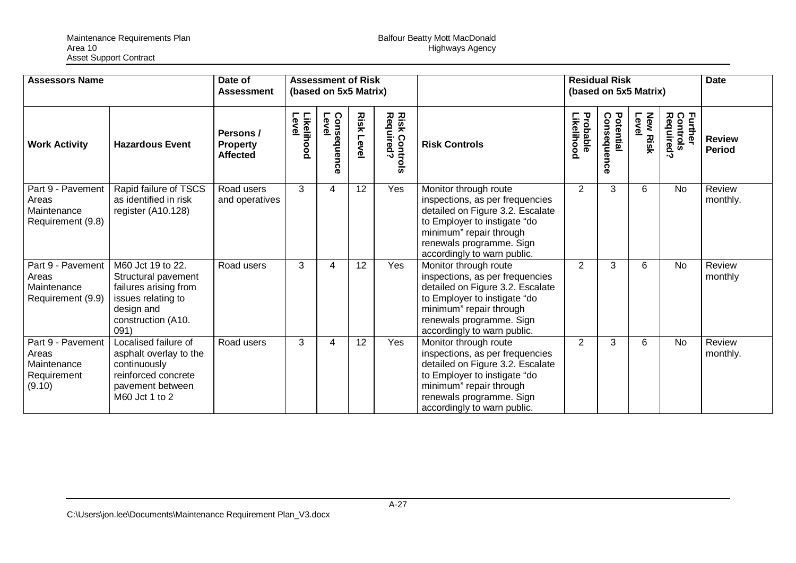| <b>Assessors Name</b>                                              |                                                                                                                                     | Date of<br><b>Assessment</b>                   | <b>Assessment of Risk</b><br>(based on 5x5 Matrix) |                         |              |                                   |                                                                                                                                                                                                                    | <b>Residual Risk</b><br>(based on 5x5 Matrix) |                          |                          | <b>Date</b>                                         |                                |
|--------------------------------------------------------------------|-------------------------------------------------------------------------------------------------------------------------------------|------------------------------------------------|----------------------------------------------------|-------------------------|--------------|-----------------------------------|--------------------------------------------------------------------------------------------------------------------------------------------------------------------------------------------------------------------|-----------------------------------------------|--------------------------|--------------------------|-----------------------------------------------------|--------------------------------|
| <b>Work Activity</b>                                               | <b>Hazardous Event</b>                                                                                                              | Persons/<br><b>Property</b><br><b>Affected</b> | Likelihood<br>Level                                | Consequel<br>Level<br>ດ | Risk<br>Leve | <b>Risk Controls</b><br>Required? | <b>Risk Controls</b>                                                                                                                                                                                               | Probable<br><b>ikelihood</b>                  | Potential<br>Consequence | <b>New Risk</b><br>Level | <b>Further</b><br>Control:<br>Controls<br>Required? | <b>Review</b><br><b>Period</b> |
| Part 9 - Pavement<br>Areas<br>Maintenance<br>Requirement (9.8)     | Rapid failure of TSCS<br>as identified in risk<br>register (A10.128)                                                                | Road users<br>and operatives                   | 3                                                  | 4                       | 12           | Yes                               | Monitor through route<br>inspections, as per frequencies<br>detailed on Figure 3.2. Escalate<br>to Employer to instigate "do<br>minimum" repair through<br>renewals programme. Sign<br>accordingly to warn public. | $\overline{2}$                                | 3                        | 6                        | <b>No</b>                                           | Review<br>monthly.             |
| Part 9 - Pavement<br>Areas<br>Maintenance<br>Requirement (9.9)     | M60 Jct 19 to 22.<br>Structural pavement<br>failures arising from<br>issues relating to<br>design and<br>construction (A10.<br>091) | Road users                                     | 3                                                  | 4                       | 12           | Yes                               | Monitor through route<br>inspections, as per frequencies<br>detailed on Figure 3.2. Escalate<br>to Employer to instigate "do<br>minimum" repair through<br>renewals programme. Sign<br>accordingly to warn public. | 2                                             | 3                        | 6                        | <b>No</b>                                           | Review<br>monthly              |
| Part 9 - Pavement<br>Areas<br>Maintenance<br>Requirement<br>(9.10) | Localised failure of<br>asphalt overlay to the<br>continuously<br>reinforced concrete<br>pavement between<br>M60 Jct 1 to 2         | Road users                                     | 3                                                  | 4                       | 12           | Yes                               | Monitor through route<br>inspections, as per frequencies<br>detailed on Figure 3.2. Escalate<br>to Employer to instigate "do<br>minimum" repair through<br>renewals programme. Sign<br>accordingly to warn public. | 2                                             | 3                        | 6                        | <b>No</b>                                           | Review<br>monthly.             |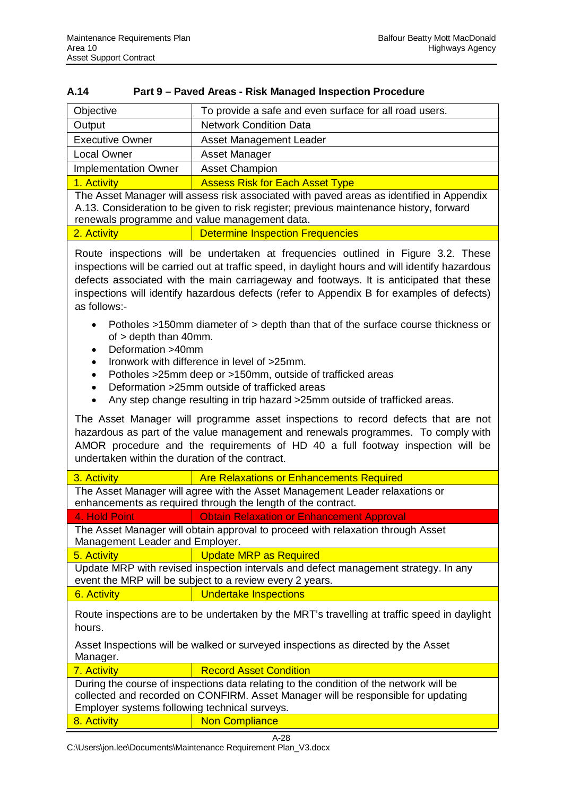| A.14 | Part 9 – Paved Areas - Risk Managed Inspection Procedure |
|------|----------------------------------------------------------|
|      |                                                          |

| Objective                                                                                                                                                                                                                                                                                                                                                                                                                                                                                                                                                                                                                                                                                                                                                                                                                                                                                                                                                                                                                                                                                                                    | To provide a safe and even surface for all road users.                                                                                                                                                                               |  |  |  |  |  |
|------------------------------------------------------------------------------------------------------------------------------------------------------------------------------------------------------------------------------------------------------------------------------------------------------------------------------------------------------------------------------------------------------------------------------------------------------------------------------------------------------------------------------------------------------------------------------------------------------------------------------------------------------------------------------------------------------------------------------------------------------------------------------------------------------------------------------------------------------------------------------------------------------------------------------------------------------------------------------------------------------------------------------------------------------------------------------------------------------------------------------|--------------------------------------------------------------------------------------------------------------------------------------------------------------------------------------------------------------------------------------|--|--|--|--|--|
| Output                                                                                                                                                                                                                                                                                                                                                                                                                                                                                                                                                                                                                                                                                                                                                                                                                                                                                                                                                                                                                                                                                                                       | <b>Network Condition Data</b>                                                                                                                                                                                                        |  |  |  |  |  |
| <b>Executive Owner</b>                                                                                                                                                                                                                                                                                                                                                                                                                                                                                                                                                                                                                                                                                                                                                                                                                                                                                                                                                                                                                                                                                                       | Asset Management Leader                                                                                                                                                                                                              |  |  |  |  |  |
| <b>Local Owner</b>                                                                                                                                                                                                                                                                                                                                                                                                                                                                                                                                                                                                                                                                                                                                                                                                                                                                                                                                                                                                                                                                                                           | Asset Manager                                                                                                                                                                                                                        |  |  |  |  |  |
| <b>Implementation Owner</b>                                                                                                                                                                                                                                                                                                                                                                                                                                                                                                                                                                                                                                                                                                                                                                                                                                                                                                                                                                                                                                                                                                  | <b>Asset Champion</b>                                                                                                                                                                                                                |  |  |  |  |  |
| 1. Activity                                                                                                                                                                                                                                                                                                                                                                                                                                                                                                                                                                                                                                                                                                                                                                                                                                                                                                                                                                                                                                                                                                                  | <b>Assess Risk for Each Asset Type</b>                                                                                                                                                                                               |  |  |  |  |  |
|                                                                                                                                                                                                                                                                                                                                                                                                                                                                                                                                                                                                                                                                                                                                                                                                                                                                                                                                                                                                                                                                                                                              | The Asset Manager will assess risk associated with paved areas as identified in Appendix<br>A.13. Consideration to be given to risk register; previous maintenance history, forward<br>renewals programme and value management data. |  |  |  |  |  |
| 2. Activity                                                                                                                                                                                                                                                                                                                                                                                                                                                                                                                                                                                                                                                                                                                                                                                                                                                                                                                                                                                                                                                                                                                  | <b>Determine Inspection Frequencies</b>                                                                                                                                                                                              |  |  |  |  |  |
| Route inspections will be undertaken at frequencies outlined in Figure 3.2. These<br>inspections will be carried out at traffic speed, in daylight hours and will identify hazardous<br>defects associated with the main carriageway and footways. It is anticipated that these<br>inspections will identify hazardous defects (refer to Appendix B for examples of defects)<br>as follows:-<br>Potholes >150mm diameter of > depth than that of the surface course thickness or<br>of > depth than 40mm.<br>Deformation >40mm<br>Ironwork with difference in level of >25mm.<br>٠<br>Potholes > 25mm deep or > 150mm, outside of trafficked areas<br>$\bullet$<br>Deformation >25mm outside of trafficked areas<br>$\bullet$<br>Any step change resulting in trip hazard > 25mm outside of trafficked areas.<br>The Asset Manager will programme asset inspections to record defects that are not<br>hazardous as part of the value management and renewals programmes. To comply with<br>AMOR procedure and the requirements of HD 40 a full footway inspection will be<br>undertaken within the duration of the contract. |                                                                                                                                                                                                                                      |  |  |  |  |  |
| 3. Activity                                                                                                                                                                                                                                                                                                                                                                                                                                                                                                                                                                                                                                                                                                                                                                                                                                                                                                                                                                                                                                                                                                                  | <b>Are Relaxations or Enhancements Required</b>                                                                                                                                                                                      |  |  |  |  |  |
|                                                                                                                                                                                                                                                                                                                                                                                                                                                                                                                                                                                                                                                                                                                                                                                                                                                                                                                                                                                                                                                                                                                              | The Asset Manager will agree with the Asset Management Leader relaxations or<br>enhancements as required through the length of the contract.                                                                                         |  |  |  |  |  |
| 4. Hold Point                                                                                                                                                                                                                                                                                                                                                                                                                                                                                                                                                                                                                                                                                                                                                                                                                                                                                                                                                                                                                                                                                                                | <b>Obtain Relaxation or Enhancement Approval</b>                                                                                                                                                                                     |  |  |  |  |  |
| Management Leader and Employer.                                                                                                                                                                                                                                                                                                                                                                                                                                                                                                                                                                                                                                                                                                                                                                                                                                                                                                                                                                                                                                                                                              | The Asset Manager will obtain approval to proceed with relaxation through Asset                                                                                                                                                      |  |  |  |  |  |
| 5. Activity                                                                                                                                                                                                                                                                                                                                                                                                                                                                                                                                                                                                                                                                                                                                                                                                                                                                                                                                                                                                                                                                                                                  | <b>Update MRP as Required</b>                                                                                                                                                                                                        |  |  |  |  |  |
|                                                                                                                                                                                                                                                                                                                                                                                                                                                                                                                                                                                                                                                                                                                                                                                                                                                                                                                                                                                                                                                                                                                              | Update MRP with revised inspection intervals and defect management strategy. In any                                                                                                                                                  |  |  |  |  |  |
|                                                                                                                                                                                                                                                                                                                                                                                                                                                                                                                                                                                                                                                                                                                                                                                                                                                                                                                                                                                                                                                                                                                              | event the MRP will be subject to a review every 2 years.                                                                                                                                                                             |  |  |  |  |  |
| 6. Activity<br><b>Undertake Inspections</b><br>Route inspections are to be undertaken by the MRT's travelling at traffic speed in daylight<br>hours.<br>Asset Inspections will be walked or surveyed inspections as directed by the Asset                                                                                                                                                                                                                                                                                                                                                                                                                                                                                                                                                                                                                                                                                                                                                                                                                                                                                    |                                                                                                                                                                                                                                      |  |  |  |  |  |
| Manager.                                                                                                                                                                                                                                                                                                                                                                                                                                                                                                                                                                                                                                                                                                                                                                                                                                                                                                                                                                                                                                                                                                                     |                                                                                                                                                                                                                                      |  |  |  |  |  |
| 7. Activity                                                                                                                                                                                                                                                                                                                                                                                                                                                                                                                                                                                                                                                                                                                                                                                                                                                                                                                                                                                                                                                                                                                  | <b>Record Asset Condition</b>                                                                                                                                                                                                        |  |  |  |  |  |
| Employer systems following technical surveys.<br>8. Activity                                                                                                                                                                                                                                                                                                                                                                                                                                                                                                                                                                                                                                                                                                                                                                                                                                                                                                                                                                                                                                                                 | During the course of inspections data relating to the condition of the network will be<br>collected and recorded on CONFIRM. Asset Manager will be responsible for updating<br><b>Non Compliance</b>                                 |  |  |  |  |  |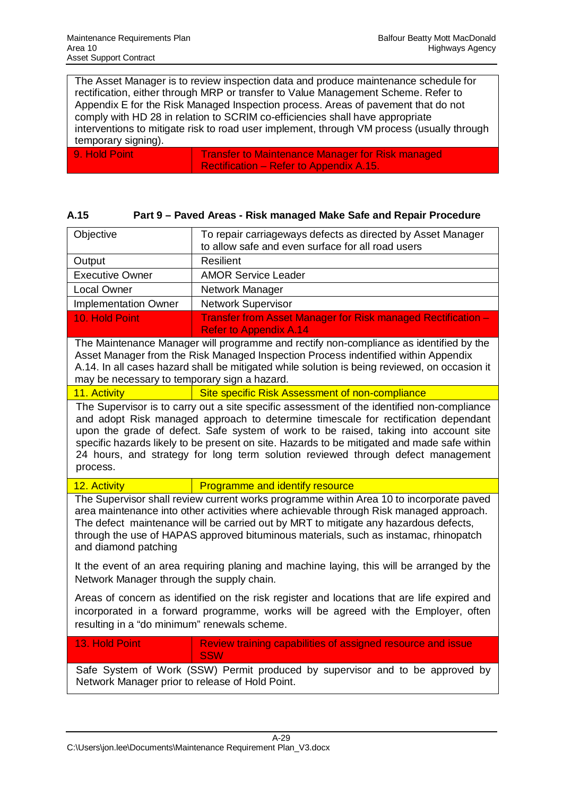The Asset Manager is to review inspection data and produce maintenance schedule for rectification, either through MRP or transfer to Value Management Scheme. Refer to Appendix E for the Risk Managed Inspection process. Areas of pavement that do not comply with HD 28 in relation to SCRIM co-efficiencies shall have appropriate interventions to mitigate risk to road user implement, through VM process (usually through temporary signing).

| - 9. Hold Point | Transfer to Maintenance Manager for Risk managed |
|-----------------|--------------------------------------------------|
|                 | Rectification – Refer to Appendix A.15.          |

| A.15 |  |  | Part 9 – Paved Areas - Risk managed Make Safe and Repair Procedure |
|------|--|--|--------------------------------------------------------------------|
|------|--|--|--------------------------------------------------------------------|

| Objective                                                                                                                                                                                                                                                                                                                                                                                                                                                               | To repair carriageways defects as directed by Asset Manager<br>to allow safe and even surface for all road users                                                                                                                                                                                                                                                  |  |  |  |  |  |  |
|-------------------------------------------------------------------------------------------------------------------------------------------------------------------------------------------------------------------------------------------------------------------------------------------------------------------------------------------------------------------------------------------------------------------------------------------------------------------------|-------------------------------------------------------------------------------------------------------------------------------------------------------------------------------------------------------------------------------------------------------------------------------------------------------------------------------------------------------------------|--|--|--|--|--|--|
| Output                                                                                                                                                                                                                                                                                                                                                                                                                                                                  | <b>Resilient</b>                                                                                                                                                                                                                                                                                                                                                  |  |  |  |  |  |  |
| <b>Executive Owner</b>                                                                                                                                                                                                                                                                                                                                                                                                                                                  | <b>AMOR Service Leader</b>                                                                                                                                                                                                                                                                                                                                        |  |  |  |  |  |  |
| <b>Local Owner</b>                                                                                                                                                                                                                                                                                                                                                                                                                                                      | Network Manager                                                                                                                                                                                                                                                                                                                                                   |  |  |  |  |  |  |
| <b>Implementation Owner</b>                                                                                                                                                                                                                                                                                                                                                                                                                                             | <b>Network Supervisor</b>                                                                                                                                                                                                                                                                                                                                         |  |  |  |  |  |  |
| 10. Hold Point                                                                                                                                                                                                                                                                                                                                                                                                                                                          | Transfer from Asset Manager for Risk managed Rectification -<br><b>Refer to Appendix A.14</b>                                                                                                                                                                                                                                                                     |  |  |  |  |  |  |
| The Maintenance Manager will programme and rectify non-compliance as identified by the<br>Asset Manager from the Risk Managed Inspection Process indentified within Appendix<br>A.14. In all cases hazard shall be mitigated while solution is being reviewed, on occasion it<br>may be necessary to temporary sign a hazard.                                                                                                                                           |                                                                                                                                                                                                                                                                                                                                                                   |  |  |  |  |  |  |
| 11. Activity                                                                                                                                                                                                                                                                                                                                                                                                                                                            | Site specific Risk Assessment of non-compliance                                                                                                                                                                                                                                                                                                                   |  |  |  |  |  |  |
| The Supervisor is to carry out a site specific assessment of the identified non-compliance<br>and adopt Risk managed approach to determine timescale for rectification dependant<br>upon the grade of defect. Safe system of work to be raised, taking into account site<br>specific hazards likely to be present on site. Hazards to be mitigated and made safe within<br>24 hours, and strategy for long term solution reviewed through defect management<br>process. |                                                                                                                                                                                                                                                                                                                                                                   |  |  |  |  |  |  |
| 12. Activity                                                                                                                                                                                                                                                                                                                                                                                                                                                            | Programme and identify resource                                                                                                                                                                                                                                                                                                                                   |  |  |  |  |  |  |
| and diamond patching                                                                                                                                                                                                                                                                                                                                                                                                                                                    | The Supervisor shall review current works programme within Area 10 to incorporate paved<br>area maintenance into other activities where achievable through Risk managed approach.<br>The defect maintenance will be carried out by MRT to mitigate any hazardous defects,<br>through the use of HAPAS approved bituminous materials, such as instamac, rhinopatch |  |  |  |  |  |  |
| Network Manager through the supply chain.                                                                                                                                                                                                                                                                                                                                                                                                                               | It the event of an area requiring planing and machine laying, this will be arranged by the                                                                                                                                                                                                                                                                        |  |  |  |  |  |  |
| resulting in a "do minimum" renewals scheme.                                                                                                                                                                                                                                                                                                                                                                                                                            | Areas of concern as identified on the risk register and locations that are life expired and<br>incorporated in a forward programme, works will be agreed with the Employer, often                                                                                                                                                                                 |  |  |  |  |  |  |
| 13. Hold Point                                                                                                                                                                                                                                                                                                                                                                                                                                                          | Review training capabilities of assigned resource and issue<br><b>SSW</b>                                                                                                                                                                                                                                                                                         |  |  |  |  |  |  |
| Safe System of Work (SSW) Permit produced by supervisor and to be approved by<br>Network Manager prior to release of Hold Point.                                                                                                                                                                                                                                                                                                                                        |                                                                                                                                                                                                                                                                                                                                                                   |  |  |  |  |  |  |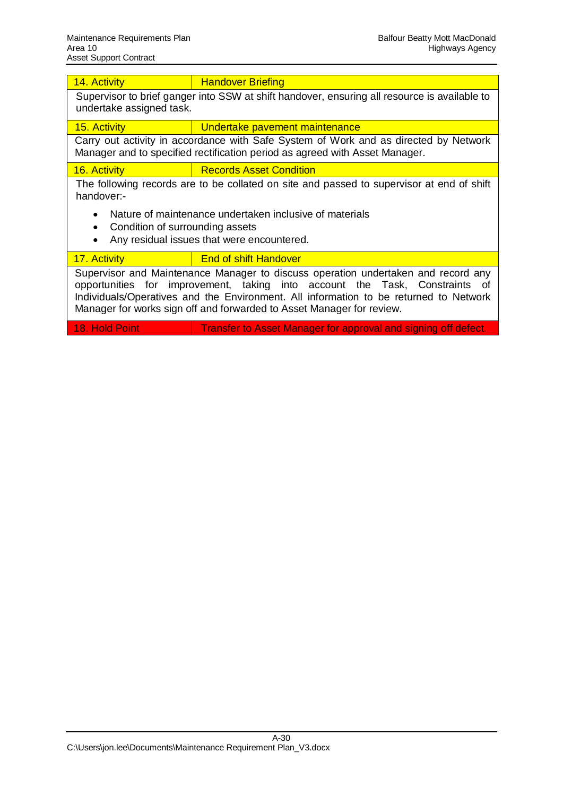| 14. Activity                                                                                                                                                                                                                                                                                                                       | <b>Handover Briefing</b>                                                                                                                 |  |  |  |  |  |  |  |  |  |
|------------------------------------------------------------------------------------------------------------------------------------------------------------------------------------------------------------------------------------------------------------------------------------------------------------------------------------|------------------------------------------------------------------------------------------------------------------------------------------|--|--|--|--|--|--|--|--|--|
| Supervisor to brief ganger into SSW at shift handover, ensuring all resource is available to<br>undertake assigned task.                                                                                                                                                                                                           |                                                                                                                                          |  |  |  |  |  |  |  |  |  |
| 15. Activity                                                                                                                                                                                                                                                                                                                       | Undertake pavement maintenance                                                                                                           |  |  |  |  |  |  |  |  |  |
| Carry out activity in accordance with Safe System of Work and as directed by Network<br>Manager and to specified rectification period as agreed with Asset Manager.                                                                                                                                                                |                                                                                                                                          |  |  |  |  |  |  |  |  |  |
| 16. Activity                                                                                                                                                                                                                                                                                                                       | <b>Records Asset Condition</b>                                                                                                           |  |  |  |  |  |  |  |  |  |
| handover:-                                                                                                                                                                                                                                                                                                                         | The following records are to be collated on site and passed to supervisor at end of shift                                                |  |  |  |  |  |  |  |  |  |
| $\bullet$                                                                                                                                                                                                                                                                                                                          | Nature of maintenance undertaken inclusive of materials<br>Condition of surrounding assets<br>Any residual issues that were encountered. |  |  |  |  |  |  |  |  |  |
| 17. Activity                                                                                                                                                                                                                                                                                                                       | <b>End of shift Handover</b>                                                                                                             |  |  |  |  |  |  |  |  |  |
| Supervisor and Maintenance Manager to discuss operation undertaken and record any<br>opportunities for improvement, taking into account the Task, Constraints of<br>Individuals/Operatives and the Environment. All information to be returned to Network<br>Manager for works sign off and forwarded to Asset Manager for review. |                                                                                                                                          |  |  |  |  |  |  |  |  |  |

18. Hold Point Transfer to Asset Manager for approval and signing off defect.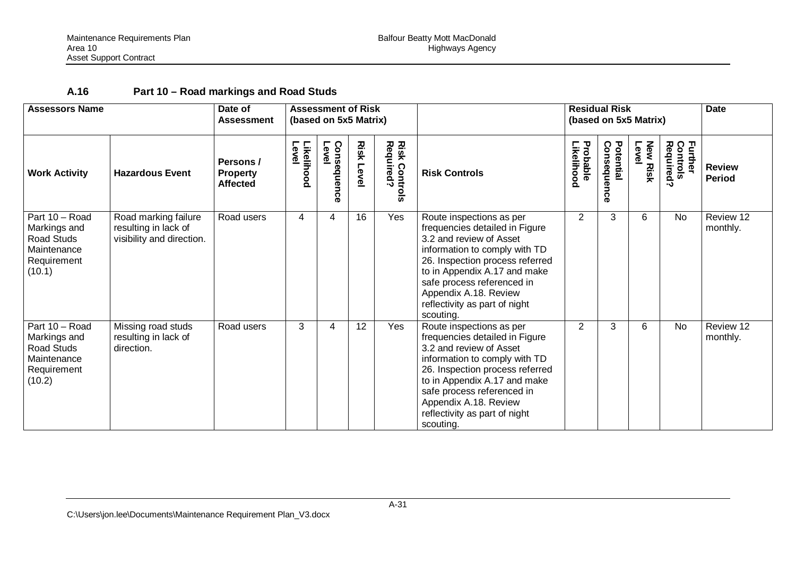# **A.16 Part 10 – Road markings and Road Studs**

| <b>Assessors Name</b>                                                                |                                                                           | <b>Assessment of Risk</b><br>Date of<br>(based on 5x5 Matrix)<br><b>Assessment</b> |                     |                          |                  |                                    |                                                                                                                                                                                                                                                                                                | <b>Residual Risk</b><br>(based on 5x5 Matrix) |                          |                          |                                                    | <b>Date</b>                    |
|--------------------------------------------------------------------------------------|---------------------------------------------------------------------------|------------------------------------------------------------------------------------|---------------------|--------------------------|------------------|------------------------------------|------------------------------------------------------------------------------------------------------------------------------------------------------------------------------------------------------------------------------------------------------------------------------------------------|-----------------------------------------------|--------------------------|--------------------------|----------------------------------------------------|--------------------------------|
| <b>Work Activity</b>                                                                 | <b>Hazardous Event</b>                                                    | Persons /<br><b>Property</b><br><b>Affected</b>                                    | Level<br>Likelihood | Consequen<br>Level<br>O. | <b>Risk Leve</b> | <b>Risk Controls<br/>Required?</b> | <b>Risk Controls</b>                                                                                                                                                                                                                                                                           | Probable<br><b>ikelihood</b>                  | Potential<br>Consequence | <b>New Risk</b><br>Level | <b>Further</b><br>Control<br>Controls<br>Required? | <b>Review</b><br><b>Period</b> |
| Part 10 - Road<br>Markings and<br>Road Studs<br>Maintenance<br>Requirement<br>(10.1) | Road marking failure<br>resulting in lack of<br>visibility and direction. | Road users                                                                         | 4                   | 4                        | 16               | Yes                                | Route inspections as per<br>frequencies detailed in Figure<br>3.2 and review of Asset<br>information to comply with TD<br>26. Inspection process referred<br>to in Appendix A.17 and make<br>safe process referenced in<br>Appendix A.18. Review<br>reflectivity as part of night<br>scouting. | 2                                             | 3                        | 6                        | <b>No</b>                                          | Review 12<br>monthly.          |
| Part 10 - Road<br>Markings and<br>Road Studs<br>Maintenance<br>Requirement<br>(10.2) | Missing road studs<br>resulting in lack of<br>direction.                  | Road users                                                                         | 3                   | 4                        | 12               | Yes                                | Route inspections as per<br>frequencies detailed in Figure<br>3.2 and review of Asset<br>information to comply with TD<br>26. Inspection process referred<br>to in Appendix A.17 and make<br>safe process referenced in<br>Appendix A.18. Review<br>reflectivity as part of night<br>scouting. | 2                                             | 3                        | 6                        | <b>No</b>                                          | Review 12<br>monthly.          |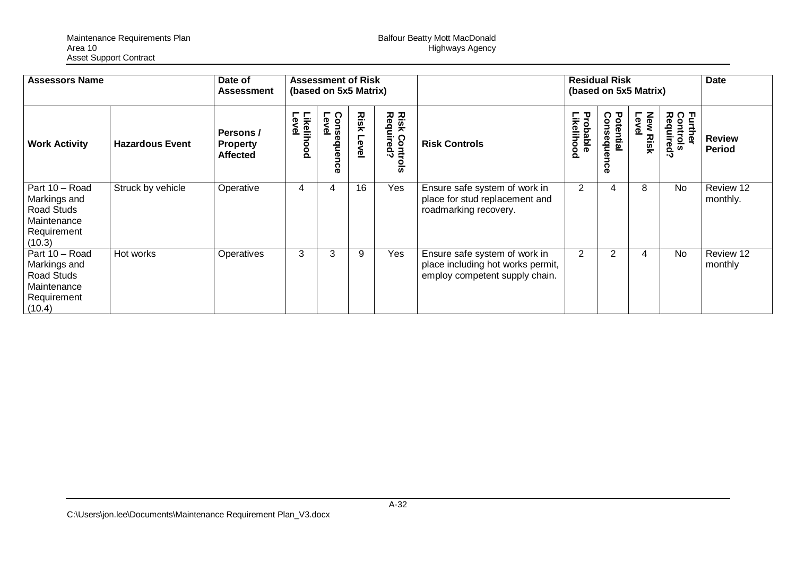| <b>Assessors Name</b>                                                                  |                        | <b>Assessment of Risk</b><br>Date of<br>(based on 5x5 Matrix)<br><b>Assessment</b> |                     |                              |               | <b>Residual Risk</b><br>(based on 5x5 Matrix) |                                                                                                      |                        |                              | Date                       |                                  |                                |
|----------------------------------------------------------------------------------------|------------------------|------------------------------------------------------------------------------------|---------------------|------------------------------|---------------|-----------------------------------------------|------------------------------------------------------------------------------------------------------|------------------------|------------------------------|----------------------------|----------------------------------|--------------------------------|
| <b>Work Activity</b>                                                                   | <b>Hazardous Event</b> | Persons /<br><b>Property</b><br><b>Affected</b>                                    | Likelihood<br>Level | Conse<br>Level<br>sdneu<br>ດ | Risk<br>Level | <b>Risk Controng</b><br>$rac{1}{2}$           | <b>Risk Controls</b>                                                                                 | Likelihood<br>Probable | Potential<br>Consequen<br>ခွ | Leve<br>New<br><b>Risk</b> | Further<br>Controls<br>Required? | <b>Review</b><br><b>Period</b> |
| Part 10 - Road<br>Markings and<br>Road Studs<br>Maintenance<br>Requirement<br>(10.3)   | Struck by vehicle      | Operative                                                                          | 4                   | 4                            | 16            | Yes                                           | Ensure safe system of work in<br>place for stud replacement and<br>roadmarking recovery.             | 2                      | 4                            | 8                          | <b>No</b>                        | Review 12<br>monthly.          |
| Part $10 - Road$<br>Markings and<br>Road Studs<br>Maintenance<br>Requirement<br>(10.4) | Hot works              | Operatives                                                                         | 3                   | 3                            | 9             | Yes                                           | Ensure safe system of work in<br>place including hot works permit,<br>employ competent supply chain. | 2                      | 2                            | 4                          | <b>No</b>                        | Review 12<br>monthly           |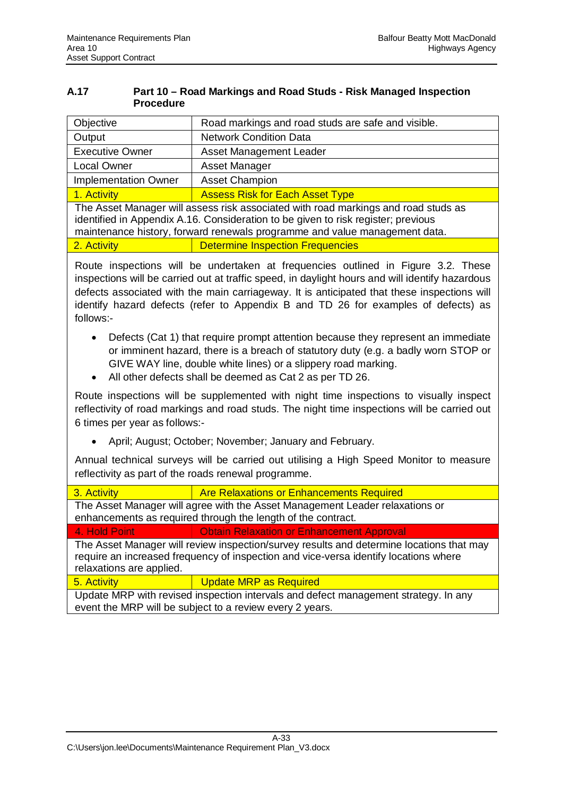## **A.17 Part 10 – Road Markings and Road Studs - Risk Managed Inspection Procedure**

| Objective                   | Road markings and road studs are safe and visible.                                                                                                                                                                                                    |  |  |  |  |  |  |  |  |
|-----------------------------|-------------------------------------------------------------------------------------------------------------------------------------------------------------------------------------------------------------------------------------------------------|--|--|--|--|--|--|--|--|
| Output                      | <b>Network Condition Data</b>                                                                                                                                                                                                                         |  |  |  |  |  |  |  |  |
| <b>Executive Owner</b>      | <b>Asset Management Leader</b>                                                                                                                                                                                                                        |  |  |  |  |  |  |  |  |
| <b>Local Owner</b>          | Asset Manager                                                                                                                                                                                                                                         |  |  |  |  |  |  |  |  |
| <b>Implementation Owner</b> | <b>Asset Champion</b>                                                                                                                                                                                                                                 |  |  |  |  |  |  |  |  |
| 1. Activity                 | <b>Assess Risk for Each Asset Type</b>                                                                                                                                                                                                                |  |  |  |  |  |  |  |  |
|                             | The Asset Manager will assess risk associated with road markings and road studs as<br>identified in Appendix A.16. Consideration to be given to risk register; previous<br>maintenance history, forward renewals programme and value management data. |  |  |  |  |  |  |  |  |

2. Activity **Determine Inspection Frequencies** 

Route inspections will be undertaken at frequencies outlined in Figure 3.2. These inspections will be carried out at traffic speed, in daylight hours and will identify hazardous defects associated with the main carriageway. It is anticipated that these inspections will identify hazard defects (refer to Appendix B and TD 26 for examples of defects) as follows:-

- Defects (Cat 1) that require prompt attention because they represent an immediate or imminent hazard, there is a breach of statutory duty (e.g. a badly worn STOP or GIVE WAY line, double white lines) or a slippery road marking.
- All other defects shall be deemed as Cat 2 as per TD 26.

Route inspections will be supplemented with night time inspections to visually inspect reflectivity of road markings and road studs. The night time inspections will be carried out 6 times per year as follows:-

• April; August; October; November; January and February.

Annual technical surveys will be carried out utilising a High Speed Monitor to measure reflectivity as part of the roads renewal programme.

| 3. Activity                                                                                                                                     | <b>Are Relaxations or Enhancements Required</b>                                                                                                                                  |  |  |  |  |  |  |  |  |
|-------------------------------------------------------------------------------------------------------------------------------------------------|----------------------------------------------------------------------------------------------------------------------------------------------------------------------------------|--|--|--|--|--|--|--|--|
| The Asset Manager will agree with the Asset Management Leader relaxations or<br>enhancements as required through the length of the contract.    |                                                                                                                                                                                  |  |  |  |  |  |  |  |  |
| Obtain Relaxation or Enhancement Approval<br>4. Hold Point                                                                                      |                                                                                                                                                                                  |  |  |  |  |  |  |  |  |
| relaxations are applied.                                                                                                                        | The Asset Manager will review inspection/survey results and determine locations that may<br>require an increased frequency of inspection and vice-versa identify locations where |  |  |  |  |  |  |  |  |
| 5. Activity                                                                                                                                     | <b>Update MRP as Required</b>                                                                                                                                                    |  |  |  |  |  |  |  |  |
| Update MRP with revised inspection intervals and defect management strategy. In any<br>event the MRP will be subject to a review every 2 years. |                                                                                                                                                                                  |  |  |  |  |  |  |  |  |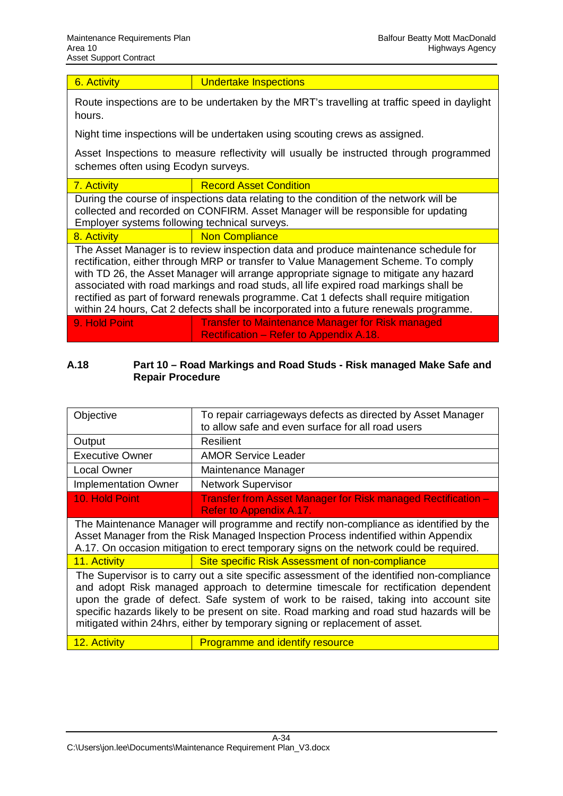6. Activity **Conservation Undertake Inspections** 

Route inspections are to be undertaken by the MRT's travelling at traffic speed in daylight hours.

Night time inspections will be undertaken using scouting crews as assigned.

Asset Inspections to measure reflectivity will usually be instructed through programmed schemes often using Ecodyn surveys.

| 7. Activity                                                                                                                                                                                                                  | <b>Record Asset Condition</b>                                                                                                                                                                                                                                                                                                                                |  |  |  |  |  |  |  |  |
|------------------------------------------------------------------------------------------------------------------------------------------------------------------------------------------------------------------------------|--------------------------------------------------------------------------------------------------------------------------------------------------------------------------------------------------------------------------------------------------------------------------------------------------------------------------------------------------------------|--|--|--|--|--|--|--|--|
| During the course of inspections data relating to the condition of the network will be<br>collected and recorded on CONFIRM. Asset Manager will be responsible for updating<br>Employer systems following technical surveys. |                                                                                                                                                                                                                                                                                                                                                              |  |  |  |  |  |  |  |  |
| 8. Activity                                                                                                                                                                                                                  | <b>Non Compliance</b>                                                                                                                                                                                                                                                                                                                                        |  |  |  |  |  |  |  |  |
|                                                                                                                                                                                                                              | The Asset Manager is to review inspection data and produce maintenance schedule for<br>rectification, either through MRP or transfer to Value Management Scheme. To comply<br>with TD 26, the Asset Manager will arrange appropriate signage to mitigate any hazard<br>associated with road markings and road studs, all life expired road markings shall be |  |  |  |  |  |  |  |  |

rectified as part of forward renewals programme. Cat 1 defects shall require mitigation within 24 hours, Cat 2 defects shall be incorporated into a future renewals programme. 9. Hold Point **Transfer to Maintenance Manager for Risk managed** 

Rectification – Refer to Appendix A.18.

## **A.18 Part 10 – Road Markings and Road Studs - Risk managed Make Safe and Repair Procedure**

| Objective                                                                                                                                                                                                                                                                                                                                                                                                                                             | To repair carriageways defects as directed by Asset Manager<br>to allow safe and even surface for all road users                                                                                                                                                        |  |  |  |  |  |  |  |
|-------------------------------------------------------------------------------------------------------------------------------------------------------------------------------------------------------------------------------------------------------------------------------------------------------------------------------------------------------------------------------------------------------------------------------------------------------|-------------------------------------------------------------------------------------------------------------------------------------------------------------------------------------------------------------------------------------------------------------------------|--|--|--|--|--|--|--|
| Output                                                                                                                                                                                                                                                                                                                                                                                                                                                | Resilient                                                                                                                                                                                                                                                               |  |  |  |  |  |  |  |
| <b>Executive Owner</b>                                                                                                                                                                                                                                                                                                                                                                                                                                | <b>AMOR Service Leader</b>                                                                                                                                                                                                                                              |  |  |  |  |  |  |  |
| <b>Local Owner</b>                                                                                                                                                                                                                                                                                                                                                                                                                                    | Maintenance Manager                                                                                                                                                                                                                                                     |  |  |  |  |  |  |  |
| <b>Implementation Owner</b>                                                                                                                                                                                                                                                                                                                                                                                                                           | <b>Network Supervisor</b>                                                                                                                                                                                                                                               |  |  |  |  |  |  |  |
| 10. Hold Point                                                                                                                                                                                                                                                                                                                                                                                                                                        | Transfer from Asset Manager for Risk managed Rectification -<br>Refer to Appendix A.17.                                                                                                                                                                                 |  |  |  |  |  |  |  |
|                                                                                                                                                                                                                                                                                                                                                                                                                                                       | The Maintenance Manager will programme and rectify non-compliance as identified by the<br>Asset Manager from the Risk Managed Inspection Process indentified within Appendix<br>A.17. On occasion mitigation to erect temporary signs on the network could be required. |  |  |  |  |  |  |  |
| 11. Activity                                                                                                                                                                                                                                                                                                                                                                                                                                          | Site specific Risk Assessment of non-compliance                                                                                                                                                                                                                         |  |  |  |  |  |  |  |
| The Supervisor is to carry out a site specific assessment of the identified non-compliance<br>and adopt Risk managed approach to determine timescale for rectification dependent<br>upon the grade of defect. Safe system of work to be raised, taking into account site<br>specific hazards likely to be present on site. Road marking and road stud hazards will be<br>mitigated within 24hrs, either by temporary signing or replacement of asset. |                                                                                                                                                                                                                                                                         |  |  |  |  |  |  |  |
| 12. Activity                                                                                                                                                                                                                                                                                                                                                                                                                                          | <b>Programme and identify resource</b>                                                                                                                                                                                                                                  |  |  |  |  |  |  |  |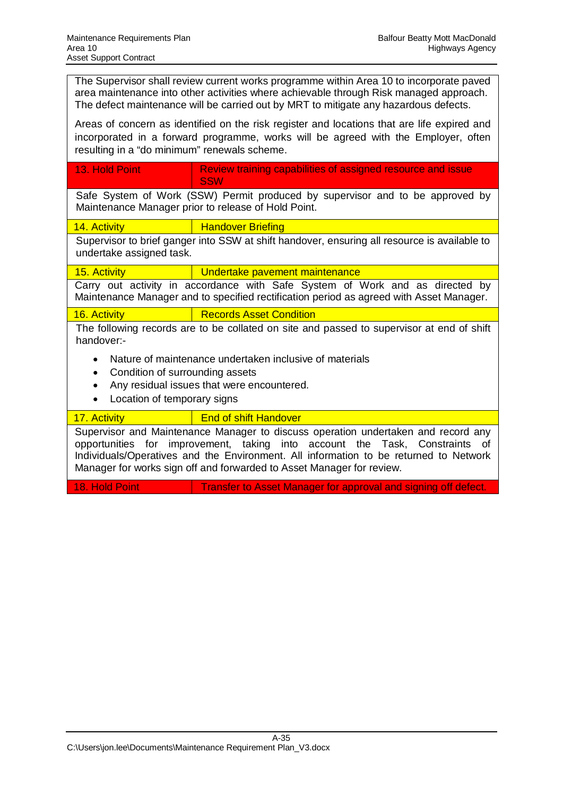The Supervisor shall review current works programme within Area 10 to incorporate paved area maintenance into other activities where achievable through Risk managed approach. The defect maintenance will be carried out by MRT to mitigate any hazardous defects.

Areas of concern as identified on the risk register and locations that are life expired and incorporated in a forward programme, works will be agreed with the Employer, often resulting in a "do minimum" renewals scheme.

| - 13. Hold Point | Review training capabilities of assigned resource and issue<br>l SSW          |
|------------------|-------------------------------------------------------------------------------|
|                  | Safe System of Work (SSW) Dermit produced by supervisor and to be approved by |

Safe System of Work (SSW) Permit produced by supervisor and to be approved by Maintenance Manager prior to release of Hold Point.

14. Activity **Handover Briefing** 

Supervisor to brief ganger into SSW at shift handover, ensuring all resource is available to undertake assigned task.

15. Activity **Undertake pavement maintenance** 

Carry out activity in accordance with Safe System of Work and as directed by Maintenance Manager and to specified rectification period as agreed with Asset Manager.

16. Activity Records Asset Condition

The following records are to be collated on site and passed to supervisor at end of shift handover:-

- Nature of maintenance undertaken inclusive of materials
- Condition of surrounding assets
- Any residual issues that were encountered.
- Location of temporary signs

## 17. Activity **End of shift Handover**

Supervisor and Maintenance Manager to discuss operation undertaken and record any opportunities for improvement, taking into account the Task, Constraints of Individuals/Operatives and the Environment. All information to be returned to Network Manager for works sign off and forwarded to Asset Manager for review.

18. Hold Point **Transfer to Asset Manager for approval and signing off defect.**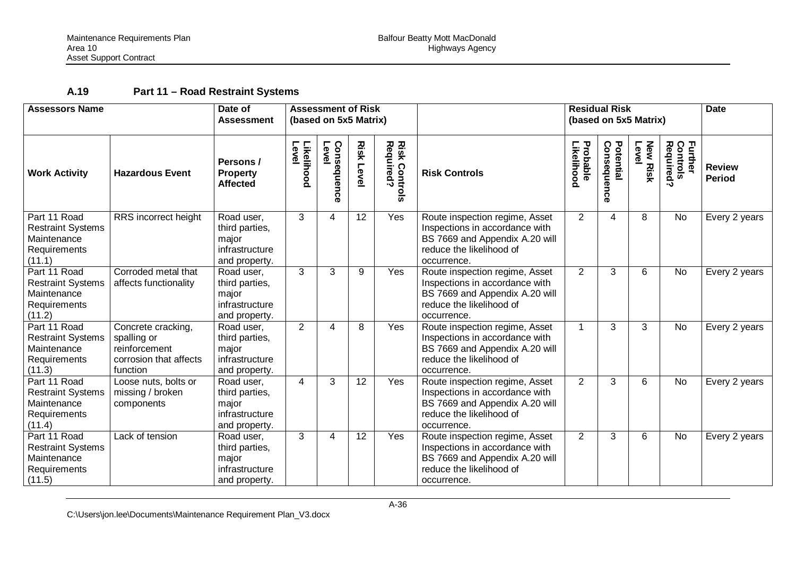# **A.19 Part 11 – Road Restraint Systems**

| <b>Assessors Name</b>                                                             |                                                                                          | Date of<br><b>Assessment</b>                                             |                            | <b>Assessment of Risk</b><br>(based on 5x5 Matrix) |                  |                                   |                                                                                                                                               |                        | <b>Residual Risk</b><br>(based on 5x5 Matrix) |                         |                                  | <b>Date</b>                    |
|-----------------------------------------------------------------------------------|------------------------------------------------------------------------------------------|--------------------------------------------------------------------------|----------------------------|----------------------------------------------------|------------------|-----------------------------------|-----------------------------------------------------------------------------------------------------------------------------------------------|------------------------|-----------------------------------------------|-------------------------|----------------------------------|--------------------------------|
| <b>Work Activity</b>                                                              | <b>Hazardous Event</b>                                                                   | Persons /<br><b>Property</b><br><b>Affected</b>                          | <b>Likelihood</b><br>Level | Consequen<br>Level<br>ດ                            | <b>Risk Leve</b> | <b>Risk Controls</b><br>Required? | <b>Risk Controls</b>                                                                                                                          | Probable<br>Likelihood | Consequence<br>Potential                      | <b>New Risk</b><br>Leve | Further<br>Controls<br>Required? | <b>Review</b><br><b>Period</b> |
| Part 11 Road<br><b>Restraint Systems</b><br>Maintenance<br>Requirements<br>(11.1) | RRS incorrect height                                                                     | Road user,<br>third parties,<br>major<br>infrastructure<br>and property. | 3                          | 4                                                  | 12               | Yes                               | Route inspection regime, Asset<br>Inspections in accordance with<br>BS 7669 and Appendix A.20 will<br>reduce the likelihood of<br>occurrence. | 2                      | 4                                             | 8                       | No                               | Every 2 years                  |
| Part 11 Road<br><b>Restraint Systems</b><br>Maintenance<br>Requirements<br>(11.2) | Corroded metal that<br>affects functionality                                             | Road user,<br>third parties,<br>major<br>infrastructure<br>and property. | 3                          | 3                                                  | 9                | Yes                               | Route inspection regime, Asset<br>Inspections in accordance with<br>BS 7669 and Appendix A.20 will<br>reduce the likelihood of<br>occurrence. | $\overline{2}$         | 3                                             | 6                       | No                               | Every 2 years                  |
| Part 11 Road<br><b>Restraint Systems</b><br>Maintenance<br>Requirements<br>(11.3) | Concrete cracking,<br>spalling or<br>reinforcement<br>corrosion that affects<br>function | Road user,<br>third parties,<br>major<br>infrastructure<br>and property. | 2                          | $\overline{\mathbf{4}}$                            | 8                | Yes                               | Route inspection regime, Asset<br>Inspections in accordance with<br>BS 7669 and Appendix A.20 will<br>reduce the likelihood of<br>occurrence. | 1                      | 3                                             | 3                       | <b>No</b>                        | Every 2 years                  |
| Part 11 Road<br><b>Restraint Systems</b><br>Maintenance<br>Requirements<br>(11.4) | Loose nuts, bolts or<br>missing / broken<br>components                                   | Road user,<br>third parties,<br>major<br>infrastructure<br>and property. | 4                          | 3                                                  | 12               | Yes                               | Route inspection regime, Asset<br>Inspections in accordance with<br>BS 7669 and Appendix A.20 will<br>reduce the likelihood of<br>occurrence. | $\overline{2}$         | 3                                             | 6                       | No                               | Every 2 years                  |
| Part 11 Road<br><b>Restraint Systems</b><br>Maintenance<br>Requirements<br>(11.5) | Lack of tension                                                                          | Road user,<br>third parties,<br>major<br>infrastructure<br>and property. | 3                          | $\overline{4}$                                     | 12               | Yes                               | Route inspection regime, Asset<br>Inspections in accordance with<br>BS 7669 and Appendix A.20 will<br>reduce the likelihood of<br>occurrence. | $\overline{2}$         | 3                                             | 6                       | <b>No</b>                        | Every 2 years                  |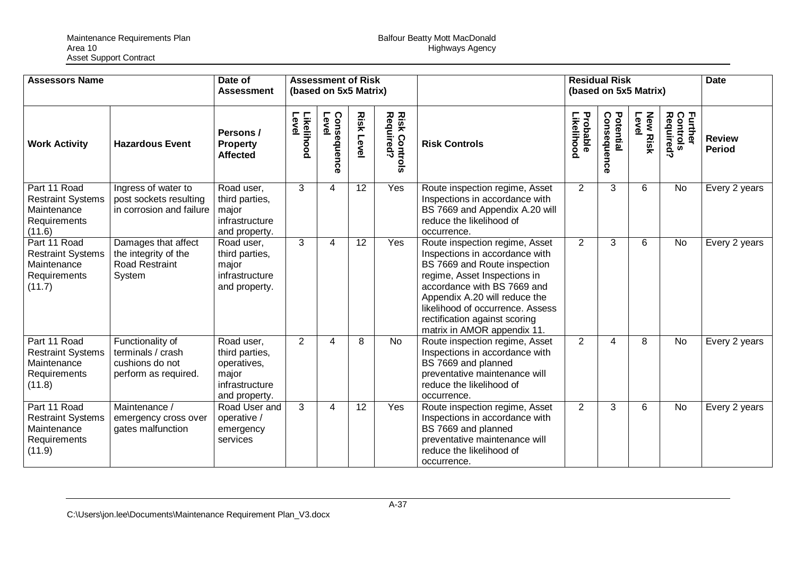| <b>Assessors Name</b>                                                             |                                                                                  | Date of<br><b>Assessment</b>                                                            | <b>Assessment of Risk</b><br>(based on 5x5 Matrix) |                      |                  |                               |                                                                                                                                                                                                                                                                                                      |                        | <b>Residual Risk</b><br>(based on 5x5 Matrix) |                          |                                  | <b>Date</b>                    |
|-----------------------------------------------------------------------------------|----------------------------------------------------------------------------------|-----------------------------------------------------------------------------------------|----------------------------------------------------|----------------------|------------------|-------------------------------|------------------------------------------------------------------------------------------------------------------------------------------------------------------------------------------------------------------------------------------------------------------------------------------------------|------------------------|-----------------------------------------------|--------------------------|----------------------------------|--------------------------------|
| <b>Work Activity</b>                                                              | <b>Hazardous Event</b>                                                           | Persons /<br><b>Property</b><br><b>Affected</b>                                         | Likelihood<br>Level                                | Consequence<br>Level | <b>Risk Leve</b> | Risk<br>Required?<br>Controls | <b>Risk Controls</b>                                                                                                                                                                                                                                                                                 | Likelihood<br>Probable | Consequence<br>Potential                      | <b>New Risk</b><br>Level | Further<br>Controls<br>Required? | <b>Review</b><br><b>Period</b> |
| Part 11 Road<br><b>Restraint Systems</b><br>Maintenance<br>Requirements<br>(11.6) | Ingress of water to<br>post sockets resulting<br>in corrosion and failure        | Road user,<br>third parties,<br>major<br>infrastructure<br>and property.                | 3                                                  | 4                    | 12               | Yes                           | Route inspection regime, Asset<br>Inspections in accordance with<br>BS 7669 and Appendix A.20 will<br>reduce the likelihood of<br>occurrence.                                                                                                                                                        | $\overline{2}$         | 3                                             | 6                        | No                               | Every 2 years                  |
| Part 11 Road<br><b>Restraint Systems</b><br>Maintenance<br>Requirements<br>(11.7) | Damages that affect<br>the integrity of the<br><b>Road Restraint</b><br>System   | Road user,<br>third parties,<br>major<br>infrastructure<br>and property.                | 3                                                  | 4                    | 12               | Yes                           | Route inspection regime, Asset<br>Inspections in accordance with<br>BS 7669 and Route inspection<br>regime, Asset Inspections in<br>accordance with BS 7669 and<br>Appendix A.20 will reduce the<br>likelihood of occurrence. Assess<br>rectification against scoring<br>matrix in AMOR appendix 11. | $\overline{2}$         | 3                                             | 6                        | <b>No</b>                        | Every 2 years                  |
| Part 11 Road<br><b>Restraint Systems</b><br>Maintenance<br>Requirements<br>(11.8) | Functionality of<br>terminals / crash<br>cushions do not<br>perform as required. | Road user,<br>third parties,<br>operatives,<br>major<br>infrastructure<br>and property. | $\overline{2}$                                     | 4                    | 8                | <b>No</b>                     | Route inspection regime, Asset<br>Inspections in accordance with<br>BS 7669 and planned<br>preventative maintenance will<br>reduce the likelihood of<br>occurrence.                                                                                                                                  | $\overline{2}$         | 4                                             | 8                        | No                               | Every 2 years                  |
| Part 11 Road<br><b>Restraint Systems</b><br>Maintenance<br>Requirements<br>(11.9) | Maintenance /<br>emergency cross over<br>gates malfunction                       | Road User and<br>operative /<br>emergency<br>services                                   | 3                                                  | 4                    | 12               | Yes                           | Route inspection regime, Asset<br>Inspections in accordance with<br>BS 7669 and planned<br>preventative maintenance will<br>reduce the likelihood of<br>occurrence.                                                                                                                                  | $\overline{2}$         | 3                                             | 6                        | <b>No</b>                        | Every 2 years                  |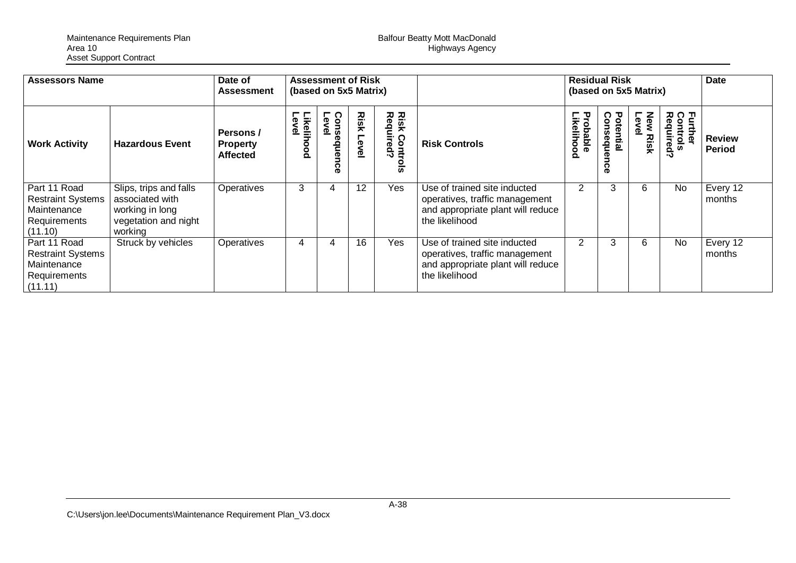| <b>Assessors Name</b>                                                              |                                                                                                 | Date of<br><b>Assessment</b>                    | <b>Assessment of Risk</b><br>(based on 5x5 Matrix) |                              |                   |                                       |                                                                                                                       | <b>Residual Risk</b><br>(based on 5x5 Matrix) |                               |                             | <b>Date</b>                      |                         |
|------------------------------------------------------------------------------------|-------------------------------------------------------------------------------------------------|-------------------------------------------------|----------------------------------------------------|------------------------------|-------------------|---------------------------------------|-----------------------------------------------------------------------------------------------------------------------|-----------------------------------------------|-------------------------------|-----------------------------|----------------------------------|-------------------------|
| <b>Work Activity</b>                                                               | <b>Hazardous Event</b>                                                                          | Persons /<br><b>Property</b><br><b>Affected</b> | <b>Likelihood</b><br>ද<br>உ                        | Conse<br>Level<br>squen<br>ດ | Risk<br>level     | <b>Risk Controng</b><br>$\frac{8}{5}$ | <b>Risk Controls</b>                                                                                                  | Probable<br><b>ikelihod</b><br>Ō.             | Consequen<br>Potential<br>ခဲ့ | Level<br>New<br><b>Risk</b> | Further<br>Controls<br>Required? | <b>Review</b><br>Period |
| Part 11 Road<br><b>Restraint Systems</b><br>Maintenance<br>Requirements<br>(11.10) | Slips, trips and falls<br>associated with<br>working in long<br>vegetation and night<br>working | Operatives                                      | 3                                                  | 4                            | $12 \overline{ }$ | Yes                                   | Use of trained site inducted<br>operatives, traffic management<br>and appropriate plant will reduce<br>the likelihood | 2                                             | 3                             | 6                           | <b>No</b>                        | Every 12<br>months      |
| Part 11 Road<br><b>Restraint Systems</b><br>Maintenance<br>Requirements<br>(11.11) | Struck by vehicles                                                                              | Operatives                                      | 4                                                  |                              | 16                | Yes                                   | Use of trained site inducted<br>operatives, traffic management<br>and appropriate plant will reduce<br>the likelihood | 2                                             | 3                             | 6                           | No                               | Every 12<br>months      |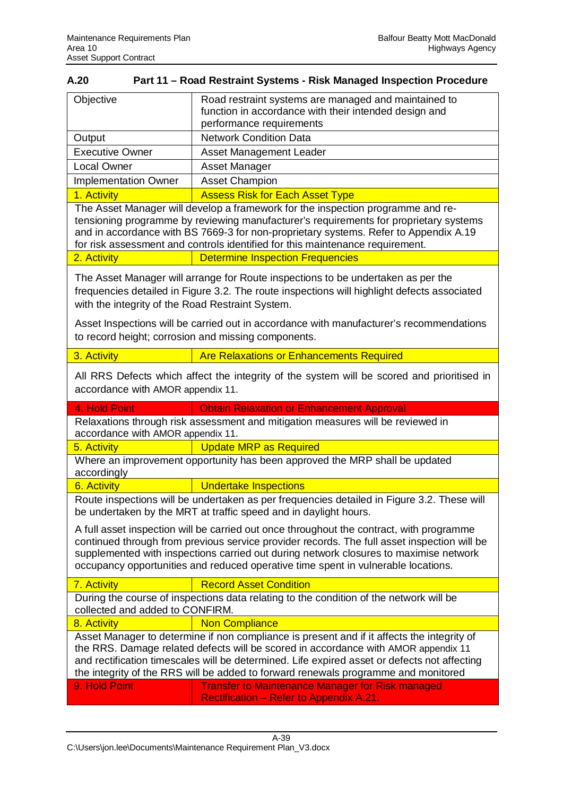| A.20                                                                                                                                                                                                                                                                                                                                                                   | Part 11 - Road Restraint Systems - Risk Managed Inspection Procedure                                                                                                                                                                                                                                                                                                  |  |  |  |  |  |  |
|------------------------------------------------------------------------------------------------------------------------------------------------------------------------------------------------------------------------------------------------------------------------------------------------------------------------------------------------------------------------|-----------------------------------------------------------------------------------------------------------------------------------------------------------------------------------------------------------------------------------------------------------------------------------------------------------------------------------------------------------------------|--|--|--|--|--|--|
| Objective                                                                                                                                                                                                                                                                                                                                                              | Road restraint systems are managed and maintained to<br>function in accordance with their intended design and<br>performance requirements                                                                                                                                                                                                                             |  |  |  |  |  |  |
| Output                                                                                                                                                                                                                                                                                                                                                                 | <b>Network Condition Data</b>                                                                                                                                                                                                                                                                                                                                         |  |  |  |  |  |  |
| <b>Executive Owner</b>                                                                                                                                                                                                                                                                                                                                                 | <b>Asset Management Leader</b>                                                                                                                                                                                                                                                                                                                                        |  |  |  |  |  |  |
| <b>Local Owner</b>                                                                                                                                                                                                                                                                                                                                                     | <b>Asset Manager</b>                                                                                                                                                                                                                                                                                                                                                  |  |  |  |  |  |  |
| <b>Implementation Owner</b>                                                                                                                                                                                                                                                                                                                                            | <b>Asset Champion</b>                                                                                                                                                                                                                                                                                                                                                 |  |  |  |  |  |  |
| 1. Activity                                                                                                                                                                                                                                                                                                                                                            | <b>Assess Risk for Each Asset Type</b>                                                                                                                                                                                                                                                                                                                                |  |  |  |  |  |  |
|                                                                                                                                                                                                                                                                                                                                                                        | The Asset Manager will develop a framework for the inspection programme and re-<br>tensioning programme by reviewing manufacturer's requirements for proprietary systems<br>and in accordance with BS 7669-3 for non-proprietary systems. Refer to Appendix A.19<br>for risk assessment and controls identified for this maintenance requirement.                     |  |  |  |  |  |  |
| 2. Activity                                                                                                                                                                                                                                                                                                                                                            | <b>Determine Inspection Frequencies</b>                                                                                                                                                                                                                                                                                                                               |  |  |  |  |  |  |
| with the integrity of the Road Restraint System.                                                                                                                                                                                                                                                                                                                       | The Asset Manager will arrange for Route inspections to be undertaken as per the<br>frequencies detailed in Figure 3.2. The route inspections will highlight defects associated                                                                                                                                                                                       |  |  |  |  |  |  |
| Asset Inspections will be carried out in accordance with manufacturer's recommendations<br>to record height; corrosion and missing components.                                                                                                                                                                                                                         |                                                                                                                                                                                                                                                                                                                                                                       |  |  |  |  |  |  |
| 3. Activity                                                                                                                                                                                                                                                                                                                                                            | <b>Are Relaxations or Enhancements Required</b>                                                                                                                                                                                                                                                                                                                       |  |  |  |  |  |  |
| accordance with AMOR appendix 11.                                                                                                                                                                                                                                                                                                                                      | All RRS Defects which affect the integrity of the system will be scored and prioritised in                                                                                                                                                                                                                                                                            |  |  |  |  |  |  |
| 4. Hold Point                                                                                                                                                                                                                                                                                                                                                          | <b>Obtain Relaxation or Enhancement Approval</b>                                                                                                                                                                                                                                                                                                                      |  |  |  |  |  |  |
| accordance with AMOR appendix 11.                                                                                                                                                                                                                                                                                                                                      | Relaxations through risk assessment and mitigation measures will be reviewed in                                                                                                                                                                                                                                                                                       |  |  |  |  |  |  |
| 5. Activity                                                                                                                                                                                                                                                                                                                                                            | <b>Update MRP as Required</b>                                                                                                                                                                                                                                                                                                                                         |  |  |  |  |  |  |
| accordingly                                                                                                                                                                                                                                                                                                                                                            | Where an improvement opportunity has been approved the MRP shall be updated                                                                                                                                                                                                                                                                                           |  |  |  |  |  |  |
| 6. Activity                                                                                                                                                                                                                                                                                                                                                            | <b>Undertake Inspections</b>                                                                                                                                                                                                                                                                                                                                          |  |  |  |  |  |  |
|                                                                                                                                                                                                                                                                                                                                                                        | Route inspections will be undertaken as per frequencies detailed in Figure 3.2. These will<br>be undertaken by the MRT at traffic speed and in daylight hours.                                                                                                                                                                                                        |  |  |  |  |  |  |
|                                                                                                                                                                                                                                                                                                                                                                        | A full asset inspection will be carried out once throughout the contract, with programme<br>continued through from previous service provider records. The full asset inspection will be<br>supplemented with inspections carried out during network closures to maximise network<br>occupancy opportunities and reduced operative time spent in vulnerable locations. |  |  |  |  |  |  |
| 7. Activity                                                                                                                                                                                                                                                                                                                                                            | <b>Record Asset Condition</b>                                                                                                                                                                                                                                                                                                                                         |  |  |  |  |  |  |
| collected and added to CONFIRM.                                                                                                                                                                                                                                                                                                                                        | During the course of inspections data relating to the condition of the network will be                                                                                                                                                                                                                                                                                |  |  |  |  |  |  |
| 8. Activity                                                                                                                                                                                                                                                                                                                                                            | <b>Non Compliance</b>                                                                                                                                                                                                                                                                                                                                                 |  |  |  |  |  |  |
| Asset Manager to determine if non compliance is present and if it affects the integrity of<br>the RRS. Damage related defects will be scored in accordance with AMOR appendix 11<br>and rectification timescales will be determined. Life expired asset or defects not affecting<br>the integrity of the RRS will be added to forward renewals programme and monitored |                                                                                                                                                                                                                                                                                                                                                                       |  |  |  |  |  |  |
| 9. Hold Point                                                                                                                                                                                                                                                                                                                                                          | <b>Transfer to Maintenance Manager for Risk managed</b><br>Rectification - Refer to Appendix A.21.                                                                                                                                                                                                                                                                    |  |  |  |  |  |  |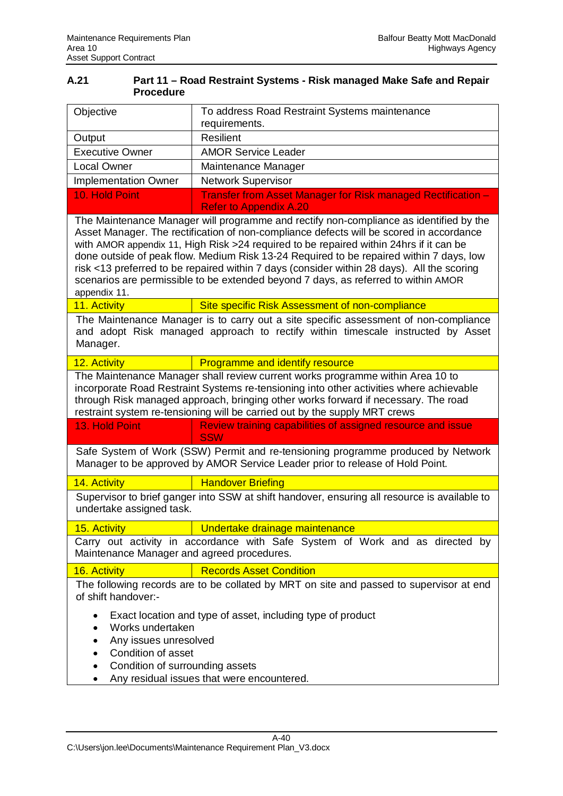| A.21 | Part 11 - Road Restraint Systems - Risk managed Make Safe and Repair |
|------|----------------------------------------------------------------------|
|      | <b>Procedure</b>                                                     |

| Objective                                                                                                                                                                                                                                                                                                                                                                                                                                                                                                                                                                   | To address Road Restraint Systems maintenance<br>requirements.                                                                                                    |  |  |  |  |  |  |  |  |
|-----------------------------------------------------------------------------------------------------------------------------------------------------------------------------------------------------------------------------------------------------------------------------------------------------------------------------------------------------------------------------------------------------------------------------------------------------------------------------------------------------------------------------------------------------------------------------|-------------------------------------------------------------------------------------------------------------------------------------------------------------------|--|--|--|--|--|--|--|--|
| Output                                                                                                                                                                                                                                                                                                                                                                                                                                                                                                                                                                      | <b>Resilient</b>                                                                                                                                                  |  |  |  |  |  |  |  |  |
| <b>Executive Owner</b>                                                                                                                                                                                                                                                                                                                                                                                                                                                                                                                                                      | <b>AMOR Service Leader</b>                                                                                                                                        |  |  |  |  |  |  |  |  |
| <b>Local Owner</b>                                                                                                                                                                                                                                                                                                                                                                                                                                                                                                                                                          | Maintenance Manager                                                                                                                                               |  |  |  |  |  |  |  |  |
| <b>Implementation Owner</b>                                                                                                                                                                                                                                                                                                                                                                                                                                                                                                                                                 | <b>Network Supervisor</b>                                                                                                                                         |  |  |  |  |  |  |  |  |
| 10. Hold Point                                                                                                                                                                                                                                                                                                                                                                                                                                                                                                                                                              | Transfer from Asset Manager for Risk managed Rectification -                                                                                                      |  |  |  |  |  |  |  |  |
|                                                                                                                                                                                                                                                                                                                                                                                                                                                                                                                                                                             | <b>Refer to Appendix A.20</b>                                                                                                                                     |  |  |  |  |  |  |  |  |
| The Maintenance Manager will programme and rectify non-compliance as identified by the<br>Asset Manager. The rectification of non-compliance defects will be scored in accordance<br>with AMOR appendix 11, High Risk > 24 required to be repaired within 24hrs if it can be<br>done outside of peak flow. Medium Risk 13-24 Required to be repaired within 7 days, low<br>risk <13 preferred to be repaired within 7 days (consider within 28 days). All the scoring<br>scenarios are permissible to be extended beyond 7 days, as referred to within AMOR<br>appendix 11. |                                                                                                                                                                   |  |  |  |  |  |  |  |  |
| 11. Activity                                                                                                                                                                                                                                                                                                                                                                                                                                                                                                                                                                | Site specific Risk Assessment of non-compliance                                                                                                                   |  |  |  |  |  |  |  |  |
| The Maintenance Manager is to carry out a site specific assessment of non-compliance<br>and adopt Risk managed approach to rectify within timescale instructed by Asset<br>Manager.                                                                                                                                                                                                                                                                                                                                                                                         |                                                                                                                                                                   |  |  |  |  |  |  |  |  |
| 12. Activity                                                                                                                                                                                                                                                                                                                                                                                                                                                                                                                                                                | <b>Programme and identify resource</b>                                                                                                                            |  |  |  |  |  |  |  |  |
| The Maintenance Manager shall review current works programme within Area 10 to<br>incorporate Road Restraint Systems re-tensioning into other activities where achievable<br>through Risk managed approach, bringing other works forward if necessary. The road<br>restraint system re-tensioning will be carried out by the supply MRT crews                                                                                                                                                                                                                               |                                                                                                                                                                   |  |  |  |  |  |  |  |  |
| 13. Hold Point                                                                                                                                                                                                                                                                                                                                                                                                                                                                                                                                                              | Review training capabilities of assigned resource and issue<br><b>SSW</b>                                                                                         |  |  |  |  |  |  |  |  |
|                                                                                                                                                                                                                                                                                                                                                                                                                                                                                                                                                                             | Safe System of Work (SSW) Permit and re-tensioning programme produced by Network<br>Manager to be approved by AMOR Service Leader prior to release of Hold Point. |  |  |  |  |  |  |  |  |
| 14. Activity                                                                                                                                                                                                                                                                                                                                                                                                                                                                                                                                                                | <b>Handover Briefing</b>                                                                                                                                          |  |  |  |  |  |  |  |  |
| undertake assigned task.                                                                                                                                                                                                                                                                                                                                                                                                                                                                                                                                                    | Supervisor to brief ganger into SSW at shift handover, ensuring all resource is available to                                                                      |  |  |  |  |  |  |  |  |
| <u>15. Activity</u>                                                                                                                                                                                                                                                                                                                                                                                                                                                                                                                                                         | Undertake drainage maintenance                                                                                                                                    |  |  |  |  |  |  |  |  |
| Maintenance Manager and agreed procedures.                                                                                                                                                                                                                                                                                                                                                                                                                                                                                                                                  | Carry out activity in accordance with Safe System of Work and as directed by                                                                                      |  |  |  |  |  |  |  |  |
| 16. Activity                                                                                                                                                                                                                                                                                                                                                                                                                                                                                                                                                                | <b>Records Asset Condition</b>                                                                                                                                    |  |  |  |  |  |  |  |  |
| of shift handover:-                                                                                                                                                                                                                                                                                                                                                                                                                                                                                                                                                         | The following records are to be collated by MRT on site and passed to supervisor at end                                                                           |  |  |  |  |  |  |  |  |
| Exact location and type of asset, including type of product<br>Works undertaken<br>Any issues unresolved<br>Condition of asset<br>Condition of surrounding assets<br>$\bullet$<br>Any residual issues that were encountered.                                                                                                                                                                                                                                                                                                                                                |                                                                                                                                                                   |  |  |  |  |  |  |  |  |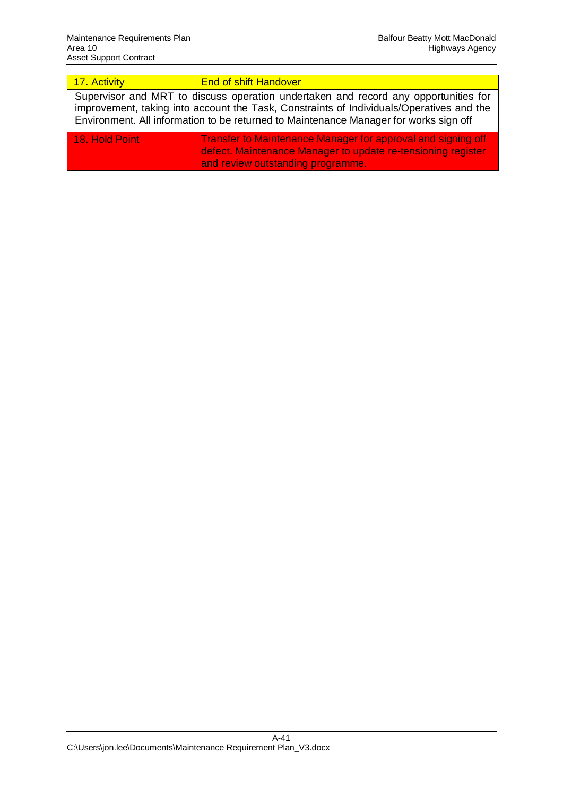| 17. Activity                                                                                                                                                                                                                                                             | <b>End of shift Handover</b>                                                                                                                                             |  |  |  |  |  |  |  |  |
|--------------------------------------------------------------------------------------------------------------------------------------------------------------------------------------------------------------------------------------------------------------------------|--------------------------------------------------------------------------------------------------------------------------------------------------------------------------|--|--|--|--|--|--|--|--|
| Supervisor and MRT to discuss operation undertaken and record any opportunities for<br>improvement, taking into account the Task, Constraints of Individuals/Operatives and the<br>Environment. All information to be returned to Maintenance Manager for works sign off |                                                                                                                                                                          |  |  |  |  |  |  |  |  |
| <b>18. Hold Point</b>                                                                                                                                                                                                                                                    | <b>Transfer to Maintenance Manager for approval and signing off</b><br>defect. Maintenance Manager to update re-tensioning register<br>and review outstanding programme. |  |  |  |  |  |  |  |  |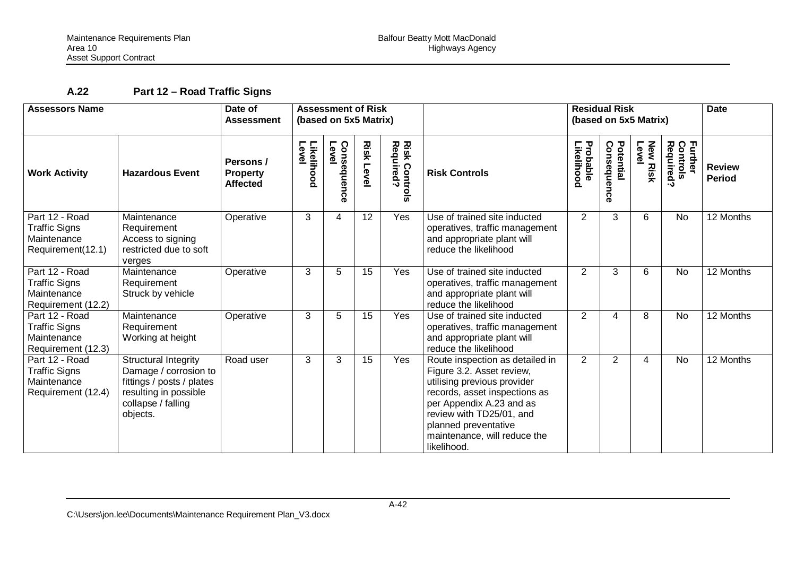# **A.22 Part 12 – Road Traffic Signs**

| <b>Assessors Name</b>                                                       |                                                                                                                                       | <b>Assessment of Risk</b><br>Date of<br>(based on 5x5 Matrix)<br><b>Assessment</b> |                     |                              |                  |                                   | <b>Residual Risk</b><br>(based on 5x5 Matrix)                                                                                                                                                                                                               |                                |                               |                          |                                  | <b>Date</b>                    |
|-----------------------------------------------------------------------------|---------------------------------------------------------------------------------------------------------------------------------------|------------------------------------------------------------------------------------|---------------------|------------------------------|------------------|-----------------------------------|-------------------------------------------------------------------------------------------------------------------------------------------------------------------------------------------------------------------------------------------------------------|--------------------------------|-------------------------------|--------------------------|----------------------------------|--------------------------------|
| <b>Work Activity</b>                                                        | <b>Hazardous Event</b>                                                                                                                | Persons /<br><b>Property</b><br><b>Affected</b>                                    | Level<br>Likelihood | Level<br>Conse<br>sdneu<br>ດ | <b>Risk Leve</b> | <b>Risk Controls</b><br>Required? | <b>Risk Controls</b>                                                                                                                                                                                                                                        | <b>Probable<br/>Likelihood</b> | Potential<br>Consequen<br>င္ပ | <b>New Risk</b><br>Level | Further<br>Controls<br>Required? | <b>Review</b><br><b>Period</b> |
| Part 12 - Road<br><b>Traffic Signs</b><br>Maintenance<br>Requirement(12.1)  | Maintenance<br>Requirement<br>Access to signing<br>restricted due to soft<br>verges                                                   | Operative                                                                          | 3                   | 4                            | 12               | Yes                               | Use of trained site inducted<br>operatives, traffic management<br>and appropriate plant will<br>reduce the likelihood                                                                                                                                       | $\overline{2}$                 | 3                             | 6                        | No                               | 12 Months                      |
| Part 12 - Road<br><b>Traffic Signs</b><br>Maintenance<br>Requirement (12.2) | Maintenance<br>Requirement<br>Struck by vehicle                                                                                       | Operative                                                                          | 3                   | 5                            | 15               | Yes                               | Use of trained site inducted<br>operatives, traffic management<br>and appropriate plant will<br>reduce the likelihood                                                                                                                                       | $\overline{2}$                 | 3                             | 6                        | No                               | 12 Months                      |
| Part 12 - Road<br><b>Traffic Signs</b><br>Maintenance<br>Requirement (12.3) | Maintenance<br>Requirement<br>Working at height                                                                                       | Operative                                                                          | 3                   | 5                            | 15               | Yes                               | Use of trained site inducted<br>operatives, traffic management<br>and appropriate plant will<br>reduce the likelihood                                                                                                                                       | $\overline{2}$                 | 4                             | 8                        | <b>No</b>                        | 12 Months                      |
| Part 12 - Road<br><b>Traffic Signs</b><br>Maintenance<br>Requirement (12.4) | Structural Integrity<br>Damage / corrosion to<br>fittings / posts / plates<br>resulting in possible<br>collapse / falling<br>objects. | Road user                                                                          | 3                   | 3                            | 15               | Yes                               | Route inspection as detailed in<br>Figure 3.2. Asset review,<br>utilising previous provider<br>records, asset inspections as<br>per Appendix A.23 and as<br>review with TD25/01, and<br>planned preventative<br>maintenance, will reduce the<br>likelihood. | $\overline{2}$                 | $\overline{2}$                | 4                        | No                               | 12 Months                      |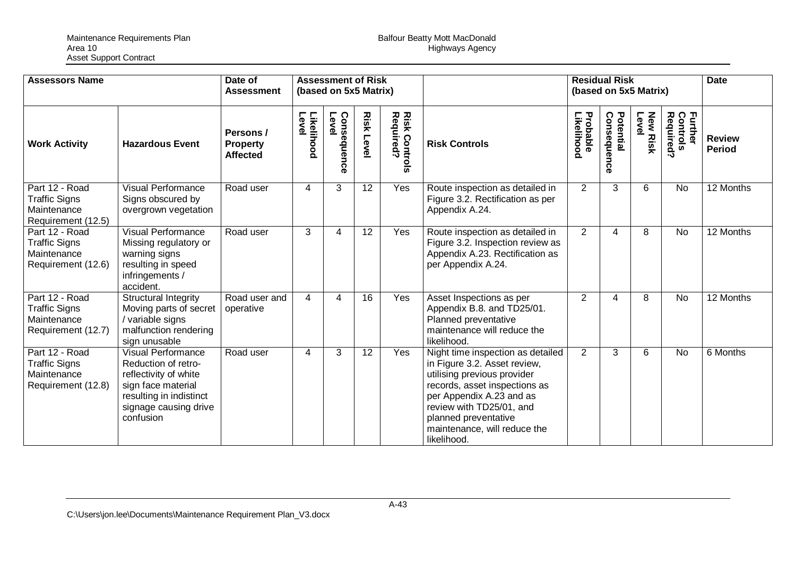| <b>Assessors Name</b>                                                       |                                                                                                                                                                  | Date of<br><b>Assessment</b>                    |                     | <b>Assessment of Risk</b><br>(based on 5x5 Matrix) |                  |                                             |                                                                                                                                                                                                                                                                  | <b>Residual Risk</b><br>(based on 5x5 Matrix) |                          |                          |                                  | <b>Date</b>                    |
|-----------------------------------------------------------------------------|------------------------------------------------------------------------------------------------------------------------------------------------------------------|-------------------------------------------------|---------------------|----------------------------------------------------|------------------|---------------------------------------------|------------------------------------------------------------------------------------------------------------------------------------------------------------------------------------------------------------------------------------------------------------------|-----------------------------------------------|--------------------------|--------------------------|----------------------------------|--------------------------------|
| <b>Work Activity</b>                                                        | <b>Hazardous Event</b>                                                                                                                                           | Persons /<br><b>Property</b><br><b>Affected</b> | Likelihood<br>Level | Consequence<br>Level                               | <b>Risk Leve</b> | <b>Risk Contr<br/>Required?</b><br>Controls | <b>Risk Controls</b>                                                                                                                                                                                                                                             | Probable<br>Likelihood                        | Potential<br>Consequence | <b>New Risk</b><br>Level | Further<br>Controls<br>Required? | <b>Review</b><br><b>Period</b> |
| Part 12 - Road<br><b>Traffic Signs</b><br>Maintenance<br>Requirement (12.5) | <b>Visual Performance</b><br>Signs obscured by<br>overgrown vegetation                                                                                           | Road user                                       | 4                   | 3                                                  | 12               | Yes                                         | Route inspection as detailed in<br>Figure 3.2. Rectification as per<br>Appendix A.24.                                                                                                                                                                            | $\overline{2}$                                | 3                        | 6                        | <b>No</b>                        | 12 Months                      |
| Part 12 - Road<br><b>Traffic Signs</b><br>Maintenance<br>Requirement (12.6) | <b>Visual Performance</b><br>Missing regulatory or<br>warning signs<br>resulting in speed<br>infringements /<br>accident.                                        | Road user                                       | 3                   | 4                                                  | 12               | Yes                                         | Route inspection as detailed in<br>Figure 3.2. Inspection review as<br>Appendix A.23. Rectification as<br>per Appendix A.24.                                                                                                                                     | $\overline{2}$                                | 4                        | 8                        | No                               | 12 Months                      |
| Part 12 - Road<br><b>Traffic Signs</b><br>Maintenance<br>Requirement (12.7) | <b>Structural Integrity</b><br>Moving parts of secret<br>/ variable signs<br>malfunction rendering<br>sign unusable                                              | Road user and<br>operative                      | 4                   | 4                                                  | 16               | Yes                                         | Asset Inspections as per<br>Appendix B.8. and TD25/01.<br>Planned preventative<br>maintenance will reduce the<br>likelihood.                                                                                                                                     | $\overline{2}$                                | 4                        | 8                        | <b>No</b>                        | 12 Months                      |
| Part 12 - Road<br><b>Traffic Signs</b><br>Maintenance<br>Requirement (12.8) | <b>Visual Performance</b><br>Reduction of retro-<br>reflectivity of white<br>sign face material<br>resulting in indistinct<br>signage causing drive<br>confusion | Road user                                       | 4                   | 3                                                  | 12               | Yes                                         | Night time inspection as detailed<br>in Figure 3.2. Asset review,<br>utilising previous provider<br>records, asset inspections as<br>per Appendix A.23 and as<br>review with TD25/01, and<br>planned preventative<br>maintenance, will reduce the<br>likelihood. | $\overline{2}$                                | 3                        | 6                        | <b>No</b>                        | 6 Months                       |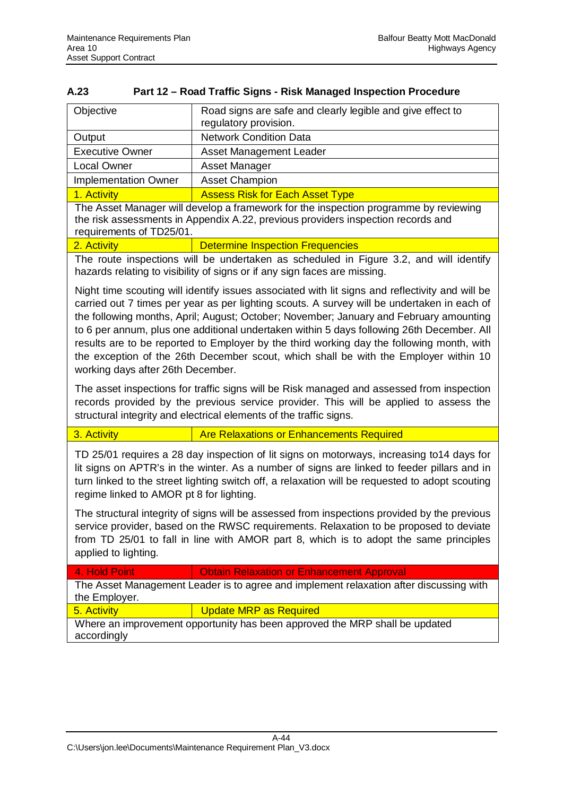| A.23 | Part 12 – Road Traffic Signs - Risk Managed Inspection Procedure |
|------|------------------------------------------------------------------|

| Objective                                                                            | Road signs are safe and clearly legible and give effect to<br>regulatory provision. |  |  |  |  |  |  |
|--------------------------------------------------------------------------------------|-------------------------------------------------------------------------------------|--|--|--|--|--|--|
| Output                                                                               | <b>Network Condition Data</b>                                                       |  |  |  |  |  |  |
| <b>Executive Owner</b>                                                               | Asset Management Leader                                                             |  |  |  |  |  |  |
| <b>Local Owner</b>                                                                   | Asset Manager                                                                       |  |  |  |  |  |  |
| <b>Implementation Owner</b>                                                          | <b>Asset Champion</b>                                                               |  |  |  |  |  |  |
| 1. Activity                                                                          | <b>Assess Risk for Each Asset Type</b>                                              |  |  |  |  |  |  |
| The Asset Manager will develop a framework for the inspection programme by reviewing |                                                                                     |  |  |  |  |  |  |

the risk assessments in Appendix A.22, previous providers inspection records and requirements of TD25/01.

2. Activity **Determine Inspection Frequencies** 

The route inspections will be undertaken as scheduled in Figure 3.2, and will identify hazards relating to visibility of signs or if any sign faces are missing.

Night time scouting will identify issues associated with lit signs and reflectivity and will be carried out 7 times per year as per lighting scouts. A survey will be undertaken in each of the following months, April; August; October; November; January and February amounting to 6 per annum, plus one additional undertaken within 5 days following 26th December. All results are to be reported to Employer by the third working day the following month, with the exception of the 26th December scout, which shall be with the Employer within 10 working days after 26th December.

The asset inspections for traffic signs will be Risk managed and assessed from inspection records provided by the previous service provider. This will be applied to assess the structural integrity and electrical elements of the traffic signs.

## 3. Activity **Are Relaxations or Enhancements Required**

TD 25/01 requires a 28 day inspection of lit signs on motorways, increasing to14 days for lit signs on APTR's in the winter. As a number of signs are linked to feeder pillars and in turn linked to the street lighting switch off, a relaxation will be requested to adopt scouting regime linked to AMOR pt 8 for lighting.

The structural integrity of signs will be assessed from inspections provided by the previous service provider, based on the RWSC requirements. Relaxation to be proposed to deviate from TD 25/01 to fall in line with AMOR part 8, which is to adopt the same principles applied to lighting.

4. Hold Point **Calculation Obtain Relaxation or Enhancement Approval** 

The Asset Management Leader is to agree and implement relaxation after discussing with the Employer.

5. Activity **Update MRP** as Required

Where an improvement opportunity has been approved the MRP shall be updated accordingly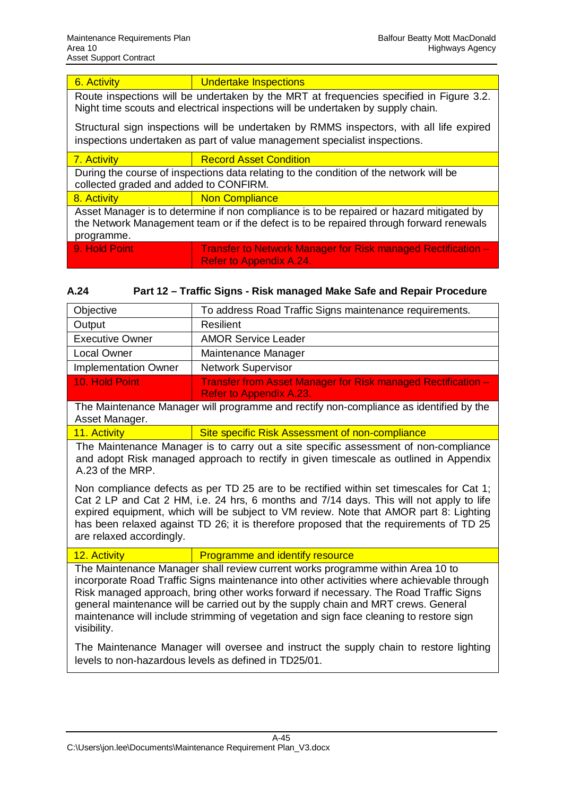## 6. Activity **Conservation Conservation** Activity **Conservation** Undertake Inspections

Route inspections will be undertaken by the MRT at frequencies specified in Figure 3.2. Night time scouts and electrical inspections will be undertaken by supply chain.

Structural sign inspections will be undertaken by RMMS inspectors, with all life expired inspections undertaken as part of value management specialist inspections.

7. Activity **Record Asset Condition** 

During the course of inspections data relating to the condition of the network will be collected graded and added to CONFIRM.

8. Activity **Non Compliance** 

Asset Manager is to determine if non compliance is to be repaired or hazard mitigated by the Network Management team or if the defect is to be repaired through forward renewals programme.

- 9. Hold Point **Transfer to Network Manager for Risk managed Rectification** Refer to Appendix A.24.
- **A.24 Part 12 Traffic Signs Risk managed Make Safe and Repair Procedure**

| Objective                   | To address Road Traffic Signs maintenance requirements.                                               |
|-----------------------------|-------------------------------------------------------------------------------------------------------|
| Output                      | Resilient                                                                                             |
| <b>Executive Owner</b>      | <b>AMOR Service Leader</b>                                                                            |
| <b>Local Owner</b>          | Maintenance Manager                                                                                   |
| <b>Implementation Owner</b> | <b>Network Supervisor</b>                                                                             |
| 10. Hold Point              | <b>Transfer from Asset Manager for Risk managed Rectification -</b><br><b>Refer to Appendix A.23.</b> |

The Maintenance Manager will programme and rectify non-compliance as identified by the Asset Manager.

11. Activity **Site specific Risk Assessment of non-compliance** 

The Maintenance Manager is to carry out a site specific assessment of non-compliance and adopt Risk managed approach to rectify in given timescale as outlined in Appendix A.23 of the MRP.

Non compliance defects as per TD 25 are to be rectified within set timescales for Cat 1; Cat 2 LP and Cat 2 HM, i.e. 24 hrs, 6 months and 7/14 days. This will not apply to life expired equipment, which will be subject to VM review. Note that AMOR part 8: Lighting has been relaxed against TD 26; it is therefore proposed that the requirements of TD 25 are relaxed accordingly.

12. Activity **Programme and identify resource** 

The Maintenance Manager shall review current works programme within Area 10 to incorporate Road Traffic Signs maintenance into other activities where achievable through Risk managed approach, bring other works forward if necessary. The Road Traffic Signs general maintenance will be carried out by the supply chain and MRT crews. General maintenance will include strimming of vegetation and sign face cleaning to restore sign visibility.

The Maintenance Manager will oversee and instruct the supply chain to restore lighting levels to non-hazardous levels as defined in TD25/01.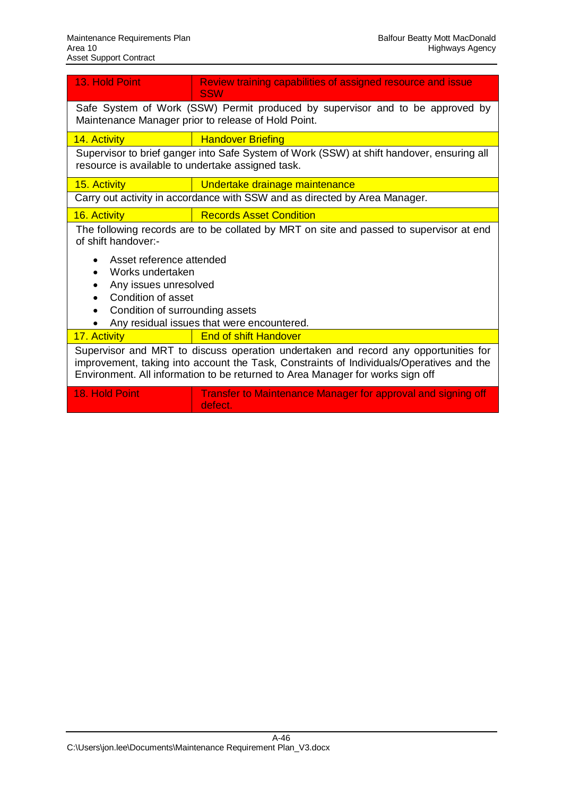| 13. Hold Point                                                                                                                                                                                                                                                                                              | Review training capabilities of assigned resource and issue<br><b>SSW</b>                                                                                                                                                                                         |  |  |  |  |  |  |  |  |
|-------------------------------------------------------------------------------------------------------------------------------------------------------------------------------------------------------------------------------------------------------------------------------------------------------------|-------------------------------------------------------------------------------------------------------------------------------------------------------------------------------------------------------------------------------------------------------------------|--|--|--|--|--|--|--|--|
| Safe System of Work (SSW) Permit produced by supervisor and to be approved by<br>Maintenance Manager prior to release of Hold Point.                                                                                                                                                                        |                                                                                                                                                                                                                                                                   |  |  |  |  |  |  |  |  |
| 14. Activity<br><b>Handover Briefing</b>                                                                                                                                                                                                                                                                    |                                                                                                                                                                                                                                                                   |  |  |  |  |  |  |  |  |
| Supervisor to brief ganger into Safe System of Work (SSW) at shift handover, ensuring all<br>resource is available to undertake assigned task.                                                                                                                                                              |                                                                                                                                                                                                                                                                   |  |  |  |  |  |  |  |  |
| 15. Activity                                                                                                                                                                                                                                                                                                | Undertake drainage maintenance                                                                                                                                                                                                                                    |  |  |  |  |  |  |  |  |
|                                                                                                                                                                                                                                                                                                             | Carry out activity in accordance with SSW and as directed by Area Manager.                                                                                                                                                                                        |  |  |  |  |  |  |  |  |
| 16. Activity                                                                                                                                                                                                                                                                                                | <b>Records Asset Condition</b>                                                                                                                                                                                                                                    |  |  |  |  |  |  |  |  |
| The following records are to be collated by MRT on site and passed to supervisor at end<br>of shift handover:-<br>Asset reference attended<br>Works undertaken<br>Any issues unresolved<br>Condition of asset<br>$\bullet$<br>Condition of surrounding assets<br>Any residual issues that were encountered. |                                                                                                                                                                                                                                                                   |  |  |  |  |  |  |  |  |
| 17. Activity                                                                                                                                                                                                                                                                                                | <b>End of shift Handover</b>                                                                                                                                                                                                                                      |  |  |  |  |  |  |  |  |
|                                                                                                                                                                                                                                                                                                             | Supervisor and MRT to discuss operation undertaken and record any opportunities for<br>improvement, taking into account the Task, Constraints of Individuals/Operatives and the<br>Environment. All information to be returned to Area Manager for works sign off |  |  |  |  |  |  |  |  |
| <b>18. Hold Point</b>                                                                                                                                                                                                                                                                                       | <b>Transfer to Maintenance Manager for approval and signing off</b><br>defect.                                                                                                                                                                                    |  |  |  |  |  |  |  |  |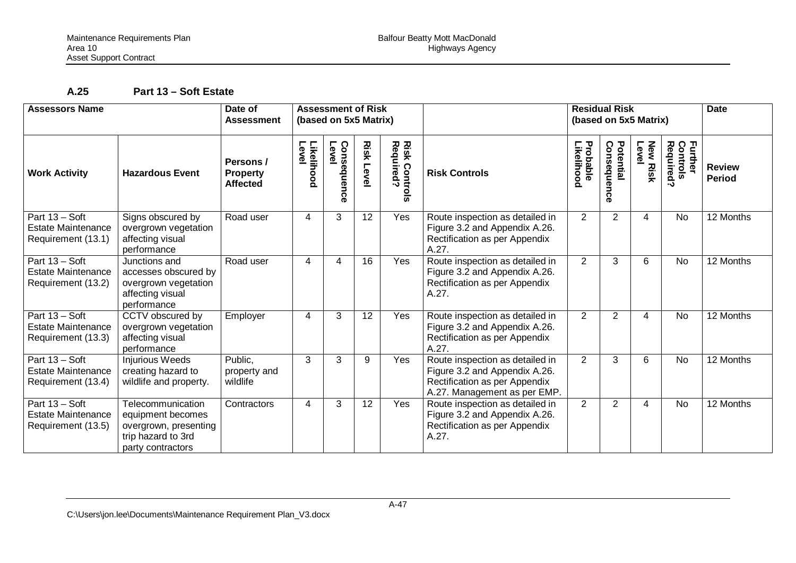# **A.25 Part 13 – Soft Estate**

| <b>Assessors Name</b>                                               |                                                                                                            | Date of<br><b>Assessment</b>                    | <b>Assessment of Risk</b><br>(based on 5x5 Matrix) |                         |                     |                                                         |                                                                                                                                   |                                | <b>Residual Risk</b><br>(based on 5x5 Matrix) | <b>Date</b>              |                                  |                                |
|---------------------------------------------------------------------|------------------------------------------------------------------------------------------------------------|-------------------------------------------------|----------------------------------------------------|-------------------------|---------------------|---------------------------------------------------------|-----------------------------------------------------------------------------------------------------------------------------------|--------------------------------|-----------------------------------------------|--------------------------|----------------------------------|--------------------------------|
| <b>Work Activity</b>                                                | <b>Hazardous Event</b>                                                                                     | Persons /<br><b>Property</b><br><b>Affected</b> | Likelihood<br>Level                                | Level<br>Consequen<br>ō | <b>Risk</b><br>Leve | <b>Risk Control</b><br>Required?<br>$\bar{\bm{\sigma}}$ | <b>Risk Controls</b>                                                                                                              | <b>Probable<br/>Likelihood</b> | Potential<br>Consequen<br>ō<br>$\bullet$      | Level<br><b>New Risk</b> | Further<br>Controls<br>Required? | <b>Review</b><br><b>Period</b> |
| Part 13 - Soft<br>Estate Maintenance<br>Requirement (13.1)          | Signs obscured by<br>overgrown vegetation<br>affecting visual<br>performance                               | Road user                                       | 4                                                  | 3                       | 12                  | Yes                                                     | Route inspection as detailed in<br>Figure 3.2 and Appendix A.26.<br>Rectification as per Appendix<br>A.27.                        | $\overline{2}$                 | $\overline{2}$                                | 4                        | No                               | $\overline{12}$ Months         |
| Part 13 - Soft<br><b>Estate Maintenance</b><br>Requirement (13.2)   | Junctions and<br>accesses obscured by<br>overgrown vegetation<br>affecting visual<br>performance           | Road user                                       | 4                                                  | 4                       | 16                  | Yes                                                     | Route inspection as detailed in<br>Figure 3.2 and Appendix A.26.<br>Rectification as per Appendix<br>A.27.                        | $\overline{2}$                 | 3                                             | 6                        | No                               | 12 Months                      |
| Part 13 - Soft<br><b>Estate Maintenance</b><br>Requirement (13.3)   | CCTV obscured by<br>overgrown vegetation<br>affecting visual<br>performance                                | Employer                                        | 4                                                  | 3                       | 12                  | Yes                                                     | Route inspection as detailed in<br>Figure 3.2 and Appendix A.26.<br>Rectification as per Appendix<br>A.27.                        | $\overline{2}$                 | 2                                             | 4                        | No                               | 12 Months                      |
| Part 13 - Soft<br>Estate Maintenance<br>Requirement (13.4)          | <b>Injurious Weeds</b><br>creating hazard to<br>wildlife and property.                                     | Public,<br>property and<br>wildlife             | 3                                                  | 3                       | 9                   | Yes                                                     | Route inspection as detailed in<br>Figure 3.2 and Appendix A.26.<br>Rectification as per Appendix<br>A.27. Management as per EMP. | $\overline{2}$                 | 3                                             | 6                        | <b>No</b>                        | 12 Months                      |
| Part $13 - Soft$<br><b>Estate Maintenance</b><br>Requirement (13.5) | Telecommunication<br>equipment becomes<br>overgrown, presenting<br>trip hazard to 3rd<br>party contractors | Contractors                                     | 4                                                  | 3                       | 12                  | Yes                                                     | Route inspection as detailed in<br>Figure 3.2 and Appendix A.26.<br>Rectification as per Appendix<br>A.27.                        | $\overline{2}$                 | $\overline{2}$                                | 4                        | No                               | 12 Months                      |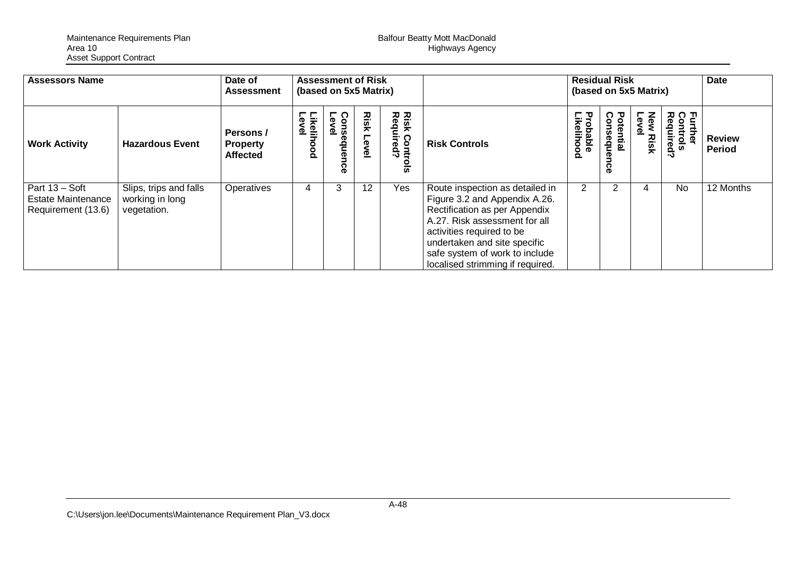Maintenance Requirements Plan Balfour Beatty Mott MacDonald Area 10 Highways Agency Asset Support Contract

| <b>Assessors Name</b>                                             |                                                          | Date of<br><b>Assessment</b>                    |                           | <b>Assessment of Risk</b><br>(based on 5x5 Matrix) |               |                                       |                                                                                                                                                                                                                                                                       | <b>Residual Risk</b><br>(based on 5x5 Matrix) |                     |                           |                                                    | <b>Date</b>                    |
|-------------------------------------------------------------------|----------------------------------------------------------|-------------------------------------------------|---------------------------|----------------------------------------------------|---------------|---------------------------------------|-----------------------------------------------------------------------------------------------------------------------------------------------------------------------------------------------------------------------------------------------------------------------|-----------------------------------------------|---------------------|---------------------------|----------------------------------------------------|--------------------------------|
| <b>Work Activity</b>                                              | <b>Hazardous Event</b>                                   | Persons /<br><b>Property</b><br><b>Affected</b> | Level<br><b>ikelihood</b> | Con<br>ന<br>sequen<br>င္ဖ                          | Risk<br>Level | Risk Contr<br>Required?<br><u>sls</u> | <b>Risk Controls</b>                                                                                                                                                                                                                                                  | <b>Probable<br/>Likelihood</b>                | Potential<br>욷<br>႙ | New<br>-ev<br><b>Risk</b> | Further<br>Control:<br>Require<br>nire<br>Si<br>د٠ | <b>Review</b><br><b>Period</b> |
| Part 13 - Soft<br><b>Estate Maintenance</b><br>Requirement (13.6) | Slips, trips and falls<br>working in long<br>vegetation. | Operatives                                      | 4                         | 3                                                  | 12            | Yes                                   | Route inspection as detailed in<br>Figure 3.2 and Appendix A.26.<br>Rectification as per Appendix<br>A.27. Risk assessment for all<br>activities required to be<br>undertaken and site specific<br>safe system of work to include<br>localised strimming if required. | 2                                             |                     | 4                         | <b>No</b>                                          | 12 Months                      |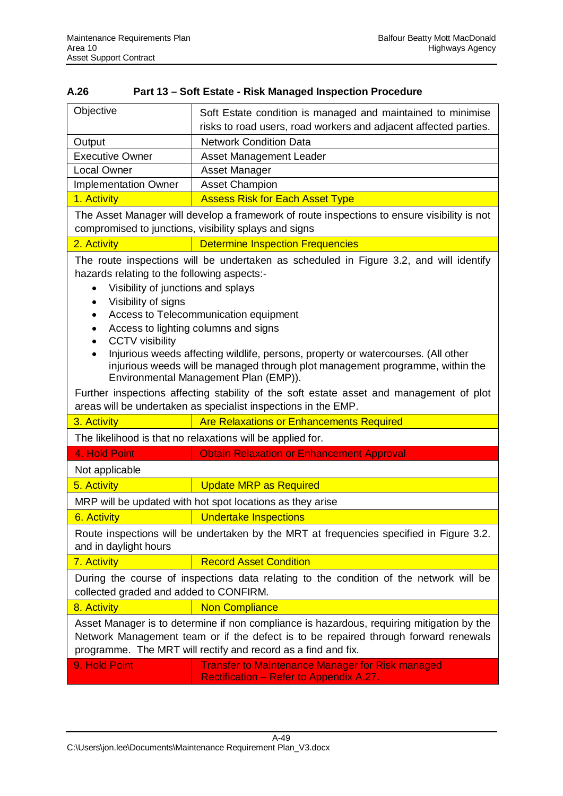| Objective                                                                                                                                                                                                                                                                                                                                                                                                                                                                                                                     | Soft Estate condition is managed and maintained to minimise                                               |  |  |  |  |  |  |  |  |
|-------------------------------------------------------------------------------------------------------------------------------------------------------------------------------------------------------------------------------------------------------------------------------------------------------------------------------------------------------------------------------------------------------------------------------------------------------------------------------------------------------------------------------|-----------------------------------------------------------------------------------------------------------|--|--|--|--|--|--|--|--|
|                                                                                                                                                                                                                                                                                                                                                                                                                                                                                                                               | risks to road users, road workers and adjacent affected parties.                                          |  |  |  |  |  |  |  |  |
| Output                                                                                                                                                                                                                                                                                                                                                                                                                                                                                                                        | <b>Network Condition Data</b>                                                                             |  |  |  |  |  |  |  |  |
| <b>Executive Owner</b>                                                                                                                                                                                                                                                                                                                                                                                                                                                                                                        | <b>Asset Management Leader</b>                                                                            |  |  |  |  |  |  |  |  |
| <b>Local Owner</b>                                                                                                                                                                                                                                                                                                                                                                                                                                                                                                            | Asset Manager                                                                                             |  |  |  |  |  |  |  |  |
| <b>Implementation Owner</b>                                                                                                                                                                                                                                                                                                                                                                                                                                                                                                   | <b>Asset Champion</b>                                                                                     |  |  |  |  |  |  |  |  |
| 1. Activity                                                                                                                                                                                                                                                                                                                                                                                                                                                                                                                   | <b>Assess Risk for Each Asset Type</b>                                                                    |  |  |  |  |  |  |  |  |
|                                                                                                                                                                                                                                                                                                                                                                                                                                                                                                                               | The Asset Manager will develop a framework of route inspections to ensure visibility is not               |  |  |  |  |  |  |  |  |
|                                                                                                                                                                                                                                                                                                                                                                                                                                                                                                                               | compromised to junctions, visibility splays and signs                                                     |  |  |  |  |  |  |  |  |
| 2. Activity                                                                                                                                                                                                                                                                                                                                                                                                                                                                                                                   | <b>Determine Inspection Frequencies</b>                                                                   |  |  |  |  |  |  |  |  |
| hazards relating to the following aspects:-<br>Visibility of junctions and splays<br>Visibility of signs<br>Access to Telecommunication equipment<br>Access to lighting columns and signs<br><b>CCTV</b> visibility<br>Injurious weeds affecting wildlife, persons, property or watercourses. (All other<br>injurious weeds will be managed through plot management programme, within the<br>Environmental Management Plan (EMP)).<br>Further inspections affecting stability of the soft estate asset and management of plot |                                                                                                           |  |  |  |  |  |  |  |  |
| areas will be undertaken as specialist inspections in the EMP.<br><b>Are Relaxations or Enhancements Required</b><br>3. Activity                                                                                                                                                                                                                                                                                                                                                                                              |                                                                                                           |  |  |  |  |  |  |  |  |
|                                                                                                                                                                                                                                                                                                                                                                                                                                                                                                                               | The likelihood is that no relaxations will be applied for.                                                |  |  |  |  |  |  |  |  |
| 4. Hold Point                                                                                                                                                                                                                                                                                                                                                                                                                                                                                                                 | <b>Obtain Relaxation or Enhancement Approval</b>                                                          |  |  |  |  |  |  |  |  |
|                                                                                                                                                                                                                                                                                                                                                                                                                                                                                                                               |                                                                                                           |  |  |  |  |  |  |  |  |
| Not applicable<br>5. Activity                                                                                                                                                                                                                                                                                                                                                                                                                                                                                                 |                                                                                                           |  |  |  |  |  |  |  |  |
|                                                                                                                                                                                                                                                                                                                                                                                                                                                                                                                               | <b>Update MRP as Required</b>                                                                             |  |  |  |  |  |  |  |  |
|                                                                                                                                                                                                                                                                                                                                                                                                                                                                                                                               | MRP will be updated with hot spot locations as they arise                                                 |  |  |  |  |  |  |  |  |
| <b>Undertake Inspections</b><br>6. Activity                                                                                                                                                                                                                                                                                                                                                                                                                                                                                   |                                                                                                           |  |  |  |  |  |  |  |  |
| Route inspections will be undertaken by the MRT at frequencies specified in Figure 3.2.<br>and in daylight hours                                                                                                                                                                                                                                                                                                                                                                                                              |                                                                                                           |  |  |  |  |  |  |  |  |
| <b>Record Asset Condition</b><br>7. Activity                                                                                                                                                                                                                                                                                                                                                                                                                                                                                  |                                                                                                           |  |  |  |  |  |  |  |  |
| During the course of inspections data relating to the condition of the network will be<br>collected graded and added to CONFIRM.                                                                                                                                                                                                                                                                                                                                                                                              |                                                                                                           |  |  |  |  |  |  |  |  |
| <b>Non Compliance</b><br>8. Activity                                                                                                                                                                                                                                                                                                                                                                                                                                                                                          |                                                                                                           |  |  |  |  |  |  |  |  |
| Asset Manager is to determine if non compliance is hazardous, requiring mitigation by the<br>Network Management team or if the defect is to be repaired through forward renewals<br>programme. The MRT will rectify and record as a find and fix.                                                                                                                                                                                                                                                                             |                                                                                                           |  |  |  |  |  |  |  |  |
| 9. Hold Point                                                                                                                                                                                                                                                                                                                                                                                                                                                                                                                 | <b>Transfer to Maintenance Manager for Risk managed</b><br><b>Rectification - Refer to Appendix A.27.</b> |  |  |  |  |  |  |  |  |

## **A.26 Part 13 – Soft Estate - Risk Managed Inspection Procedure**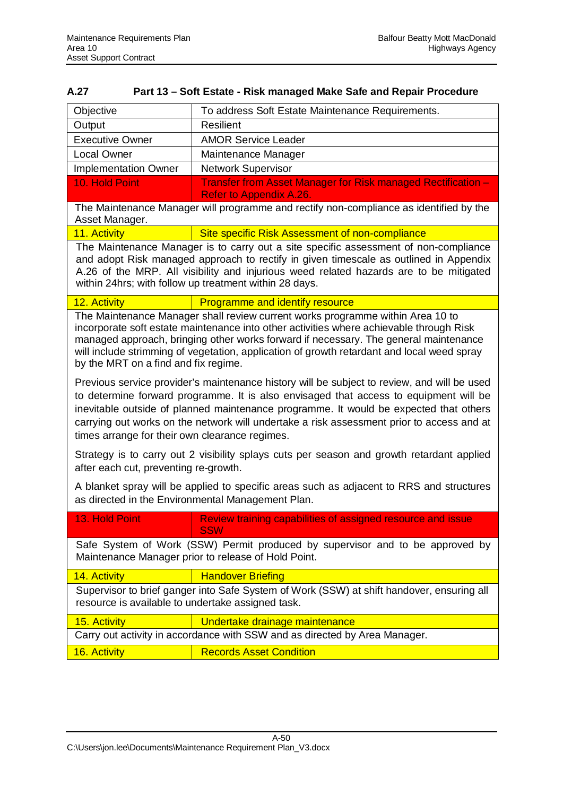| Objective                                                                                                                                                                                                                                                                                                                                                                                                                    | To address Soft Estate Maintenance Requirements.                                               |  |  |  |  |  |  |  |
|------------------------------------------------------------------------------------------------------------------------------------------------------------------------------------------------------------------------------------------------------------------------------------------------------------------------------------------------------------------------------------------------------------------------------|------------------------------------------------------------------------------------------------|--|--|--|--|--|--|--|
| Output                                                                                                                                                                                                                                                                                                                                                                                                                       | <b>Resilient</b>                                                                               |  |  |  |  |  |  |  |
| <b>Executive Owner</b>                                                                                                                                                                                                                                                                                                                                                                                                       | <b>AMOR Service Leader</b>                                                                     |  |  |  |  |  |  |  |
| <b>Local Owner</b>                                                                                                                                                                                                                                                                                                                                                                                                           | Maintenance Manager                                                                            |  |  |  |  |  |  |  |
| <b>Implementation Owner</b>                                                                                                                                                                                                                                                                                                                                                                                                  | <b>Network Supervisor</b>                                                                      |  |  |  |  |  |  |  |
| 10. Hold Point                                                                                                                                                                                                                                                                                                                                                                                                               | Transfer from Asset Manager for Risk managed Rectification -<br><b>Refer to Appendix A.26.</b> |  |  |  |  |  |  |  |
| The Maintenance Manager will programme and rectify non-compliance as identified by the<br>Asset Manager.                                                                                                                                                                                                                                                                                                                     |                                                                                                |  |  |  |  |  |  |  |
| 11. Activity                                                                                                                                                                                                                                                                                                                                                                                                                 | Site specific Risk Assessment of non-compliance                                                |  |  |  |  |  |  |  |
| The Maintenance Manager is to carry out a site specific assessment of non-compliance<br>and adopt Risk managed approach to rectify in given timescale as outlined in Appendix<br>A.26 of the MRP. All visibility and injurious weed related hazards are to be mitigated<br>within 24hrs; with follow up treatment within 28 days.                                                                                            |                                                                                                |  |  |  |  |  |  |  |
| 12. Activity                                                                                                                                                                                                                                                                                                                                                                                                                 | Programme and identify resource                                                                |  |  |  |  |  |  |  |
| The Maintenance Manager shall review current works programme within Area 10 to<br>incorporate soft estate maintenance into other activities where achievable through Risk<br>managed approach, bringing other works forward if necessary. The general maintenance<br>will include strimming of vegetation, application of growth retardant and local weed spray<br>by the MRT on a find and fix regime.                      |                                                                                                |  |  |  |  |  |  |  |
| Previous service provider's maintenance history will be subject to review, and will be used<br>to determine forward programme. It is also envisaged that access to equipment will be<br>inevitable outside of planned maintenance programme. It would be expected that others<br>carrying out works on the network will undertake a risk assessment prior to access and at<br>times arrange for their own clearance regimes. |                                                                                                |  |  |  |  |  |  |  |
| Strategy is to carry out 2 visibility splays cuts per season and growth retardant applied<br>after each cut, preventing re-growth.                                                                                                                                                                                                                                                                                           |                                                                                                |  |  |  |  |  |  |  |
| A blanket spray will be applied to specific areas such as adjacent to RRS and structures<br>as directed in the Environmental Management Plan.                                                                                                                                                                                                                                                                                |                                                                                                |  |  |  |  |  |  |  |
| 13. Hold Point<br>Review training capabilities of assigned resource and issue<br><b>SSW</b>                                                                                                                                                                                                                                                                                                                                  |                                                                                                |  |  |  |  |  |  |  |
| Safe System of Work (SSW) Permit produced by supervisor and to be approved by<br>Maintenance Manager prior to release of Hold Point.                                                                                                                                                                                                                                                                                         |                                                                                                |  |  |  |  |  |  |  |
| 14. Activity<br><b>Handover Briefing</b>                                                                                                                                                                                                                                                                                                                                                                                     |                                                                                                |  |  |  |  |  |  |  |
| Supervisor to brief ganger into Safe System of Work (SSW) at shift handover, ensuring all<br>resource is available to undertake assigned task.                                                                                                                                                                                                                                                                               |                                                                                                |  |  |  |  |  |  |  |
| 15. Activity<br>Undertake drainage maintenance                                                                                                                                                                                                                                                                                                                                                                               |                                                                                                |  |  |  |  |  |  |  |
|                                                                                                                                                                                                                                                                                                                                                                                                                              | Carry out activity in accordance with SSW and as directed by Area Manager.                     |  |  |  |  |  |  |  |
| 16. Activity                                                                                                                                                                                                                                                                                                                                                                                                                 | <b>Records Asset Condition</b>                                                                 |  |  |  |  |  |  |  |

## **A.27 Part 13 – Soft Estate - Risk managed Make Safe and Repair Procedure**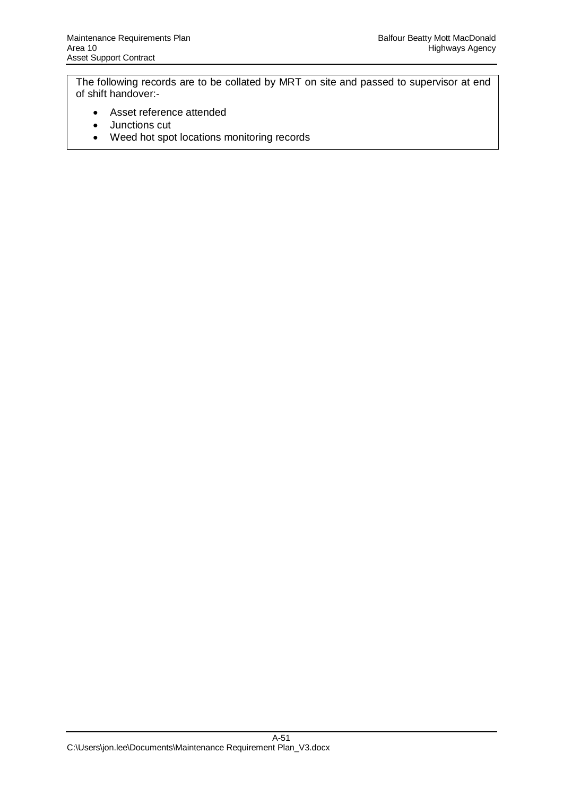The following records are to be collated by MRT on site and passed to supervisor at end of shift handover:-

- Asset reference attended
- Junctions cut
- Weed hot spot locations monitoring records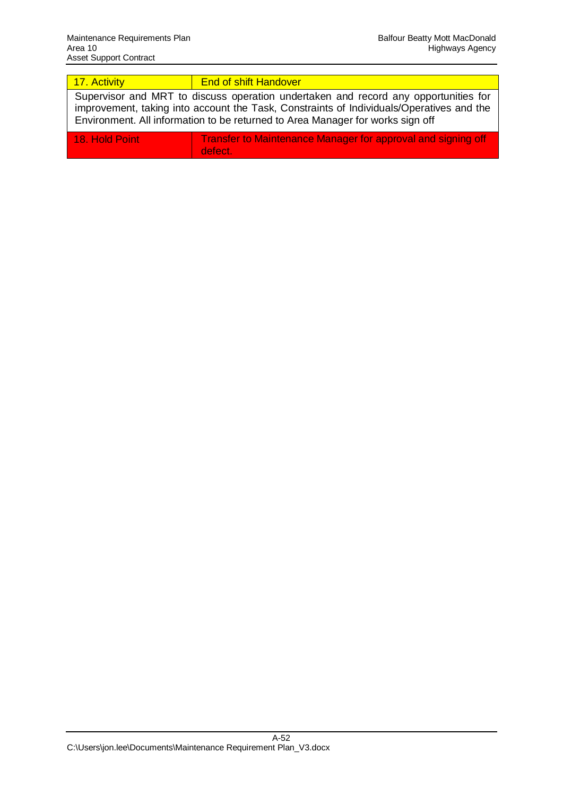| 17. Activity                                                                                                                                                                                                                                                      | <b>End of shift Handover</b>                                            |  |  |  |  |  |  |
|-------------------------------------------------------------------------------------------------------------------------------------------------------------------------------------------------------------------------------------------------------------------|-------------------------------------------------------------------------|--|--|--|--|--|--|
| Supervisor and MRT to discuss operation undertaken and record any opportunities for<br>improvement, taking into account the Task, Constraints of Individuals/Operatives and the<br>Environment. All information to be returned to Area Manager for works sign off |                                                                         |  |  |  |  |  |  |
| <b>18. Hold Point</b>                                                                                                                                                                                                                                             | Transfer to Maintenance Manager for approval and signing off<br>defect. |  |  |  |  |  |  |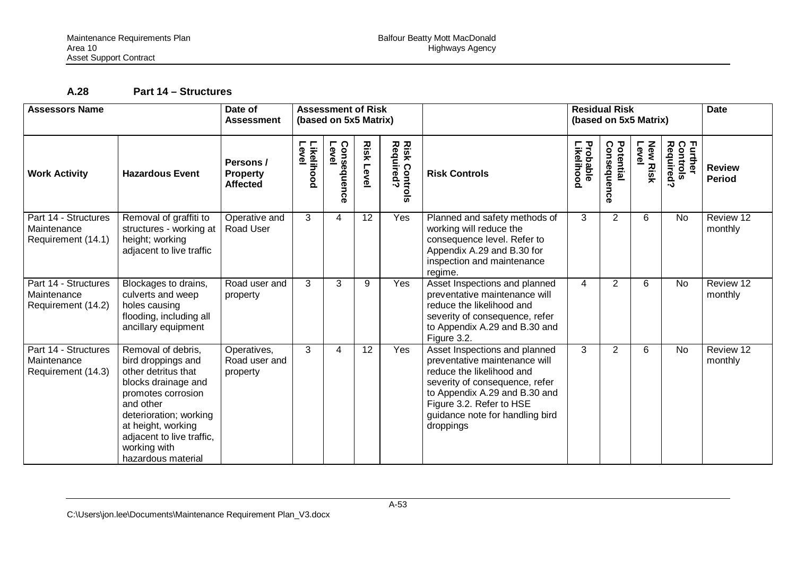# **A.28 Part 14 – Structures**

| <b>Assessors Name</b>                                     |                                                                                                                                                                                                                                              | Date of<br><b>Assessment</b>                    | <b>Assessment of Risk</b><br>(based on 5x5 Matrix) |                     |                  |                                                               |                                                                                                                                                                                                                                            |                        | <b>Residual Risk</b><br>(based on 5x5 Matrix) | <b>Date</b>              |                                  |                                |
|-----------------------------------------------------------|----------------------------------------------------------------------------------------------------------------------------------------------------------------------------------------------------------------------------------------------|-------------------------------------------------|----------------------------------------------------|---------------------|------------------|---------------------------------------------------------------|--------------------------------------------------------------------------------------------------------------------------------------------------------------------------------------------------------------------------------------------|------------------------|-----------------------------------------------|--------------------------|----------------------------------|--------------------------------|
| <b>Work Activity</b>                                      | <b>Hazardous Event</b>                                                                                                                                                                                                                       | Persons /<br><b>Property</b><br><b>Affected</b> | Likelihood<br>Level                                | Leve<br>Consequence | <b>Risk Leve</b> | <b>Risk Control</b><br>Required?<br>$\bar{\bar{\bm{\omega}}}$ | <b>Risk Controls</b>                                                                                                                                                                                                                       | Probable<br>Likelihood | Potential<br>Consequel<br>င္ဖ                 | <b>New Risk</b><br>Level | Further<br>Controls<br>Required? | <b>Review</b><br><b>Period</b> |
| Part 14 - Structures<br>Maintenance<br>Requirement (14.1) | Removal of graffiti to<br>structures - working at<br>height; working<br>adjacent to live traffic                                                                                                                                             | Operative and<br>Road User                      | 3                                                  | 4                   | 12               | Yes                                                           | Planned and safety methods of<br>working will reduce the<br>consequence level. Refer to<br>Appendix A.29 and B.30 for<br>inspection and maintenance<br>regime.                                                                             | 3                      | $\overline{2}$                                | 6                        | <b>No</b>                        | Review 12<br>monthly           |
| Part 14 - Structures<br>Maintenance<br>Requirement (14.2) | Blockages to drains,<br>culverts and weep<br>holes causing<br>flooding, including all<br>ancillary equipment                                                                                                                                 | Road user and<br>property                       | 3                                                  | 3                   | 9                | Yes                                                           | Asset Inspections and planned<br>preventative maintenance will<br>reduce the likelihood and<br>severity of consequence, refer<br>to Appendix A.29 and B.30 and<br>Figure 3.2.                                                              | $\overline{4}$         | $2^{\overline{}}$                             | 6                        | <b>No</b>                        | Review 12<br>monthly           |
| Part 14 - Structures<br>Maintenance<br>Requirement (14.3) | Removal of debris,<br>bird droppings and<br>other detritus that<br>blocks drainage and<br>promotes corrosion<br>and other<br>deterioration; working<br>at height, working<br>adjacent to live traffic,<br>working with<br>hazardous material | Operatives,<br>Road user and<br>property        | 3                                                  | 4                   | $\overline{12}$  | Yes                                                           | Asset Inspections and planned<br>preventative maintenance will<br>reduce the likelihood and<br>severity of consequence, refer<br>to Appendix A.29 and B.30 and<br>Figure 3.2. Refer to HSE<br>guidance note for handling bird<br>droppings | 3                      | $\overline{2}$                                | 6                        | <b>No</b>                        | Review 12<br>monthly           |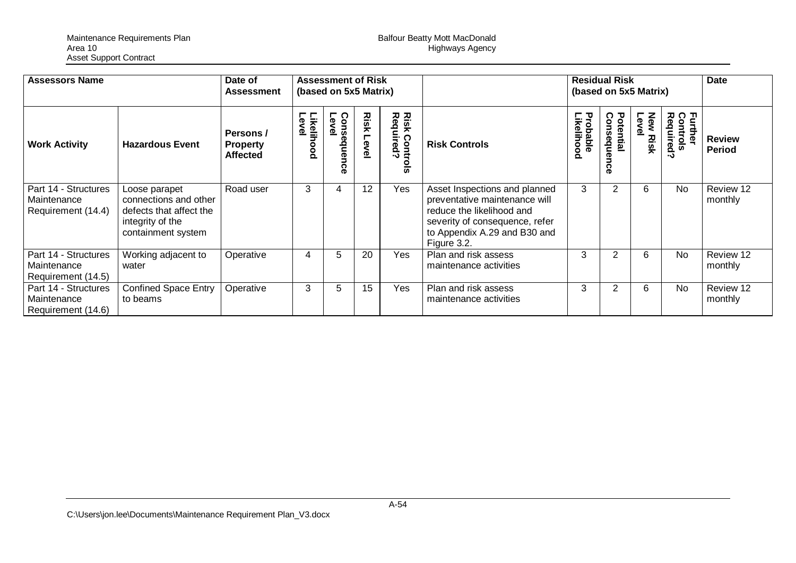| <b>Assessors Name</b>                                     |                                                                                                             | <b>Assessment of Risk</b><br>Date of<br>(based on 5x5 Matrix)<br><b>Assessment</b> |                     |                           |                      |                                             | <b>Residual Risk</b><br>(based on 5x5 Matrix)                                                                                                                                |                                  |                                      |                          | Date                                  |                                |
|-----------------------------------------------------------|-------------------------------------------------------------------------------------------------------------|------------------------------------------------------------------------------------|---------------------|---------------------------|----------------------|---------------------------------------------|------------------------------------------------------------------------------------------------------------------------------------------------------------------------------|----------------------------------|--------------------------------------|--------------------------|---------------------------------------|--------------------------------|
| <b>Work Activity</b>                                      | <b>Hazardous Event</b>                                                                                      | Persons /<br><b>Property</b><br><b>Affected</b>                                    | Likelihood<br>Level | Level<br>Consequen<br>င္ပ | <b>Risk</b><br>Level | <b>Risk Contro</b><br>Required?<br><u>o</u> | <b>Risk Controls</b>                                                                                                                                                         | τ<br><b>ikelihood</b><br>robable | ດ<br>Potential<br>onsequen<br>ō<br>Φ | <b>New Risk</b><br>Level | Further<br>Controls<br>Required<br>Ő. | <b>Review</b><br><b>Period</b> |
| Part 14 - Structures<br>Maintenance<br>Requirement (14.4) | Loose parapet<br>connections and other<br>defects that affect the<br>integrity of the<br>containment system | Road user                                                                          | 3                   | 4                         | 12                   | Yes                                         | Asset Inspections and planned<br>preventative maintenance will<br>reduce the likelihood and<br>severity of consequence, refer<br>to Appendix A.29 and B30 and<br>Figure 3.2. | 3                                | 2                                    | 6                        | <b>No</b>                             | Review 12<br>monthly           |
| Part 14 - Structures<br>Maintenance<br>Requirement (14.5) | Working adjacent to<br>water                                                                                | Operative                                                                          | 4                   | 5                         | 20                   | Yes                                         | Plan and risk assess<br>maintenance activities                                                                                                                               | 3                                |                                      | 6                        | <b>No</b>                             | Review 12<br>monthly           |
| Part 14 - Structures<br>Maintenance<br>Requirement (14.6) | <b>Confined Space Entry</b><br>to beams                                                                     | Operative                                                                          | 3                   | 5                         | 15                   | Yes                                         | Plan and risk assess<br>maintenance activities                                                                                                                               | 3                                |                                      | 6                        | No                                    | Review 12<br>monthly           |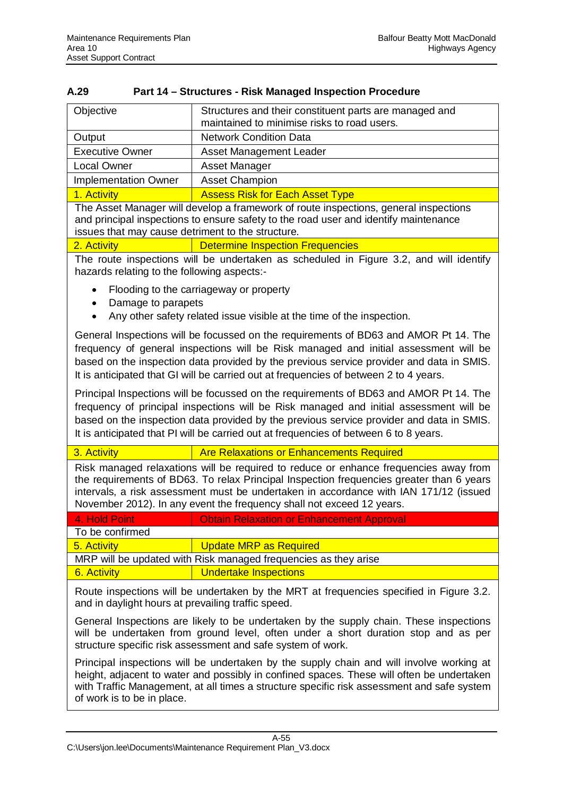|                                                                                                                                                                                                                                                                                                                   | <b>UNIVERSITY OF THE CONTRACT CONTRACT</b>                                                                                                                                                                                                                                                                                                                            |  |  |  |  |  |  |
|-------------------------------------------------------------------------------------------------------------------------------------------------------------------------------------------------------------------------------------------------------------------------------------------------------------------|-----------------------------------------------------------------------------------------------------------------------------------------------------------------------------------------------------------------------------------------------------------------------------------------------------------------------------------------------------------------------|--|--|--|--|--|--|
| Objective                                                                                                                                                                                                                                                                                                         | Structures and their constituent parts are managed and<br>maintained to minimise risks to road users.                                                                                                                                                                                                                                                                 |  |  |  |  |  |  |
| Output                                                                                                                                                                                                                                                                                                            | <b>Network Condition Data</b>                                                                                                                                                                                                                                                                                                                                         |  |  |  |  |  |  |
| <b>Executive Owner</b>                                                                                                                                                                                                                                                                                            | <b>Asset Management Leader</b>                                                                                                                                                                                                                                                                                                                                        |  |  |  |  |  |  |
| <b>Local Owner</b>                                                                                                                                                                                                                                                                                                | Asset Manager                                                                                                                                                                                                                                                                                                                                                         |  |  |  |  |  |  |
| <b>Implementation Owner</b>                                                                                                                                                                                                                                                                                       | <b>Asset Champion</b>                                                                                                                                                                                                                                                                                                                                                 |  |  |  |  |  |  |
| 1. Activity                                                                                                                                                                                                                                                                                                       | <b>Assess Risk for Each Asset Type</b>                                                                                                                                                                                                                                                                                                                                |  |  |  |  |  |  |
| issues that may cause detriment to the structure.                                                                                                                                                                                                                                                                 | The Asset Manager will develop a framework of route inspections, general inspections<br>and principal inspections to ensure safety to the road user and identify maintenance                                                                                                                                                                                          |  |  |  |  |  |  |
| 2. Activity                                                                                                                                                                                                                                                                                                       | <b>Determine Inspection Frequencies</b>                                                                                                                                                                                                                                                                                                                               |  |  |  |  |  |  |
| hazards relating to the following aspects:-                                                                                                                                                                                                                                                                       | The route inspections will be undertaken as scheduled in Figure 3.2, and will identify                                                                                                                                                                                                                                                                                |  |  |  |  |  |  |
| Damage to parapets                                                                                                                                                                                                                                                                                                | Flooding to the carriageway or property                                                                                                                                                                                                                                                                                                                               |  |  |  |  |  |  |
|                                                                                                                                                                                                                                                                                                                   | Any other safety related issue visible at the time of the inspection.                                                                                                                                                                                                                                                                                                 |  |  |  |  |  |  |
|                                                                                                                                                                                                                                                                                                                   | General Inspections will be focussed on the requirements of BD63 and AMOR Pt 14. The<br>frequency of general inspections will be Risk managed and initial assessment will be<br>based on the inspection data provided by the previous service provider and data in SMIS.<br>It is anticipated that GI will be carried out at frequencies of between 2 to 4 years.     |  |  |  |  |  |  |
|                                                                                                                                                                                                                                                                                                                   | Principal Inspections will be focussed on the requirements of BD63 and AMOR Pt 14. The<br>frequency of principal inspections will be Risk managed and initial assessment will be<br>based on the inspection data provided by the previous service provider and data in SMIS.<br>It is anticipated that PI will be carried out at frequencies of between 6 to 8 years. |  |  |  |  |  |  |
| 3. Activity                                                                                                                                                                                                                                                                                                       | <b>Are Relaxations or Enhancements Required</b>                                                                                                                                                                                                                                                                                                                       |  |  |  |  |  |  |
|                                                                                                                                                                                                                                                                                                                   | Risk managed relaxations will be required to reduce or enhance frequencies away from<br>the requirements of BD63. To relax Principal Inspection frequencies greater than 6 years<br>intervals, a risk assessment must be undertaken in accordance with IAN 171/12 (issued<br>November 2012). In any event the frequency shall not exceed 12 years.                    |  |  |  |  |  |  |
| 4. Hold Point                                                                                                                                                                                                                                                                                                     | <b>Obtain Relaxation or Enhancement Approval</b>                                                                                                                                                                                                                                                                                                                      |  |  |  |  |  |  |
| To be confirmed                                                                                                                                                                                                                                                                                                   |                                                                                                                                                                                                                                                                                                                                                                       |  |  |  |  |  |  |
| 5. Activity                                                                                                                                                                                                                                                                                                       | <b>Update MRP as Required</b>                                                                                                                                                                                                                                                                                                                                         |  |  |  |  |  |  |
|                                                                                                                                                                                                                                                                                                                   | MRP will be updated with Risk managed frequencies as they arise                                                                                                                                                                                                                                                                                                       |  |  |  |  |  |  |
| 6. Activity                                                                                                                                                                                                                                                                                                       | <b>Undertake Inspections</b>                                                                                                                                                                                                                                                                                                                                          |  |  |  |  |  |  |
| and in daylight hours at prevailing traffic speed.                                                                                                                                                                                                                                                                | Route inspections will be undertaken by the MRT at frequencies specified in Figure 3.2.                                                                                                                                                                                                                                                                               |  |  |  |  |  |  |
|                                                                                                                                                                                                                                                                                                                   | General Inspections are likely to be undertaken by the supply chain. These inspections<br>will be undertaken from ground level, often under a short duration stop and as per<br>structure specific risk assessment and safe system of work.                                                                                                                           |  |  |  |  |  |  |
| Principal inspections will be undertaken by the supply chain and will involve working at<br>height, adjacent to water and possibly in confined spaces. These will often be undertaken<br>with Traffic Management, at all times a structure specific risk assessment and safe system<br>of work is to be in place. |                                                                                                                                                                                                                                                                                                                                                                       |  |  |  |  |  |  |

### **A.29 Part 14 – Structures - Risk Managed Inspection Procedure**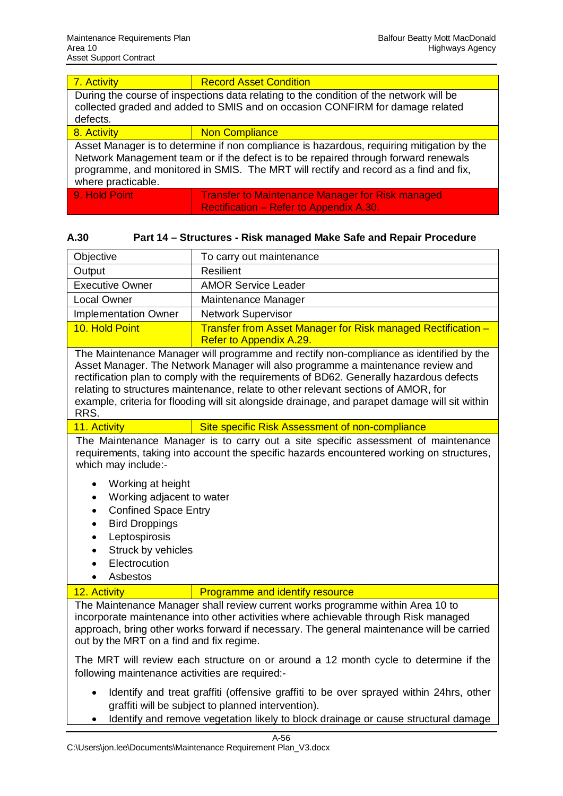| 7. Activity                                                                                                                                                                                                                                                                                    | <b>Record Asset Condition</b>                                                                      |  |  |  |  |  |
|------------------------------------------------------------------------------------------------------------------------------------------------------------------------------------------------------------------------------------------------------------------------------------------------|----------------------------------------------------------------------------------------------------|--|--|--|--|--|
| During the course of inspections data relating to the condition of the network will be<br>collected graded and added to SMIS and on occasion CONFIRM for damage related<br>defects.                                                                                                            |                                                                                                    |  |  |  |  |  |
| 8. Activity                                                                                                                                                                                                                                                                                    | <b>Non Compliance</b>                                                                              |  |  |  |  |  |
| Asset Manager is to determine if non compliance is hazardous, requiring mitigation by the<br>Network Management team or if the defect is to be repaired through forward renewals<br>programme, and monitored in SMIS. The MRT will rectify and record as a find and fix,<br>where practicable. |                                                                                                    |  |  |  |  |  |
| 9. Hold Point                                                                                                                                                                                                                                                                                  | <b>Transfer to Maintenance Manager for Risk managed</b><br>Rectification - Refer to Appendix A.30. |  |  |  |  |  |

| A.30 | Part 14 – Structures - Risk managed Make Safe and Repair Procedure |
|------|--------------------------------------------------------------------|

| Objective                   | To carry out maintenance                                                                |
|-----------------------------|-----------------------------------------------------------------------------------------|
| Output                      | <b>Resilient</b>                                                                        |
| <b>Executive Owner</b>      | <b>AMOR Service Leader</b>                                                              |
| <b>Local Owner</b>          | Maintenance Manager                                                                     |
| <b>Implementation Owner</b> | <b>Network Supervisor</b>                                                               |
| 10. Hold Point              | Transfer from Asset Manager for Risk managed Rectification -<br>Refer to Appendix A.29. |
|                             |                                                                                         |

The Maintenance Manager will programme and rectify non-compliance as identified by the Asset Manager. The Network Manager will also programme a maintenance review and rectification plan to comply with the requirements of BD62. Generally hazardous defects relating to structures maintenance, relate to other relevant sections of AMOR, for example, criteria for flooding will sit alongside drainage, and parapet damage will sit within RRS.

11. Activity Site specific Risk Assessment of non-compliance

The Maintenance Manager is to carry out a site specific assessment of maintenance requirements, taking into account the specific hazards encountered working on structures, which may include:-

- Working at height
- Working adjacent to water
- **Confined Space Entry**
- **Bird Droppings**
- Leptospirosis
- Struck by vehicles
- **Electrocution**
- Asbestos

12. Activity **Programme and identify resource** 

The Maintenance Manager shall review current works programme within Area 10 to incorporate maintenance into other activities where achievable through Risk managed approach, bring other works forward if necessary. The general maintenance will be carried out by the MRT on a find and fix regime.

The MRT will review each structure on or around a 12 month cycle to determine if the following maintenance activities are required:-

- Identify and treat graffiti (offensive graffiti to be over sprayed within 24hrs, other graffiti will be subject to planned intervention).
- Identify and remove vegetation likely to block drainage or cause structural damage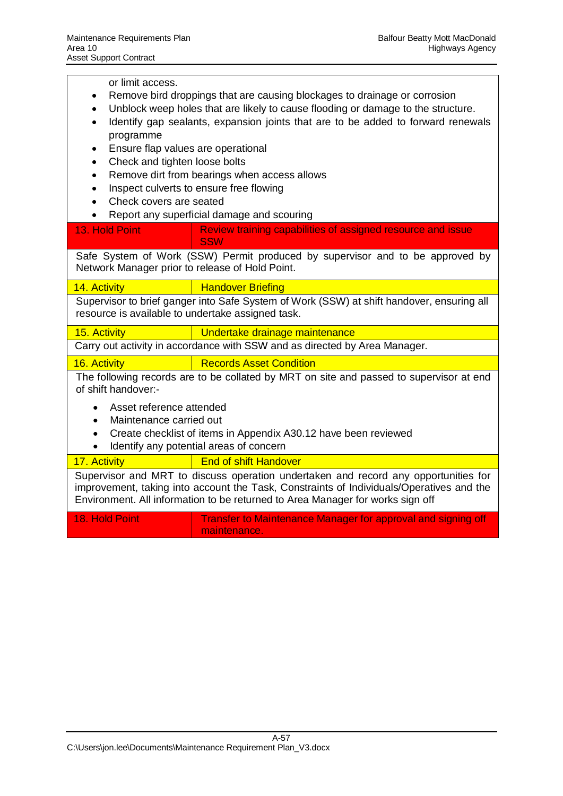or limit access.

- Remove bird droppings that are causing blockages to drainage or corrosion
- Unblock weep holes that are likely to cause flooding or damage to the structure.
- Identify gap sealants, expansion joints that are to be added to forward renewals programme
- **Ensure flap values are operational**
- Check and tighten loose bolts
- Remove dirt from bearings when access allows
- Inspect culverts to ensure free flowing
- Check covers are seated
- x Report any superficial damage and scouring

| 13. Hold Point                                                                                                                                                                                                                                                    | Review training capabilities of assigned resource and issue<br><b>SSW</b>           |  |  |  |  |  |  |  |
|-------------------------------------------------------------------------------------------------------------------------------------------------------------------------------------------------------------------------------------------------------------------|-------------------------------------------------------------------------------------|--|--|--|--|--|--|--|
| Network Manager prior to release of Hold Point.                                                                                                                                                                                                                   | Safe System of Work (SSW) Permit produced by supervisor and to be approved by       |  |  |  |  |  |  |  |
| <b>Handover Briefing</b><br>14. Activity                                                                                                                                                                                                                          |                                                                                     |  |  |  |  |  |  |  |
| Supervisor to brief ganger into Safe System of Work (SSW) at shift handover, ensuring all<br>resource is available to undertake assigned task.                                                                                                                    |                                                                                     |  |  |  |  |  |  |  |
| 15. Activity                                                                                                                                                                                                                                                      | Undertake drainage maintenance                                                      |  |  |  |  |  |  |  |
| Carry out activity in accordance with SSW and as directed by Area Manager.                                                                                                                                                                                        |                                                                                     |  |  |  |  |  |  |  |
| 16. Activity                                                                                                                                                                                                                                                      | <b>Records Asset Condition</b>                                                      |  |  |  |  |  |  |  |
| The following records are to be collated by MRT on site and passed to supervisor at end<br>of shift handover:-                                                                                                                                                    |                                                                                     |  |  |  |  |  |  |  |
|                                                                                                                                                                                                                                                                   | Asset reference attended<br>Maintenance carried out                                 |  |  |  |  |  |  |  |
|                                                                                                                                                                                                                                                                   | Create checklist of items in Appendix A30.12 have been reviewed                     |  |  |  |  |  |  |  |
|                                                                                                                                                                                                                                                                   | Identify any potential areas of concern                                             |  |  |  |  |  |  |  |
| 17. Activity                                                                                                                                                                                                                                                      | <b>End of shift Handover</b>                                                        |  |  |  |  |  |  |  |
| Supervisor and MRT to discuss operation undertaken and record any opportunities for<br>improvement, taking into account the Task, Constraints of Individuals/Operatives and the<br>Environment. All information to be returned to Area Manager for works sign off |                                                                                     |  |  |  |  |  |  |  |
| 18. Hold Point                                                                                                                                                                                                                                                    | <b>Transfer to Maintenance Manager for approval and signing off</b><br>maintenance. |  |  |  |  |  |  |  |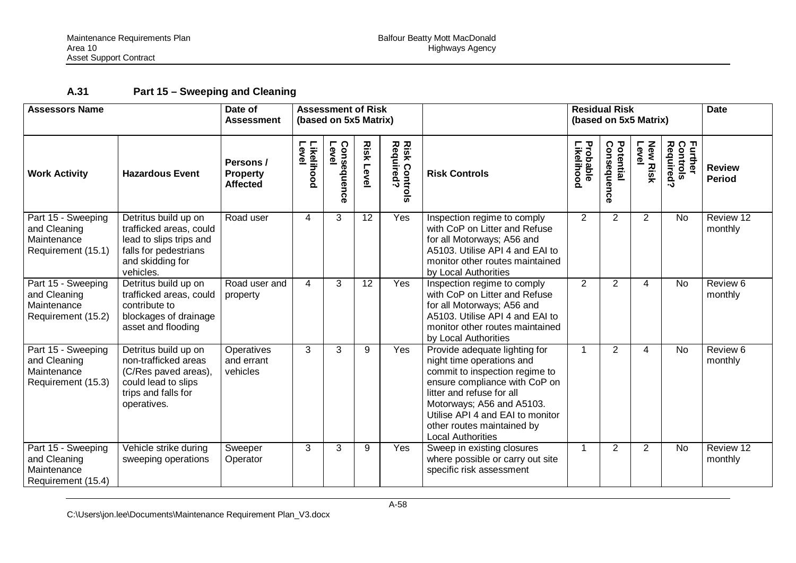## **A.31 Part 15 – Sweeping and Cleaning**

| <b>Assessors Name</b>                                                   |                                                                                                                                      | Date of<br><b>Assessment</b>                    | <b>Assessment of Risk</b><br>(based on 5x5 Matrix) |                         |                  |                                   |                                                                                                                                                                                                                                                                                       | <b>Residual Risk</b><br>(based on 5x5 Matrix) |                          |                          | <b>Date</b>                      |                                |
|-------------------------------------------------------------------------|--------------------------------------------------------------------------------------------------------------------------------------|-------------------------------------------------|----------------------------------------------------|-------------------------|------------------|-----------------------------------|---------------------------------------------------------------------------------------------------------------------------------------------------------------------------------------------------------------------------------------------------------------------------------------|-----------------------------------------------|--------------------------|--------------------------|----------------------------------|--------------------------------|
| <b>Work Activity</b>                                                    | <b>Hazardous Event</b>                                                                                                               | Persons /<br><b>Property</b><br><b>Affected</b> | Level<br>Likelihood                                | Level<br>Consequen<br>ດ | <b>Risk Leve</b> | <b>Risk Controls</b><br>Required? | <b>Risk Controls</b>                                                                                                                                                                                                                                                                  | Probable<br>Likelihood                        | Potential<br>Consequence | <b>New Risk</b><br>Level | Further<br>Controls<br>Required? | <b>Review</b><br><b>Period</b> |
| Part 15 - Sweeping<br>and Cleaning<br>Maintenance<br>Requirement (15.1) | Detritus build up on<br>trafficked areas, could<br>lead to slips trips and<br>falls for pedestrians<br>and skidding for<br>vehicles. | Road user                                       | 4                                                  | 3                       | 12               | Yes                               | Inspection regime to comply<br>with CoP on Litter and Refuse<br>for all Motorways; A56 and<br>A5103. Utilise API 4 and EAI to<br>monitor other routes maintained<br>by Local Authorities                                                                                              | $\overline{2}$                                | $\overline{2}$           | $\overline{2}$           | <b>No</b>                        | Review 12<br>monthly           |
| Part 15 - Sweeping<br>and Cleaning<br>Maintenance<br>Requirement (15.2) | Detritus build up on<br>trafficked areas, could<br>contribute to<br>blockages of drainage<br>asset and flooding                      | Road user and<br>property                       | $\overline{4}$                                     | 3                       | $\overline{12}$  | Yes                               | Inspection regime to comply<br>with CoP on Litter and Refuse<br>for all Motorways; A56 and<br>A5103. Utilise API 4 and EAI to<br>monitor other routes maintained<br>by Local Authorities                                                                                              | $\overline{2}$                                | $\overline{2}$           | 4                        | $\overline{N}$                   | Review 6<br>monthly            |
| Part 15 - Sweeping<br>and Cleaning<br>Maintenance<br>Requirement (15.3) | Detritus build up on<br>non-trafficked areas<br>(C/Res paved areas),<br>could lead to slips<br>trips and falls for<br>operatives.    | Operatives<br>and errant<br>vehicles            | 3                                                  | 3                       | 9                | Yes                               | Provide adequate lighting for<br>night time operations and<br>commit to inspection regime to<br>ensure compliance with CoP on<br>litter and refuse for all<br>Motorways; A56 and A5103.<br>Utilise API 4 and EAI to monitor<br>other routes maintained by<br><b>Local Authorities</b> | 1                                             | 2                        | 4                        | <b>No</b>                        | Review 6<br>monthly            |
| Part 15 - Sweeping<br>and Cleaning<br>Maintenance<br>Requirement (15.4) | Vehicle strike during<br>sweeping operations                                                                                         | Sweeper<br>Operator                             | 3                                                  | 3                       | 9                | Yes                               | Sweep in existing closures<br>where possible or carry out site<br>specific risk assessment                                                                                                                                                                                            | 1                                             | $\overline{2}$           | $\overline{2}$           | <b>No</b>                        | Review 12<br>monthly           |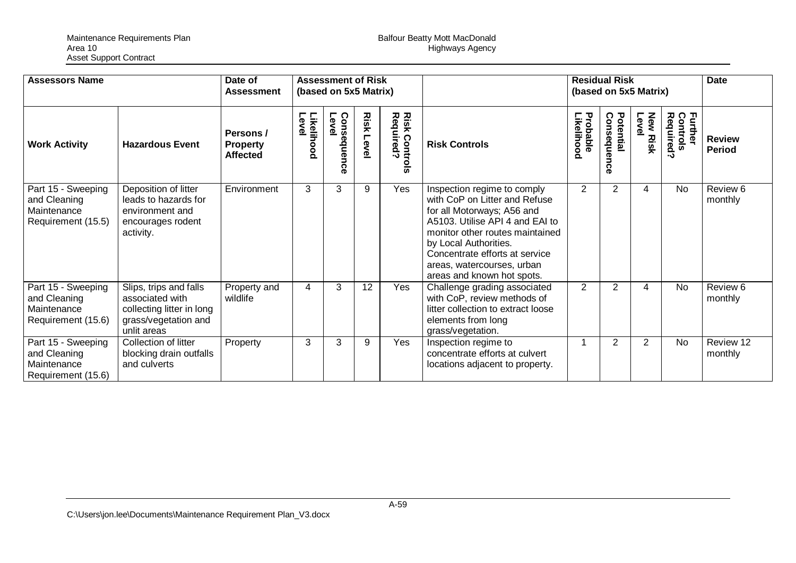| <b>Assessors Name</b>                                                   |                                                                                                               | Date of<br><b>Assessment</b>                    | <b>Assessment of Risk</b><br>(based on 5x5 Matrix) |                      |                      |                                                                              | <b>Residual Risk</b><br>(based on 5x5 Matrix)                                                                                                                                                                                                                                           |                        |                                  |                          | <b>Date</b>                      |                                |
|-------------------------------------------------------------------------|---------------------------------------------------------------------------------------------------------------|-------------------------------------------------|----------------------------------------------------|----------------------|----------------------|------------------------------------------------------------------------------|-----------------------------------------------------------------------------------------------------------------------------------------------------------------------------------------------------------------------------------------------------------------------------------------|------------------------|----------------------------------|--------------------------|----------------------------------|--------------------------------|
| <b>Work Activity</b>                                                    | <b>Hazardous Event</b>                                                                                        | Persons /<br><b>Property</b><br><b>Affected</b> | Likelihood<br>Level                                | Consequence<br>Level | <b>Risk</b><br>Level | <b>Risk Contr<br/>Required?</b><br><b>Contro</b><br>$\bar{\bar{\mathbf{w}}}$ | <b>Risk Controls</b>                                                                                                                                                                                                                                                                    | Probable<br>Likelihood | Potential<br>Consequel<br>ດ<br>ത | <b>New Risk</b><br>Level | Further<br>Controls<br>Required? | <b>Review</b><br><b>Period</b> |
| Part 15 - Sweeping<br>and Cleaning<br>Maintenance<br>Requirement (15.5) | Deposition of litter<br>leads to hazards for<br>environment and<br>encourages rodent<br>activity.             | Environment                                     | 3                                                  | 3                    | 9                    | Yes                                                                          | Inspection regime to comply<br>with CoP on Litter and Refuse<br>for all Motorways; A56 and<br>A5103. Utilise API 4 and EAI to<br>monitor other routes maintained<br>by Local Authorities.<br>Concentrate efforts at service<br>areas, watercourses, urban<br>areas and known hot spots. | $\overline{2}$         | $\overline{2}$                   | $\overline{4}$           | No                               | Review 6<br>monthly            |
| Part 15 - Sweeping<br>and Cleaning<br>Maintenance<br>Requirement (15.6) | Slips, trips and falls<br>associated with<br>collecting litter in long<br>grass/vegetation and<br>unlit areas | Property and<br>wildlife                        | 4                                                  | 3                    | 12                   | Yes                                                                          | Challenge grading associated<br>with CoP, review methods of<br>litter collection to extract loose<br>elements from long<br>grass/vegetation.                                                                                                                                            | $\overline{2}$         | 2                                | 4                        | No                               | Review 6<br>monthly            |
| Part 15 - Sweeping<br>and Cleaning<br>Maintenance<br>Requirement (15.6) | Collection of litter<br>blocking drain outfalls<br>and culverts                                               | Property                                        | 3                                                  | 3                    | 9                    | Yes                                                                          | Inspection regime to<br>concentrate efforts at culvert<br>locations adjacent to property.                                                                                                                                                                                               |                        | $\overline{2}$                   | $\overline{2}$           | No                               | Review 12<br>monthly           |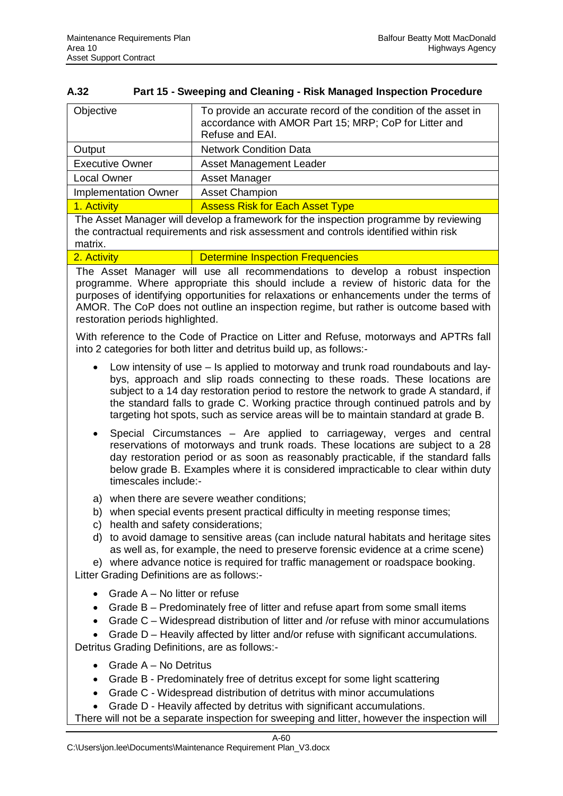| A.32 | <b>Part 15 - Sweeping and Cleaning - Risk Managed Inspection Procedure</b> |
|------|----------------------------------------------------------------------------|
|      |                                                                            |

| Objective                   | To provide an accurate record of the condition of the asset in<br>accordance with AMOR Part 15; MRP; CoP for Litter and<br>Refuse and EAI. |
|-----------------------------|--------------------------------------------------------------------------------------------------------------------------------------------|
| Output                      | <b>Network Condition Data</b>                                                                                                              |
| <b>Executive Owner</b>      | Asset Management Leader                                                                                                                    |
| <b>Local Owner</b>          | Asset Manager                                                                                                                              |
| <b>Implementation Owner</b> | <b>Asset Champion</b>                                                                                                                      |
| 1. Activity                 | <b>Assess Risk for Each Asset Type</b>                                                                                                     |

The Asset Manager will develop a framework for the inspection programme by reviewing the contractual requirements and risk assessment and controls identified within risk matrix.

2. Activity **Determine Inspection Frequencies** 

The Asset Manager will use all recommendations to develop a robust inspection programme. Where appropriate this should include a review of historic data for the purposes of identifying opportunities for relaxations or enhancements under the terms of AMOR. The CoP does not outline an inspection regime, but rather is outcome based with restoration periods highlighted.

With reference to the Code of Practice on Litter and Refuse, motorways and APTRs fall into 2 categories for both litter and detritus build up, as follows:-

- Low intensity of use Is applied to motorway and trunk road roundabouts and laybys, approach and slip roads connecting to these roads. These locations are subject to a 14 day restoration period to restore the network to grade A standard, if the standard falls to grade C. Working practice through continued patrols and by targeting hot spots, such as service areas will be to maintain standard at grade B.
- Special Circumstances Are applied to carriageway, verges and central reservations of motorways and trunk roads. These locations are subject to a 28 day restoration period or as soon as reasonably practicable, if the standard falls below grade B. Examples where it is considered impracticable to clear within duty timescales include:-
- a) when there are severe weather conditions;
- b) when special events present practical difficulty in meeting response times;
- c) health and safety considerations;
- d) to avoid damage to sensitive areas (can include natural habitats and heritage sites as well as, for example, the need to preserve forensic evidence at a crime scene)

e) where advance notice is required for traffic management or roadspace booking. Litter Grading Definitions are as follows:-

- Grade  $A No$  litter or refuse
- $\bullet$  Grade B Predominately free of litter and refuse apart from some small items
- Grade  $C$  Widespread distribution of litter and /or refuse with minor accumulations
- Grade D Heavily affected by litter and/or refuse with significant accumulations.

Detritus Grading Definitions, are as follows:-

- $\bullet$  Grade A No Detritus
- Grade B Predominately free of detritus except for some light scattering
- Grade C Widespread distribution of detritus with minor accumulations
- Grade D Heavily affected by detritus with significant accumulations.

There will not be a separate inspection for sweeping and litter, however the inspection will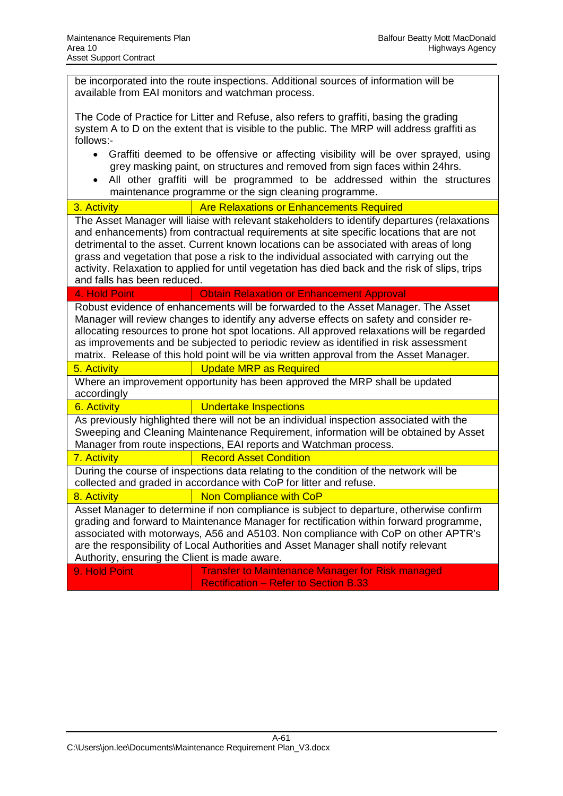be incorporated into the route inspections. Additional sources of information will be available from EAI monitors and watchman process.

The Code of Practice for Litter and Refuse, also refers to graffiti, basing the grading system A to D on the extent that is visible to the public. The MRP will address graffiti as follows:-

- Graffiti deemed to be offensive or affecting visibility will be over sprayed, using grey masking paint, on structures and removed from sign faces within 24hrs.
- All other graffiti will be programmed to be addressed within the structures maintenance programme or the sign cleaning programme.

3. Activity **Are Relaxations or Enhancements Required** 

The Asset Manager will liaise with relevant stakeholders to identify departures (relaxations and enhancements) from contractual requirements at site specific locations that are not detrimental to the asset. Current known locations can be associated with areas of long grass and vegetation that pose a risk to the individual associated with carrying out the activity. Relaxation to applied for until vegetation has died back and the risk of slips, trips and falls has been reduced.

### 4. Hold Point **Calculation Contain Relaxation or Enhancement Approval**

Robust evidence of enhancements will be forwarded to the Asset Manager. The Asset Manager will review changes to identify any adverse effects on safety and consider reallocating resources to prone hot spot locations. All approved relaxations will be regarded as improvements and be subjected to periodic review as identified in risk assessment matrix. Release of this hold point will be via written approval from the Asset Manager.

### 5. Activity **Update MRP** as Required

Where an improvement opportunity has been approved the MRP shall be updated accordingly

### 6. Activity **Constructs Undertake Inspections**

As previously highlighted there will not be an individual inspection associated with the Sweeping and Cleaning Maintenance Requirement, information will be obtained by Asset Manager from route inspections, EAI reports and Watchman process.

| <b>7. Activity</b> | <b>Record Asset Condition</b> |
|--------------------|-------------------------------|
|                    |                               |

During the course of inspections data relating to the condition of the network will be collected and graded in accordance with CoP for litter and refuse.

## 8. Activity **Non Compliance with CoP**

Asset Manager to determine if non compliance is subject to departure, otherwise confirm grading and forward to Maintenance Manager for rectification within forward programme, associated with motorways, A56 and A5103. Non compliance with CoP on other APTR's are the responsibility of Local Authorities and Asset Manager shall notify relevant Authority, ensuring the Client is made aware.

9. Hold Point **Transfer to Maintenance Manager for Risk managed** Rectification – Refer to Section B.33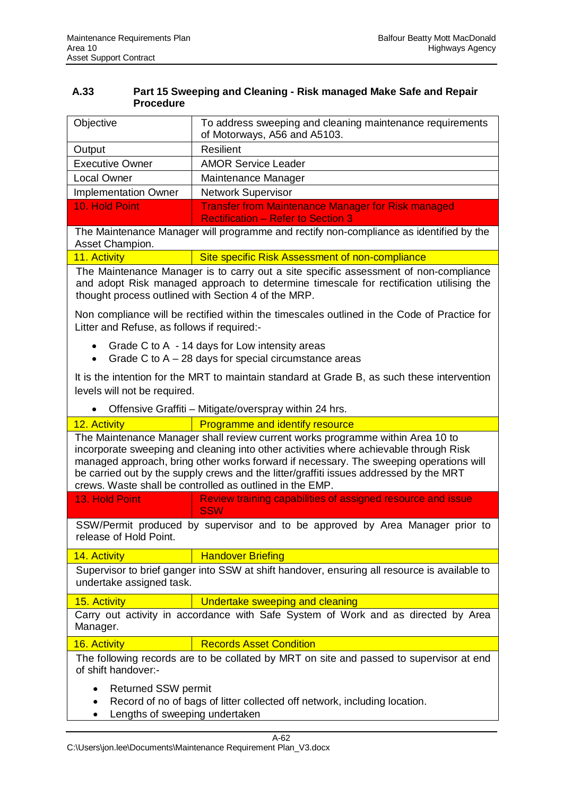### **A.33 Part 15 Sweeping and Cleaning - Risk managed Make Safe and Repair Procedure**

| Objective                   | To address sweeping and cleaning maintenance requirements<br>of Motorways, A56 and A5103.              |
|-----------------------------|--------------------------------------------------------------------------------------------------------|
| Output                      | Resilient                                                                                              |
| <b>Executive Owner</b>      | <b>AMOR Service Leader</b>                                                                             |
| <b>Local Owner</b>          | Maintenance Manager                                                                                    |
| <b>Implementation Owner</b> | <b>Network Supervisor</b>                                                                              |
| 10. Hold Point              | <b>Transfer from Maintenance Manager for Risk managed</b><br><b>Rectification - Refer to Section 3</b> |

The Maintenance Manager will programme and rectify non-compliance as identified by the Asset Champion.

11. Activity **Site specific Risk Assessment of non-compliance** 

The Maintenance Manager is to carry out a site specific assessment of non-compliance and adopt Risk managed approach to determine timescale for rectification utilising the thought process outlined with Section 4 of the MRP.

Non compliance will be rectified within the timescales outlined in the Code of Practice for Litter and Refuse, as follows if required:-

- Grade C to A  $-$  14 days for Low intensity areas
- Grade C to  $A 28$  days for special circumstance areas

It is the intention for the MRT to maintain standard at Grade B, as such these intervention levels will not be required.

Offensive Graffiti – Mitigate/overspray within 24 hrs.

| 12. Activity                                                                                                                                                                                                                                                                                                                                                                                                            | <b>Programme and identify resource</b>                                    |  |
|-------------------------------------------------------------------------------------------------------------------------------------------------------------------------------------------------------------------------------------------------------------------------------------------------------------------------------------------------------------------------------------------------------------------------|---------------------------------------------------------------------------|--|
| The Maintenance Manager shall review current works programme within Area 10 to<br>incorporate sweeping and cleaning into other activities where achievable through Risk<br>managed approach, bring other works forward if necessary. The sweeping operations will<br>be carried out by the supply crews and the litter/graffiti issues addressed by the MRT<br>crews. Waste shall be controlled as outlined in the EMP. |                                                                           |  |
| 13. Hold Point                                                                                                                                                                                                                                                                                                                                                                                                          | Review training capabilities of assigned resource and issue<br><b>SSW</b> |  |
| SSW/Permit produced by supervisor and to be approved by Area Manager prior to<br>release of Hold Point.                                                                                                                                                                                                                                                                                                                 |                                                                           |  |
| 14. Activity                                                                                                                                                                                                                                                                                                                                                                                                            | <b>Handover Briefing</b>                                                  |  |
| Supervisor to brief ganger into SSW at shift handover, ensuring all resource is available to<br>undertake assigned task.                                                                                                                                                                                                                                                                                                |                                                                           |  |
| 15. Activity                                                                                                                                                                                                                                                                                                                                                                                                            | Undertake sweeping and cleaning                                           |  |
| Carry out activity in accordance with Safe System of Work and as directed by Area<br>Manager.                                                                                                                                                                                                                                                                                                                           |                                                                           |  |
| 16. Activity                                                                                                                                                                                                                                                                                                                                                                                                            | <b>Records Asset Condition</b>                                            |  |
| The following records are to be collated by MRT on site and passed to supervisor at end<br>of shift handover:-                                                                                                                                                                                                                                                                                                          |                                                                           |  |
| <b>Returned SSW permit</b><br>$\bullet$<br>Record of no of bags of litter collected off network, including location.<br>$\bullet$<br>Lengths of sweeping undertaken                                                                                                                                                                                                                                                     |                                                                           |  |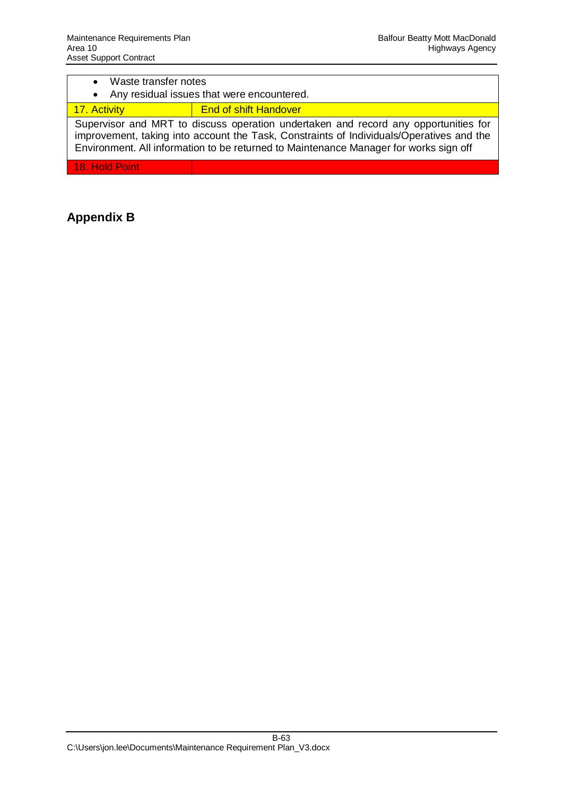| • Waste transfer notes<br>• Any residual issues that were encountered.                                                                                                                                                                                                   |                              |
|--------------------------------------------------------------------------------------------------------------------------------------------------------------------------------------------------------------------------------------------------------------------------|------------------------------|
| 17. Activity                                                                                                                                                                                                                                                             | <b>End of shift Handover</b> |
| Supervisor and MRT to discuss operation undertaken and record any opportunities for<br>improvement, taking into account the Task, Constraints of Individuals/Operatives and the<br>Environment. All information to be returned to Maintenance Manager for works sign off |                              |

18. Hold Point

## **Appendix B**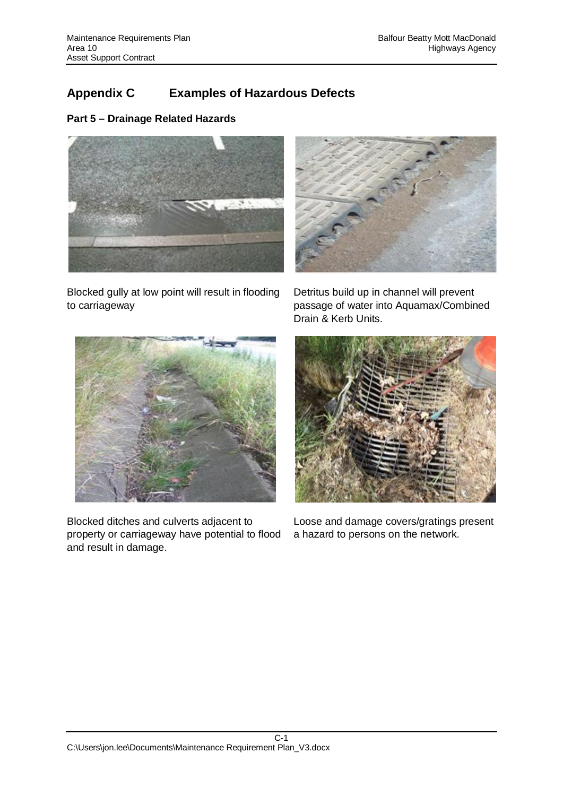# **Appendix C Examples of Hazardous Defects**

## **Part 5 – Drainage Related Hazards**



Blocked gully at low point will result in flooding to carriageway



Detritus build up in channel will prevent passage of water into Aquamax/Combined Drain & Kerb Units.



Blocked ditches and culverts adjacent to property or carriageway have potential to flood and result in damage.



Loose and damage covers/gratings present a hazard to persons on the network.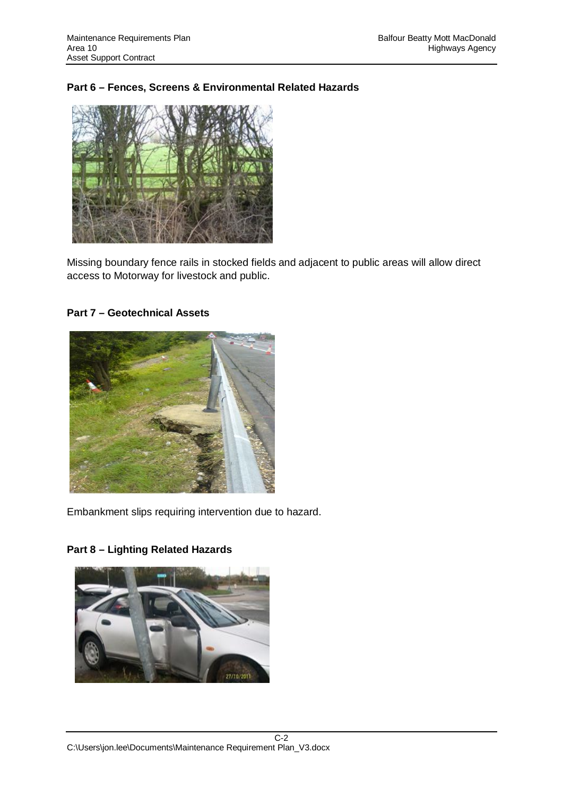## **Part 6 – Fences, Screens & Environmental Related Hazards**



Missing boundary fence rails in stocked fields and adjacent to public areas will allow direct access to Motorway for livestock and public.

## **Part 7 – Geotechnical Assets**



Embankment slips requiring intervention due to hazard.



**Part 8 – Lighting Related Hazards**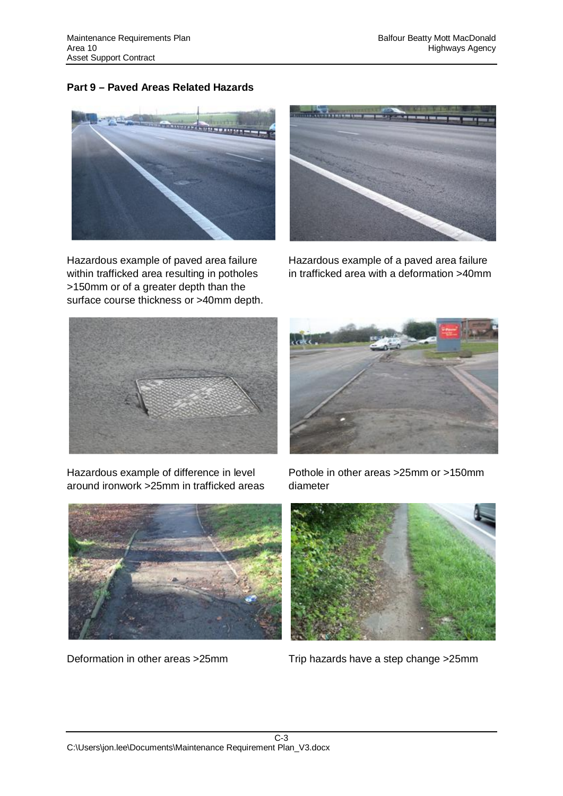## **Part 9 – Paved Areas Related Hazards**



Hazardous example of paved area failure within trafficked area resulting in potholes >150mm or of a greater depth than the surface course thickness or >40mm depth.



Hazardous example of a paved area failure in trafficked area with a deformation >40mm



Hazardous example of difference in level around ironwork >25mm in trafficked areas



Pothole in other areas >25mm or >150mm diameter





Deformation in other areas >25mm Trip hazards have a step change >25mm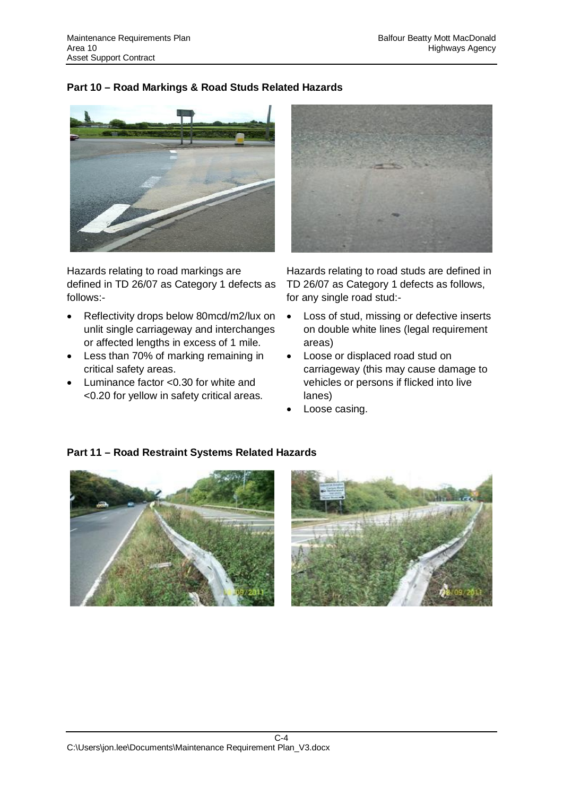## **Part 10 – Road Markings & Road Studs Related Hazards**



Hazards relating to road markings are defined in TD 26/07 as Category 1 defects as follows:-

- Reflectivity drops below 80mcd/m2/lux on unlit single carriageway and interchanges or affected lengths in excess of 1 mile.
- Less than 70% of marking remaining in critical safety areas.
- $\bullet$  Luminance factor <0.30 for white and <0.20 for yellow in safety critical areas.



Hazards relating to road studs are defined in TD 26/07 as Category 1 defects as follows, for any single road stud:-

- Loss of stud, missing or defective inserts on double white lines (legal requirement areas)
- Loose or displaced road stud on carriageway (this may cause damage to vehicles or persons if flicked into live lanes)
- Loose casing.



## **Part 11 – Road Restraint Systems Related Hazards**

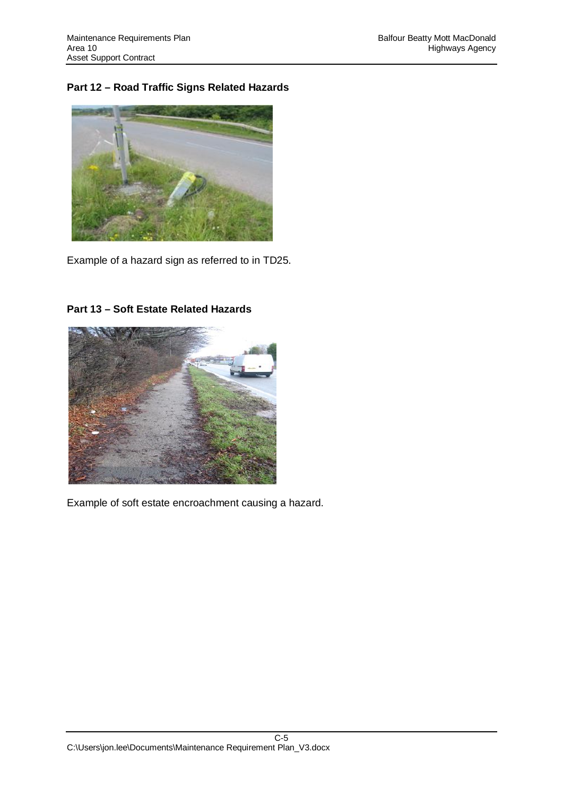## **Part 12 – Road Traffic Signs Related Hazards**



Example of a hazard sign as referred to in TD25.



## **Part 13 – Soft Estate Related Hazards**

Example of soft estate encroachment causing a hazard.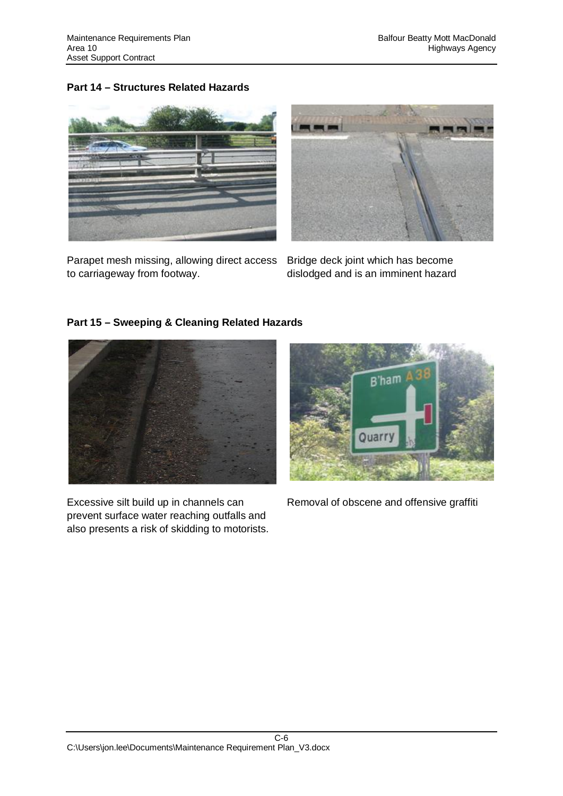## **Part 14 – Structures Related Hazards**



Parapet mesh missing, allowing direct access to carriageway from footway.



Bridge deck joint which has become dislodged and is an imminent hazard

## **Part 15 – Sweeping & Cleaning Related Hazards**



Excessive silt build up in channels can prevent surface water reaching outfalls and also presents a risk of skidding to motorists.



Removal of obscene and offensive graffiti